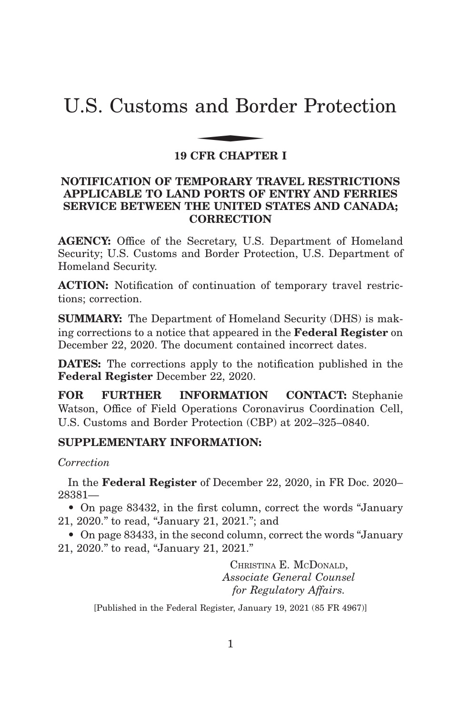# U.S. Customs and Border Protection and Bor

# **19 CFR CHAPTER I**

# **NOTIFICATION OF TEMPORARY TRAVEL RESTRICTIONS APPLICABLE TO LAND PORTS OF ENTRY AND FERRIES SERVICE BETWEEN THE UNITED STATES AND CANADA; CORRECTION**

**AGENCY:** Office of the Secretary, U.S. Department of Homeland Security; U.S. Customs and Border Protection, U.S. Department of Homeland Security.

**ACTION:** Notification of continuation of temporary travel restrictions; correction.

**SUMMARY:** The Department of Homeland Security (DHS) is making corrections to a notice that appeared in the **Federal Register** on December 22, 2020. The document contained incorrect dates.

**DATES:** The corrections apply to the notification published in the **Federal Register** December 22, 2020.

**FOR FURTHER INFORMATION CONTACT:** Stephanie Watson, Office of Field Operations Coronavirus Coordination Cell, U.S. Customs and Border Protection (CBP) at 202–325–0840.

# **SUPPLEMENTARY INFORMATION:**

#### *Correction*

In the **Federal Register** of December 22, 2020, in FR Doc. 2020– 28381—

• On page 83432, in the first column, correct the words "January" 21, 2020.'' to read, ''January 21, 2021.''; and

• On page 83433, in the second column, correct the words "January" 21, 2020.'' to read, ''January 21, 2021.''

> CHRISTINA E. MCDONALD, *Associate General Counsel for Regulatory Affairs.*

[Published in the Federal Register, January 19, 2021 (85 FR 4967)]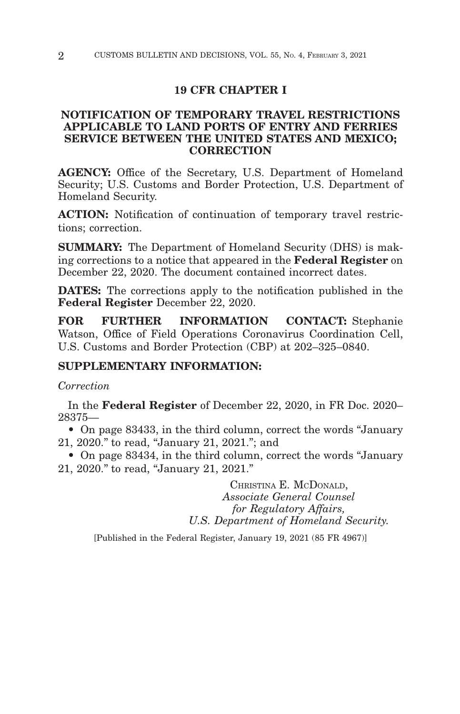#### **19 CFR CHAPTER I**

### **NOTIFICATION OF TEMPORARY TRAVEL RESTRICTIONS APPLICABLE TO LAND PORTS OF ENTRY AND FERRIES SERVICE BETWEEN THE UNITED STATES AND MEXICO; CORRECTION**

**AGENCY:** Office of the Secretary, U.S. Department of Homeland Security; U.S. Customs and Border Protection, U.S. Department of Homeland Security.

**ACTION:** Notification of continuation of temporary travel restrictions; correction.

**SUMMARY:** The Department of Homeland Security (DHS) is making corrections to a notice that appeared in the **Federal Register** on December 22, 2020. The document contained incorrect dates.

**DATES:** The corrections apply to the notification published in the **Federal Register** December 22, 2020.

**FOR FURTHER INFORMATION CONTACT:** Stephanie Watson, Office of Field Operations Coronavirus Coordination Cell, U.S. Customs and Border Protection (CBP) at 202–325–0840.

#### **SUPPLEMENTARY INFORMATION:**

*Correction*

In the **Federal Register** of December 22, 2020, in FR Doc. 2020– 28375—

• On page 83433, in the third column, correct the words "January" 21, 2020.'' to read, ''January 21, 2021.''; and

• On page 83434, in the third column, correct the words "January" 21, 2020.'' to read, ''January 21, 2021.''

> CHRISTINA E. MCDONALD, *Associate General Counsel for Regulatory Affairs, U.S. Department of Homeland Security.*

[Published in the Federal Register, January 19, 2021 (85 FR 4967)]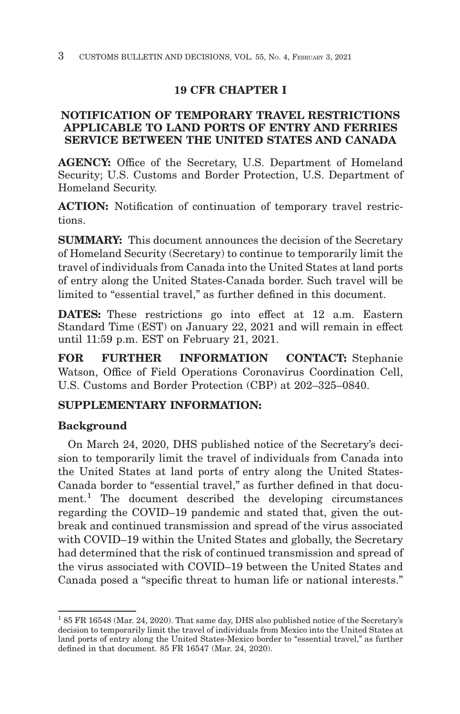# **19 CFR CHAPTER I**

# **NOTIFICATION OF TEMPORARY TRAVEL RESTRICTIONS APPLICABLE TO LAND PORTS OF ENTRY AND FERRIES SERVICE BETWEEN THE UNITED STATES AND CANADA**

**AGENCY:** Office of the Secretary, U.S. Department of Homeland Security; U.S. Customs and Border Protection, U.S. Department of Homeland Security.

**ACTION:** Notification of continuation of temporary travel restrictions.

**SUMMARY:** This document announces the decision of the Secretary of Homeland Security (Secretary) to continue to temporarily limit the travel of individuals from Canada into the United States at land ports of entry along the United States-Canada border. Such travel will be limited to "essential travel," as further defined in this document.

**DATES:** These restrictions go into effect at 12 a.m. Eastern Standard Time (EST) on January 22, 2021 and will remain in effect until 11:59 p.m. EST on February 21, 2021.

**FOR FURTHER INFORMATION CONTACT:** Stephanie Watson, Office of Field Operations Coronavirus Coordination Cell, U.S. Customs and Border Protection (CBP) at 202–325–0840.

# **SUPPLEMENTARY INFORMATION:**

# **Background**

On March 24, 2020, DHS published notice of the Secretary's decision to temporarily limit the travel of individuals from Canada into the United States at land ports of entry along the United States-Canada border to "essential travel," as further defined in that document.<sup>1</sup> The document described the developing circumstances regarding the COVID–19 pandemic and stated that, given the outbreak and continued transmission and spread of the virus associated with COVID–19 within the United States and globally, the Secretary had determined that the risk of continued transmission and spread of the virus associated with COVID–19 between the United States and Canada posed a ''specific threat to human life or national interests.''

<sup>1 85</sup> FR 16548 (Mar. 24, 2020). That same day, DHS also published notice of the Secretary's decision to temporarily limit the travel of individuals from Mexico into the United States at land ports of entry along the United States-Mexico border to "essential travel," as further defined in that document. 85 FR 16547 (Mar. 24, 2020).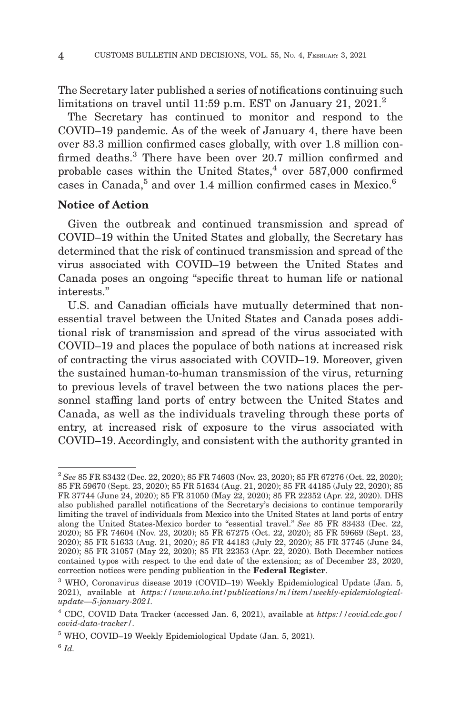The Secretary later published a series of notifications continuing such limitations on travel until 11:59 p.m. EST on January 21, 2021.<sup>2</sup>

The Secretary has continued to monitor and respond to the COVID–19 pandemic. As of the week of January 4, there have been over 83.3 million confirmed cases globally, with over 1.8 million confirmed deaths.<sup>3</sup> There have been over 20.7 million confirmed and probable cases within the United States, $4$  over 587,000 confirmed cases in Canada,<sup>5</sup> and over 1.4 million confirmed cases in Mexico.<sup>6</sup>

## **Notice of Action**

Given the outbreak and continued transmission and spread of COVID–19 within the United States and globally, the Secretary has determined that the risk of continued transmission and spread of the virus associated with COVID–19 between the United States and Canada poses an ongoing ''specific threat to human life or national interests.''

U.S. and Canadian officials have mutually determined that nonessential travel between the United States and Canada poses additional risk of transmission and spread of the virus associated with COVID–19 and places the populace of both nations at increased risk of contracting the virus associated with COVID–19. Moreover, given the sustained human-to-human transmission of the virus, returning to previous levels of travel between the two nations places the personnel staffing land ports of entry between the United States and Canada, as well as the individuals traveling through these ports of entry, at increased risk of exposure to the virus associated with COVID–19. Accordingly, and consistent with the authority granted in

<sup>2</sup>*See* 85 FR 83432 (Dec. 22, 2020); 85 FR 74603 (Nov. 23, 2020); 85 FR 67276 (Oct. 22, 2020); 85 FR 59670 (Sept. 23, 2020); 85 FR 51634 (Aug. 21, 2020); 85 FR 44185 (July 22, 2020); 85 FR 37744 (June 24, 2020); 85 FR 31050 (May 22, 2020); 85 FR 22352 (Apr. 22, 2020). DHS also published parallel notifications of the Secretary's decisions to continue temporarily limiting the travel of individuals from Mexico into the United States at land ports of entry along the United States-Mexico border to ''essential travel.'' *See* 85 FR 83433 (Dec. 22, 2020); 85 FR 74604 (Nov. 23, 2020); 85 FR 67275 (Oct. 22, 2020); 85 FR 59669 (Sept. 23, 2020); 85 FR 51633 (Aug. 21, 2020); 85 FR 44183 (July 22, 2020); 85 FR 37745 (June 24, 2020); 85 FR 31057 (May 22, 2020); 85 FR 22353 (Apr. 22, 2020). Both December notices contained typos with respect to the end date of the extension; as of December 23, 2020, correction notices were pending publication in the **Federal Register**.

<sup>3</sup> WHO, Coronavirus disease 2019 (COVID–19) Weekly Epidemiological Update (Jan. 5, 2021), available at *https://www.who.int/publications/m/item/weekly-epidemiologicalupdate—5-january-2021.*

<sup>4</sup> CDC, COVID Data Tracker (accessed Jan. 6, 2021), available at *https://covid.cdc.gov/ covid-data-tracker/.*

<sup>5</sup> WHO, COVID–19 Weekly Epidemiological Update (Jan. 5, 2021).

<sup>6</sup>*Id.*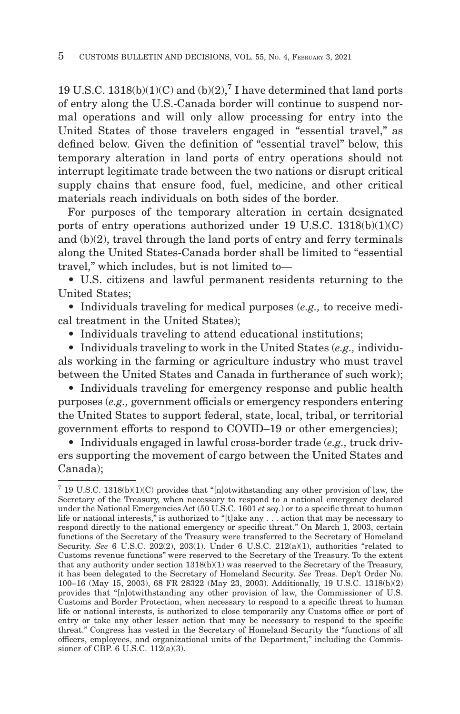19 U.S.C. 1318(b)(1)(C) and (b)(2),<sup>7</sup> I have determined that land ports of entry along the U.S.-Canada border will continue to suspend normal operations and will only allow processing for entry into the United States of those travelers engaged in ''essential travel,'' as defined below. Given the definition of ''essential travel'' below, this temporary alteration in land ports of entry operations should not interrupt legitimate trade between the two nations or disrupt critical supply chains that ensure food, fuel, medicine, and other critical materials reach individuals on both sides of the border.

For purposes of the temporary alteration in certain designated ports of entry operations authorized under 19 U.S.C. 1318(b)(1)(C) and (b)(2), travel through the land ports of entry and ferry terminals along the United States-Canada border shall be limited to ''essential travel,'' which includes, but is not limited to—

• U.S. citizens and lawful permanent residents returning to the United States;

• Individuals traveling for medical purposes (*e.g.,* to receive medical treatment in the United States);

• Individuals traveling to attend educational institutions;

• Individuals traveling to work in the United States (*e.g.,* individuals working in the farming or agriculture industry who must travel between the United States and Canada in furtherance of such work);

• Individuals traveling for emergency response and public health purposes (*e.g.,* government officials or emergency responders entering the United States to support federal, state, local, tribal, or territorial government efforts to respond to COVID–19 or other emergencies);

• Individuals engaged in lawful cross-border trade (*e.g.,* truck drivers supporting the movement of cargo between the United States and Canada);

<sup>7 19</sup> U.S.C. 1318(b)(1)(C) provides that ''[n]otwithstanding any other provision of law, the Secretary of the Treasury, when necessary to respond to a national emergency declared under the National Emergencies Act (50 U.S.C. 1601 *et seq.*) or to a specific threat to human life or national interests," is authorized to "[t]ake any . . . action that may be necessary to respond directly to the national emergency or specific threat.'' On March 1, 2003, certain functions of the Secretary of the Treasury were transferred to the Secretary of Homeland Security. *See* 6 U.S.C. 202(2), 203(1). Under 6 U.S.C. 212(a)(1), authorities "related to Customs revenue functions'' were reserved to the Secretary of the Treasury. To the extent that any authority under section 1318(b)(1) was reserved to the Secretary of the Treasury, it has been delegated to the Secretary of Homeland Security. *See* Treas. Dep't Order No. 100–16 (May 15, 2003), 68 FR 28322 (May 23, 2003). Additionally, 19 U.S.C. 1318(b)(2) provides that ''[n]otwithstanding any other provision of law, the Commissioner of U.S. Customs and Border Protection, when necessary to respond to a specific threat to human life or national interests, is authorized to close temporarily any Customs office or port of entry or take any other lesser action that may be necessary to respond to the specific threat.'' Congress has vested in the Secretary of Homeland Security the ''functions of all officers, employees, and organizational units of the Department,'' including the Commissioner of CBP. 6 U.S.C. 112(a)(3).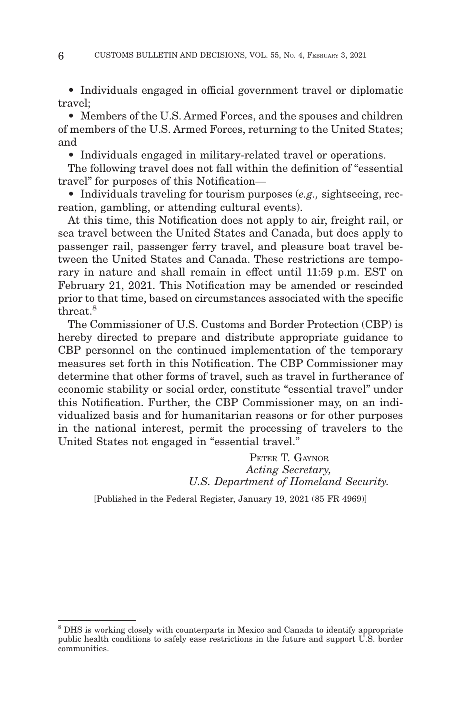• Individuals engaged in official government travel or diplomatic travel;

• Members of the U.S. Armed Forces, and the spouses and children of members of the U.S. Armed Forces, returning to the United States; and

• Individuals engaged in military-related travel or operations.

The following travel does not fall within the definition of ''essential travel'' for purposes of this Notification—

• Individuals traveling for tourism purposes (*e.g.,* sightseeing, recreation, gambling, or attending cultural events).

At this time, this Notification does not apply to air, freight rail, or sea travel between the United States and Canada, but does apply to passenger rail, passenger ferry travel, and pleasure boat travel between the United States and Canada. These restrictions are temporary in nature and shall remain in effect until 11:59 p.m. EST on February 21, 2021. This Notification may be amended or rescinded prior to that time, based on circumstances associated with the specific threat.8

The Commissioner of U.S. Customs and Border Protection (CBP) is hereby directed to prepare and distribute appropriate guidance to CBP personnel on the continued implementation of the temporary measures set forth in this Notification. The CBP Commissioner may determine that other forms of travel, such as travel in furtherance of economic stability or social order, constitute "essential travel" under this Notification. Further, the CBP Commissioner may, on an individualized basis and for humanitarian reasons or for other purposes in the national interest, permit the processing of travelers to the United States not engaged in "essential travel."

> PETER T. GAYNOR *Acting Secretary, U.S. Department of Homeland Security.*

[Published in the Federal Register, January 19, 2021 (85 FR 4969)]

<sup>&</sup>lt;sup>8</sup> DHS is working closely with counterparts in Mexico and Canada to identify appropriate public health conditions to safely ease restrictions in the future and support U.S. border communities.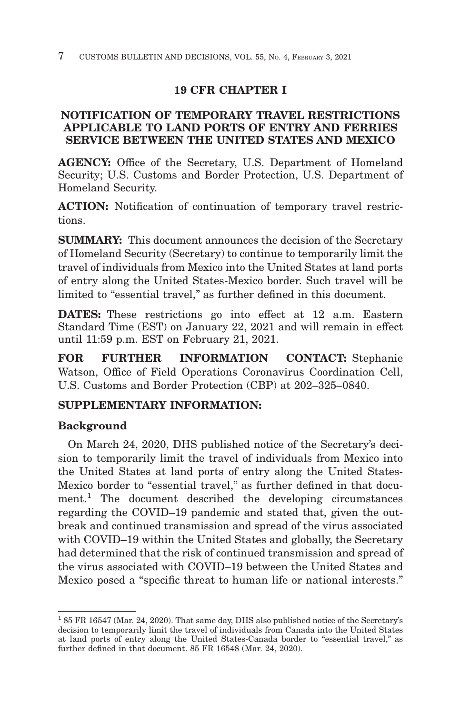# **19 CFR CHAPTER I**

# **NOTIFICATION OF TEMPORARY TRAVEL RESTRICTIONS APPLICABLE TO LAND PORTS OF ENTRY AND FERRIES SERVICE BETWEEN THE UNITED STATES AND MEXICO**

**AGENCY:** Office of the Secretary, U.S. Department of Homeland Security; U.S. Customs and Border Protection, U.S. Department of Homeland Security.

**ACTION:** Notification of continuation of temporary travel restrictions.

**SUMMARY:** This document announces the decision of the Secretary of Homeland Security (Secretary) to continue to temporarily limit the travel of individuals from Mexico into the United States at land ports of entry along the United States-Mexico border. Such travel will be limited to "essential travel," as further defined in this document.

**DATES:** These restrictions go into effect at 12 a.m. Eastern Standard Time (EST) on January 22, 2021 and will remain in effect until 11:59 p.m. EST on February 21, 2021.

**FOR FURTHER INFORMATION CONTACT:** Stephanie Watson, Office of Field Operations Coronavirus Coordination Cell, U.S. Customs and Border Protection (CBP) at 202–325–0840.

# **SUPPLEMENTARY INFORMATION:**

# **Background**

On March 24, 2020, DHS published notice of the Secretary's decision to temporarily limit the travel of individuals from Mexico into the United States at land ports of entry along the United States-Mexico border to "essential travel," as further defined in that document.<sup>1</sup> The document described the developing circumstances regarding the COVID–19 pandemic and stated that, given the outbreak and continued transmission and spread of the virus associated with COVID–19 within the United States and globally, the Secretary had determined that the risk of continued transmission and spread of the virus associated with COVID–19 between the United States and Mexico posed a ''specific threat to human life or national interests.''

<sup>1 85</sup> FR 16547 (Mar. 24, 2020). That same day, DHS also published notice of the Secretary's decision to temporarily limit the travel of individuals from Canada into the United States at land ports of entry along the United States-Canada border to "essential travel," as further defined in that document. 85 FR 16548 (Mar. 24, 2020).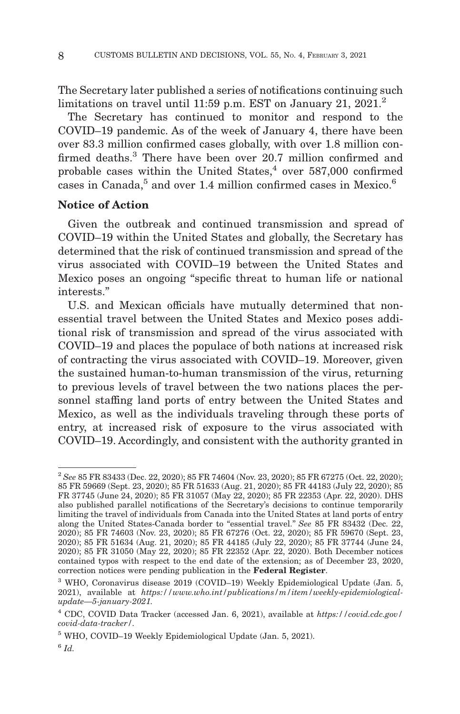The Secretary later published a series of notifications continuing such limitations on travel until 11:59 p.m. EST on January 21, 2021.<sup>2</sup>

The Secretary has continued to monitor and respond to the COVID–19 pandemic. As of the week of January 4, there have been over 83.3 million confirmed cases globally, with over 1.8 million confirmed deaths.<sup>3</sup> There have been over 20.7 million confirmed and probable cases within the United States, $4$  over 587,000 confirmed cases in Canada,<sup>5</sup> and over 1.4 million confirmed cases in Mexico.<sup>6</sup>

## **Notice of Action**

Given the outbreak and continued transmission and spread of COVID–19 within the United States and globally, the Secretary has determined that the risk of continued transmission and spread of the virus associated with COVID–19 between the United States and Mexico poses an ongoing ''specific threat to human life or national interests.''

U.S. and Mexican officials have mutually determined that nonessential travel between the United States and Mexico poses additional risk of transmission and spread of the virus associated with COVID–19 and places the populace of both nations at increased risk of contracting the virus associated with COVID–19. Moreover, given the sustained human-to-human transmission of the virus, returning to previous levels of travel between the two nations places the personnel staffing land ports of entry between the United States and Mexico, as well as the individuals traveling through these ports of entry, at increased risk of exposure to the virus associated with COVID–19. Accordingly, and consistent with the authority granted in

<sup>2</sup>*See* 85 FR 83433 (Dec. 22, 2020); 85 FR 74604 (Nov. 23, 2020); 85 FR 67275 (Oct. 22, 2020); 85 FR 59669 (Sept. 23, 2020); 85 FR 51633 (Aug. 21, 2020); 85 FR 44183 (July 22, 2020); 85 FR 37745 (June 24, 2020); 85 FR 31057 (May 22, 2020); 85 FR 22353 (Apr. 22, 2020). DHS also published parallel notifications of the Secretary's decisions to continue temporarily limiting the travel of individuals from Canada into the United States at land ports of entry along the United States-Canada border to "essential travel." See 85 FR 83432 (Dec. 22, 2020); 85 FR 74603 (Nov. 23, 2020); 85 FR 67276 (Oct. 22, 2020); 85 FR 59670 (Sept. 23, 2020); 85 FR 51634 (Aug. 21, 2020); 85 FR 44185 (July 22, 2020); 85 FR 37744 (June 24, 2020); 85 FR 31050 (May 22, 2020); 85 FR 22352 (Apr. 22, 2020). Both December notices contained typos with respect to the end date of the extension; as of December 23, 2020, correction notices were pending publication in the **Federal Register**.

<sup>3</sup> WHO, Coronavirus disease 2019 (COVID–19) Weekly Epidemiological Update (Jan. 5, 2021), available at *https://www.who.int/publications/m/item/weekly-epidemiologicalupdate—5-january-2021.*

<sup>4</sup> CDC, COVID Data Tracker (accessed Jan. 6, 2021), available at *https://covid.cdc.gov/ covid-data-tracker/.*

<sup>5</sup> WHO, COVID–19 Weekly Epidemiological Update (Jan. 5, 2021).

<sup>6</sup>*Id.*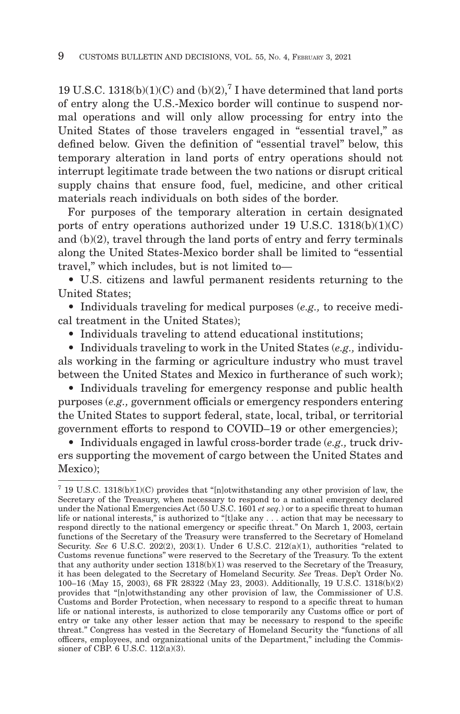19 U.S.C. 1318(b)(1)(C) and (b)(2),<sup>7</sup> I have determined that land ports of entry along the U.S.-Mexico border will continue to suspend normal operations and will only allow processing for entry into the United States of those travelers engaged in "essential travel," as defined below. Given the definition of ''essential travel'' below, this temporary alteration in land ports of entry operations should not interrupt legitimate trade between the two nations or disrupt critical supply chains that ensure food, fuel, medicine, and other critical materials reach individuals on both sides of the border.

For purposes of the temporary alteration in certain designated ports of entry operations authorized under 19 U.S.C. 1318(b)(1)(C) and (b)(2), travel through the land ports of entry and ferry terminals along the United States-Mexico border shall be limited to ''essential travel,'' which includes, but is not limited to—

• U.S. citizens and lawful permanent residents returning to the United States;

• Individuals traveling for medical purposes (*e.g.,* to receive medical treatment in the United States);

• Individuals traveling to attend educational institutions;

• Individuals traveling to work in the United States (*e.g.,* individuals working in the farming or agriculture industry who must travel between the United States and Mexico in furtherance of such work);

• Individuals traveling for emergency response and public health purposes (*e.g.,* government officials or emergency responders entering the United States to support federal, state, local, tribal, or territorial government efforts to respond to COVID–19 or other emergencies);

• Individuals engaged in lawful cross-border trade (*e.g.,* truck drivers supporting the movement of cargo between the United States and Mexico);

<sup>7 19</sup> U.S.C. 1318(b)(1)(C) provides that ''[n]otwithstanding any other provision of law, the Secretary of the Treasury, when necessary to respond to a national emergency declared under the National Emergencies Act (50 U.S.C. 1601 *et seq.*) or to a specific threat to human life or national interests," is authorized to "[t]ake any . . . action that may be necessary to respond directly to the national emergency or specific threat.'' On March 1, 2003, certain functions of the Secretary of the Treasury were transferred to the Secretary of Homeland Security. *See* 6 U.S.C. 202(2), 203(1). Under 6 U.S.C. 212(a)(1), authorities "related to Customs revenue functions'' were reserved to the Secretary of the Treasury. To the extent that any authority under section 1318(b)(1) was reserved to the Secretary of the Treasury, it has been delegated to the Secretary of Homeland Security. *See* Treas. Dep't Order No. 100–16 (May 15, 2003), 68 FR 28322 (May 23, 2003). Additionally, 19 U.S.C. 1318(b)(2) provides that ''[n]otwithstanding any other provision of law, the Commissioner of U.S. Customs and Border Protection, when necessary to respond to a specific threat to human life or national interests, is authorized to close temporarily any Customs office or port of entry or take any other lesser action that may be necessary to respond to the specific threat.'' Congress has vested in the Secretary of Homeland Security the ''functions of all officers, employees, and organizational units of the Department,'' including the Commissioner of CBP. 6 U.S.C. 112(a)(3).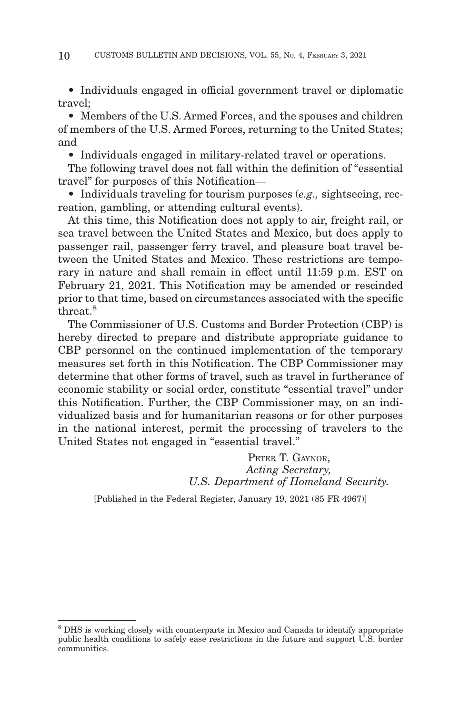• Individuals engaged in official government travel or diplomatic travel;

• Members of the U.S. Armed Forces, and the spouses and children of members of the U.S. Armed Forces, returning to the United States; and

• Individuals engaged in military-related travel or operations.

The following travel does not fall within the definition of ''essential travel'' for purposes of this Notification—

• Individuals traveling for tourism purposes (*e.g.,* sightseeing, recreation, gambling, or attending cultural events).

At this time, this Notification does not apply to air, freight rail, or sea travel between the United States and Mexico, but does apply to passenger rail, passenger ferry travel, and pleasure boat travel between the United States and Mexico. These restrictions are temporary in nature and shall remain in effect until 11:59 p.m. EST on February 21, 2021. This Notification may be amended or rescinded prior to that time, based on circumstances associated with the specific threat.8

The Commissioner of U.S. Customs and Border Protection (CBP) is hereby directed to prepare and distribute appropriate guidance to CBP personnel on the continued implementation of the temporary measures set forth in this Notification. The CBP Commissioner may determine that other forms of travel, such as travel in furtherance of economic stability or social order, constitute "essential travel" under this Notification. Further, the CBP Commissioner may, on an individualized basis and for humanitarian reasons or for other purposes in the national interest, permit the processing of travelers to the United States not engaged in "essential travel."

> PETER T. GAYNOR, *Acting Secretary, U.S. Department of Homeland Security.*

[Published in the Federal Register, January 19, 2021 (85 FR 4967)]

<sup>8</sup> DHS is working closely with counterparts in Mexico and Canada to identify appropriate public health conditions to safely ease restrictions in the future and support U.S. border communities.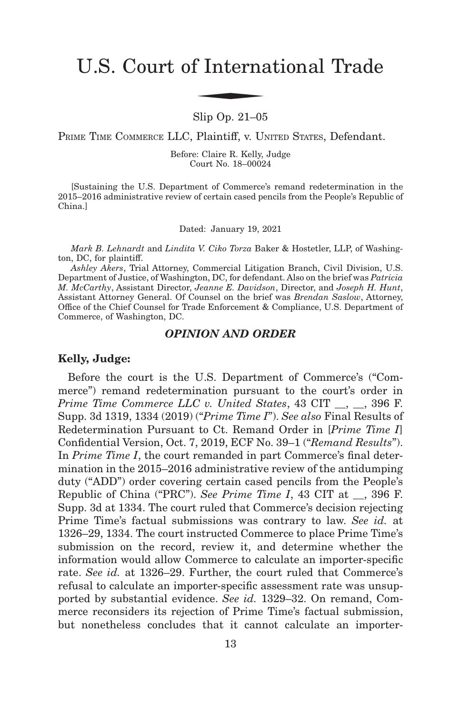# U.S. Court of International Trade f Interna

Slip Op. 21–05

PRIME TIME COMMERCE LLC, Plaintiff, v. UNITED STATES, Defendant.

Before: Claire R. Kelly, Judge Court No. 18–00024

[Sustaining the U.S. Department of Commerce's remand redetermination in the 2015–2016 administrative review of certain cased pencils from the People's Republic of China.]

Dated: January 19, 2021

*Mark B. Lehnardt* and *Lindita V. Ciko Torza* Baker & Hostetler, LLP, of Washington, DC, for plaintiff.

*Ashley Akers*, Trial Attorney, Commercial Litigation Branch, Civil Division, U.S. Department of Justice, of Washington, DC, for defendant. Also on the brief was *Patricia M. McCarthy*, Assistant Director, *Jeanne E. Davidson*, Director, and *Joseph H. Hunt*, Assistant Attorney General. Of Counsel on the brief was *Brendan Saslow*, Attorney, Office of the Chief Counsel for Trade Enforcement & Compliance, U.S. Department of Commerce, of Washington, DC.

#### *OPINION AND ORDER*

#### **Kelly, Judge:**

Before the court is the U.S. Department of Commerce's ("Commerce") remand redetermination pursuant to the court's order in *Prime Time Commerce LLC v. United States*, 43 CIT \_\_, \_\_, 396 F. Supp. 3d 1319, 1334 (2019) ("*Prime Time I*"). *See also* Final Results of Redetermination Pursuant to Ct. Remand Order in [*Prime Time I*] Confidential Version, Oct. 7, 2019, ECF No. 39–1 ("*Remand Results*"). In *Prime Time I*, the court remanded in part Commerce's final determination in the 2015–2016 administrative review of the antidumping duty ("ADD") order covering certain cased pencils from the People's Republic of China ("PRC"). *See Prime Time I*, 43 CIT at \_\_, 396 F. Supp. 3d at 1334. The court ruled that Commerce's decision rejecting Prime Time's factual submissions was contrary to law. *See id.* at 1326–29, 1334. The court instructed Commerce to place Prime Time's submission on the record, review it, and determine whether the information would allow Commerce to calculate an importer-specific rate. *See id.* at 1326–29. Further, the court ruled that Commerce's refusal to calculate an importer-specific assessment rate was unsupported by substantial evidence. *See id.* 1329–32. On remand, Commerce reconsiders its rejection of Prime Time's factual submission, but nonetheless concludes that it cannot calculate an importer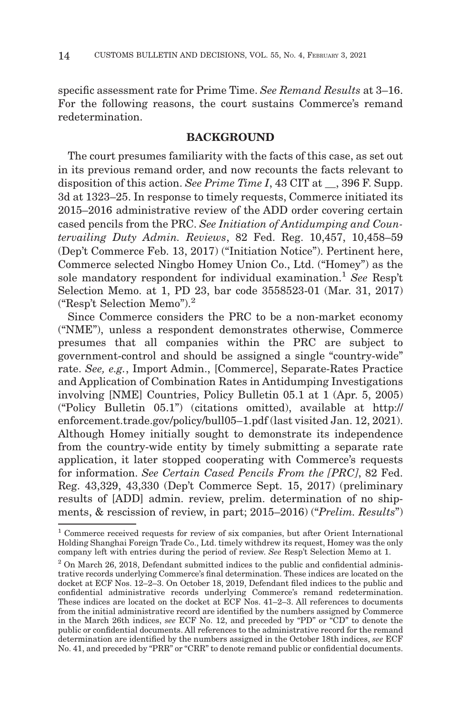specific assessment rate for Prime Time. *See Remand Results* at 3–16. For the following reasons, the court sustains Commerce's remand redetermination.

# **BACKGROUND**

The court presumes familiarity with the facts of this case, as set out in its previous remand order, and now recounts the facts relevant to disposition of this action. *See Prime Time I*, 43 CIT at  $\,$ , 396 F. Supp. 3d at 1323–25. In response to timely requests, Commerce initiated its 2015–2016 administrative review of the ADD order covering certain cased pencils from the PRC. *See Initiation of Antidumping and Countervailing Duty Admin. Reviews*, 82 Fed. Reg. 10,457, 10,458–59 (Dep't Commerce Feb. 13, 2017) ("Initiation Notice"). Pertinent here, Commerce selected Ningbo Homey Union Co., Ltd. ("Homey") as the sole mandatory respondent for individual examination.1 *See* Resp't Selection Memo. at 1, PD 23, bar code 3558523-01 (Mar. 31, 2017) ("Resp't Selection Memo").2

Since Commerce considers the PRC to be a non-market economy ("NME"), unless a respondent demonstrates otherwise, Commerce presumes that all companies within the PRC are subject to government-control and should be assigned a single "country-wide" rate. *See, e.g.*, Import Admin., [Commerce], Separate-Rates Practice and Application of Combination Rates in Antidumping Investigations involving [NME] Countries, Policy Bulletin 05.1 at 1 (Apr. 5, 2005) ("Policy Bulletin 05.1") (citations omitted), available at http:// enforcement.trade.gov/policy/bull05–1.pdf (last visited Jan. 12, 2021). Although Homey initially sought to demonstrate its independence from the country-wide entity by timely submitting a separate rate application, it later stopped cooperating with Commerce's requests for information. *See Certain Cased Pencils From the [PRC]*, 82 Fed. Reg. 43,329, 43,330 (Dep't Commerce Sept. 15, 2017) (preliminary results of [ADD] admin. review, prelim. determination of no shipments, & rescission of review, in part; 2015–2016) ("*Prelim. Results*")

<sup>1</sup> Commerce received requests for review of six companies, but after Orient International Holding Shanghai Foreign Trade Co., Ltd. timely withdrew its request, Homey was the only company left with entries during the period of review. *See* Resp't Selection Memo at 1.

<sup>2</sup> On March 26, 2018, Defendant submitted indices to the public and confidential administrative records underlying Commerce's final determination. These indices are located on the docket at ECF Nos. 12–2–3. On October 18, 2019, Defendant filed indices to the public and confidential administrative records underlying Commerce's remand redetermination. These indices are located on the docket at ECF Nos. 41–2–3. All references to documents from the initial administrative record are identified by the numbers assigned by Commerce in the March 26th indices, *see* ECF No. 12, and preceded by "PD" or "CD" to denote the public or confidential documents. All references to the administrative record for the remand determination are identified by the numbers assigned in the October 18th indices, *see* ECF No. 41, and preceded by "PRR" or "CRR" to denote remand public or confidential documents.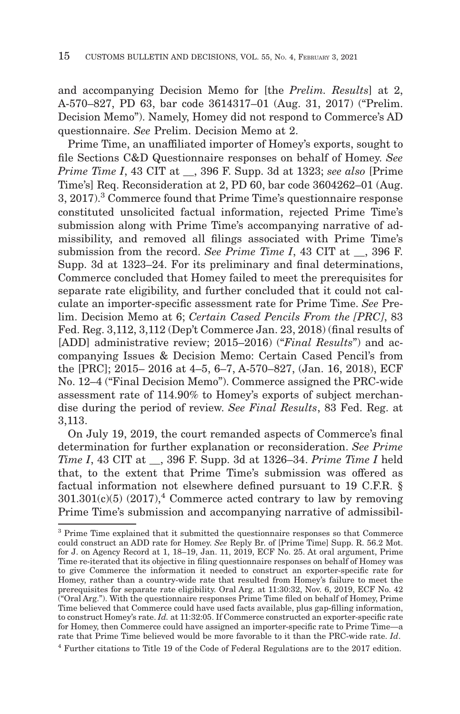and accompanying Decision Memo for [the *Prelim. Results*] at 2, A-570–827, PD 63, bar code 3614317–01 (Aug. 31, 2017) ("Prelim. Decision Memo"). Namely, Homey did not respond to Commerce's AD questionnaire. *See* Prelim. Decision Memo at 2.

Prime Time, an unaffiliated importer of Homey's exports, sought to file Sections C&D Questionnaire responses on behalf of Homey. *See Prime Time I*, 43 CIT at \_\_, 396 F. Supp. 3d at 1323; *see also* [Prime Time's] Req. Reconsideration at 2, PD 60, bar code 3604262–01 (Aug. 3, 2017).3 Commerce found that Prime Time's questionnaire response constituted unsolicited factual information, rejected Prime Time's submission along with Prime Time's accompanying narrative of admissibility, and removed all filings associated with Prime Time's submission from the record. *See Prime Time I*, 43 CIT at \_\_, 396 F. Supp. 3d at 1323–24. For its preliminary and final determinations, Commerce concluded that Homey failed to meet the prerequisites for separate rate eligibility, and further concluded that it could not calculate an importer-specific assessment rate for Prime Time. *See* Prelim. Decision Memo at 6; *Certain Cased Pencils From the [PRC]*, 83 Fed. Reg. 3,112, 3,112 (Dep't Commerce Jan. 23, 2018) (final results of [ADD] administrative review; 2015–2016) ("*Final Results*") and accompanying Issues & Decision Memo: Certain Cased Pencil's from the [PRC]; 2015– 2016 at 4–5, 6–7, A-570–827, (Jan. 16, 2018), ECF No. 12–4 ("Final Decision Memo"). Commerce assigned the PRC-wide assessment rate of 114.90% to Homey's exports of subject merchandise during the period of review. *See Final Results*, 83 Fed. Reg. at 3,113.

On July 19, 2019, the court remanded aspects of Commerce's final determination for further explanation or reconsideration. *See Prime Time I*, 43 CIT at \_\_, 396 F. Supp. 3d at 1326–34. *Prime Time I* held that, to the extent that Prime Time's submission was offered as factual information not elsewhere defined pursuant to 19 C.F.R. §  $301.301(c)(5)$  (2017),<sup>4</sup> Commerce acted contrary to law by removing Prime Time's submission and accompanying narrative of admissibil-

<sup>3</sup> Prime Time explained that it submitted the questionnaire responses so that Commerce could construct an ADD rate for Homey. *See* Reply Br. of [Prime Time] Supp. R. 56.2 Mot. for J. on Agency Record at 1, 18–19, Jan. 11, 2019, ECF No. 25. At oral argument, Prime Time re-iterated that its objective in filing questionnaire responses on behalf of Homey was to give Commerce the information it needed to construct an exporter-specific rate for Homey, rather than a country-wide rate that resulted from Homey's failure to meet the prerequisites for separate rate eligibility. Oral Arg. at 11:30:32, Nov. 6, 2019, ECF No. 42 ("Oral Arg."). With the questionnaire responses Prime Time filed on behalf of Homey, Prime Time believed that Commerce could have used facts available, plus gap-filling information, to construct Homey's rate. *Id.* at 11:32:05. If Commerce constructed an exporter-specific rate for Homey, then Commerce could have assigned an importer-specific rate to Prime Time—a rate that Prime Time believed would be more favorable to it than the PRC-wide rate. *Id*.

<sup>4</sup> Further citations to Title 19 of the Code of Federal Regulations are to the 2017 edition.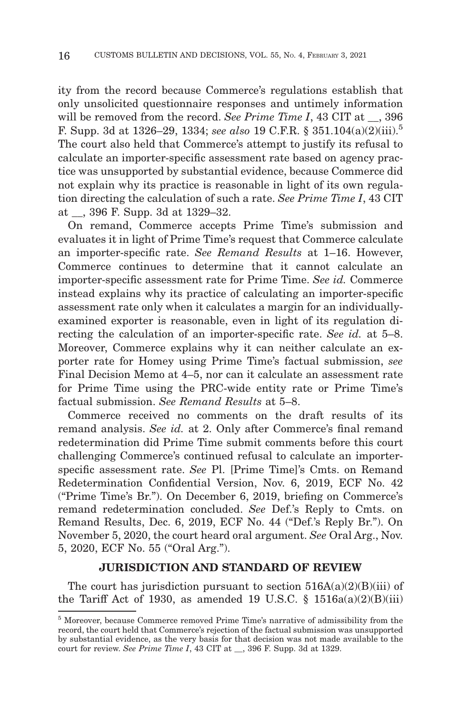ity from the record because Commerce's regulations establish that only unsolicited questionnaire responses and untimely information will be removed from the record. *See Prime Time I*, 43 CIT at  $\,$ , 396 F. Supp. 3d at 1326–29, 1334; *see also* 19 C.F.R. § 351.104(a)(2)(iii).5 The court also held that Commerce's attempt to justify its refusal to calculate an importer-specific assessment rate based on agency practice was unsupported by substantial evidence, because Commerce did not explain why its practice is reasonable in light of its own regulation directing the calculation of such a rate. *See Prime Time I*, 43 CIT at \_\_, 396 F. Supp. 3d at 1329–32.

On remand, Commerce accepts Prime Time's submission and evaluates it in light of Prime Time's request that Commerce calculate an importer-specific rate. *See Remand Results* at 1–16. However, Commerce continues to determine that it cannot calculate an importer-specific assessment rate for Prime Time. *See id.* Commerce instead explains why its practice of calculating an importer-specific assessment rate only when it calculates a margin for an individuallyexamined exporter is reasonable, even in light of its regulation directing the calculation of an importer-specific rate. *See id.* at 5–8. Moreover, Commerce explains why it can neither calculate an exporter rate for Homey using Prime Time's factual submission, *see* Final Decision Memo at 4–5, nor can it calculate an assessment rate for Prime Time using the PRC-wide entity rate or Prime Time's factual submission. *See Remand Results* at 5–8.

Commerce received no comments on the draft results of its remand analysis. *See id.* at 2. Only after Commerce's final remand redetermination did Prime Time submit comments before this court challenging Commerce's continued refusal to calculate an importerspecific assessment rate. *See* Pl. [Prime Time]'s Cmts. on Remand Redetermination Confidential Version, Nov. 6, 2019, ECF No. 42 ("Prime Time's Br."). On December 6, 2019, briefing on Commerce's remand redetermination concluded. *See* Def.'s Reply to Cmts. on Remand Results, Dec. 6, 2019, ECF No. 44 ("Def.'s Reply Br."). On November 5, 2020, the court heard oral argument. *See* Oral Arg., Nov. 5, 2020, ECF No. 55 ("Oral Arg.").

#### **JURISDICTION AND STANDARD OF REVIEW**

The court has jurisdiction pursuant to section  $516A(a)(2)(B)(iii)$  of the Tariff Act of 1930, as amended 19 U.S.C.  $\S$  1516a(a)(2)(B)(iii)

<sup>5</sup> Moreover, because Commerce removed Prime Time's narrative of admissibility from the record, the court held that Commerce's rejection of the factual submission was unsupported by substantial evidence, as the very basis for that decision was not made available to the court for review. *See Prime Time I*, 43 CIT at \_\_, 396 F. Supp. 3d at 1329.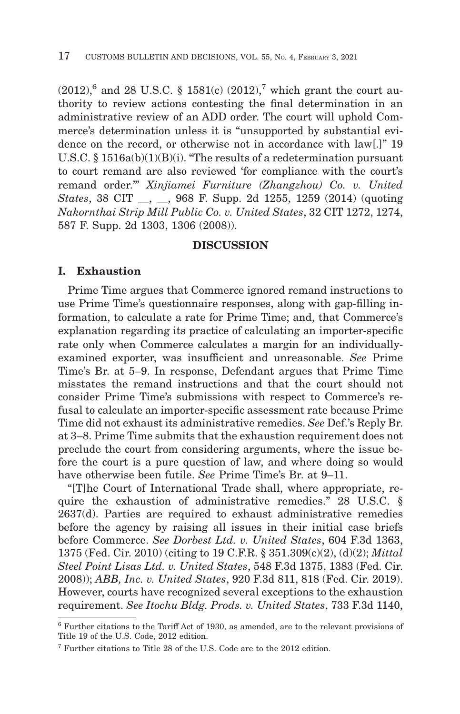$(2012)$ ,<sup>6</sup> and 28 U.S.C. § 1581(c)  $(2012)$ ,<sup>7</sup> which grant the court authority to review actions contesting the final determination in an administrative review of an ADD order. The court will uphold Commerce's determination unless it is "unsupported by substantial evidence on the record, or otherwise not in accordance with law[.]" 19 U.S.C. § 1516a(b)(1)(B)(i). "The results of a redetermination pursuant to court remand are also reviewed 'for compliance with the court's remand order.'" *Xinjiamei Furniture (Zhangzhou) Co. v. United States*, 38 CIT \_\_, \_\_, 968 F. Supp. 2d 1255, 1259 (2014) (quoting *Nakornthai Strip Mill Public Co. v. United States*, 32 CIT 1272, 1274, 587 F. Supp. 2d 1303, 1306 (2008)).

#### **DISCUSSION**

#### **I. Exhaustion**

Prime Time argues that Commerce ignored remand instructions to use Prime Time's questionnaire responses, along with gap-filling information, to calculate a rate for Prime Time; and, that Commerce's explanation regarding its practice of calculating an importer-specific rate only when Commerce calculates a margin for an individuallyexamined exporter, was insufficient and unreasonable. *See* Prime Time's Br. at 5–9. In response, Defendant argues that Prime Time misstates the remand instructions and that the court should not consider Prime Time's submissions with respect to Commerce's refusal to calculate an importer-specific assessment rate because Prime Time did not exhaust its administrative remedies. *See* Def.'s Reply Br. at 3–8. Prime Time submits that the exhaustion requirement does not preclude the court from considering arguments, where the issue before the court is a pure question of law, and where doing so would have otherwise been futile. *See* Prime Time's Br. at 9–11.

"[T]he Court of International Trade shall, where appropriate, require the exhaustion of administrative remedies." 28 U.S.C. § 2637(d). Parties are required to exhaust administrative remedies before the agency by raising all issues in their initial case briefs before Commerce. *See Dorbest Ltd. v. United States*, 604 F.3d 1363, 1375 (Fed. Cir. 2010) (citing to 19 C.F.R. § 351.309(c)(2), (d)(2); *Mittal Steel Point Lisas Ltd. v. United States*, 548 F.3d 1375, 1383 (Fed. Cir. 2008)); *ABB, Inc. v. United States*, 920 F.3d 811, 818 (Fed. Cir. 2019). However, courts have recognized several exceptions to the exhaustion requirement. *See Itochu Bldg. Prods. v. United States*, 733 F.3d 1140,

<sup>6</sup> Further citations to the Tariff Act of 1930, as amended, are to the relevant provisions of Title 19 of the U.S. Code, 2012 edition.

<sup>7</sup> Further citations to Title 28 of the U.S. Code are to the 2012 edition.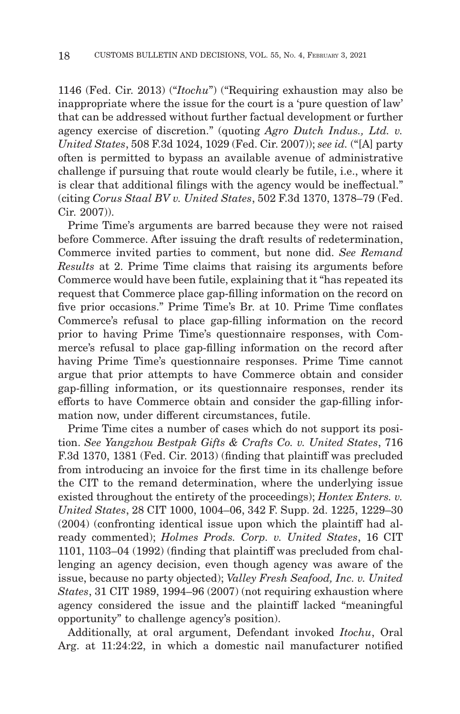1146 (Fed. Cir. 2013) ("*Itochu*") ("Requiring exhaustion may also be inappropriate where the issue for the court is a 'pure question of law' that can be addressed without further factual development or further agency exercise of discretion." (quoting *Agro Dutch Indus., Ltd. v. United States*, 508 F.3d 1024, 1029 (Fed. Cir. 2007)); *see id.* ("[A] party often is permitted to bypass an available avenue of administrative challenge if pursuing that route would clearly be futile, i.e., where it is clear that additional filings with the agency would be ineffectual." (citing *Corus Staal BV v. United States*, 502 F.3d 1370, 1378–79 (Fed. Cir. 2007)).

Prime Time's arguments are barred because they were not raised before Commerce. After issuing the draft results of redetermination, Commerce invited parties to comment, but none did. *See Remand Results* at 2. Prime Time claims that raising its arguments before Commerce would have been futile, explaining that it "has repeated its request that Commerce place gap-filling information on the record on five prior occasions." Prime Time's Br. at 10. Prime Time conflates Commerce's refusal to place gap-filling information on the record prior to having Prime Time's questionnaire responses, with Commerce's refusal to place gap-filling information on the record after having Prime Time's questionnaire responses. Prime Time cannot argue that prior attempts to have Commerce obtain and consider gap-filling information, or its questionnaire responses, render its efforts to have Commerce obtain and consider the gap-filling information now, under different circumstances, futile.

Prime Time cites a number of cases which do not support its position. *See Yangzhou Bestpak Gifts & Crafts Co. v. United States*, 716 F.3d 1370, 1381 (Fed. Cir. 2013) (finding that plaintiff was precluded from introducing an invoice for the first time in its challenge before the CIT to the remand determination, where the underlying issue existed throughout the entirety of the proceedings); *Hontex Enters. v. United States*, 28 CIT 1000, 1004–06, 342 F. Supp. 2d. 1225, 1229–30 (2004) (confronting identical issue upon which the plaintiff had already commented); *Holmes Prods. Corp. v. United States*, 16 CIT 1101, 1103–04 (1992) (finding that plaintiff was precluded from challenging an agency decision, even though agency was aware of the issue, because no party objected); *Valley Fresh Seafood, Inc. v. United States*, 31 CIT 1989, 1994–96 (2007) (not requiring exhaustion where agency considered the issue and the plaintiff lacked "meaningful opportunity" to challenge agency's position).

Additionally, at oral argument, Defendant invoked *Itochu*, Oral Arg. at 11:24:22, in which a domestic nail manufacturer notified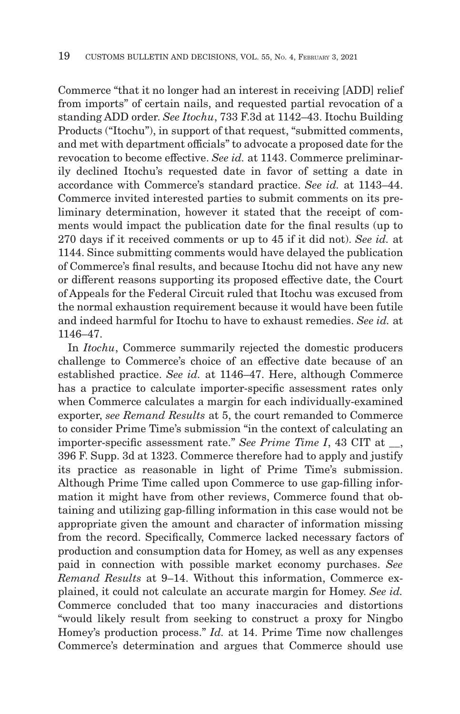Commerce "that it no longer had an interest in receiving [ADD] relief from imports" of certain nails, and requested partial revocation of a standing ADD order. *See Itochu*, 733 F.3d at 1142–43. Itochu Building Products ("Itochu"), in support of that request, "submitted comments, and met with department officials" to advocate a proposed date for the revocation to become effective. *See id.* at 1143. Commerce preliminarily declined Itochu's requested date in favor of setting a date in accordance with Commerce's standard practice. *See id.* at 1143–44. Commerce invited interested parties to submit comments on its preliminary determination, however it stated that the receipt of comments would impact the publication date for the final results (up to 270 days if it received comments or up to 45 if it did not). *See id.* at 1144. Since submitting comments would have delayed the publication of Commerce's final results, and because Itochu did not have any new or different reasons supporting its proposed effective date, the Court of Appeals for the Federal Circuit ruled that Itochu was excused from the normal exhaustion requirement because it would have been futile and indeed harmful for Itochu to have to exhaust remedies. *See id.* at 1146–47.

In *Itochu*, Commerce summarily rejected the domestic producers challenge to Commerce's choice of an effective date because of an established practice. *See id.* at 1146–47. Here, although Commerce has a practice to calculate importer-specific assessment rates only when Commerce calculates a margin for each individually-examined exporter, *see Remand Results* at 5, the court remanded to Commerce to consider Prime Time's submission "in the context of calculating an importer-specific assessment rate." *See Prime Time I*, 43 CIT at \_\_, 396 F. Supp. 3d at 1323. Commerce therefore had to apply and justify its practice as reasonable in light of Prime Time's submission. Although Prime Time called upon Commerce to use gap-filling information it might have from other reviews, Commerce found that obtaining and utilizing gap-filling information in this case would not be appropriate given the amount and character of information missing from the record. Specifically, Commerce lacked necessary factors of production and consumption data for Homey, as well as any expenses paid in connection with possible market economy purchases. *See Remand Results* at 9–14. Without this information, Commerce explained, it could not calculate an accurate margin for Homey. *See id.* Commerce concluded that too many inaccuracies and distortions "would likely result from seeking to construct a proxy for Ningbo Homey's production process." *Id.* at 14. Prime Time now challenges Commerce's determination and argues that Commerce should use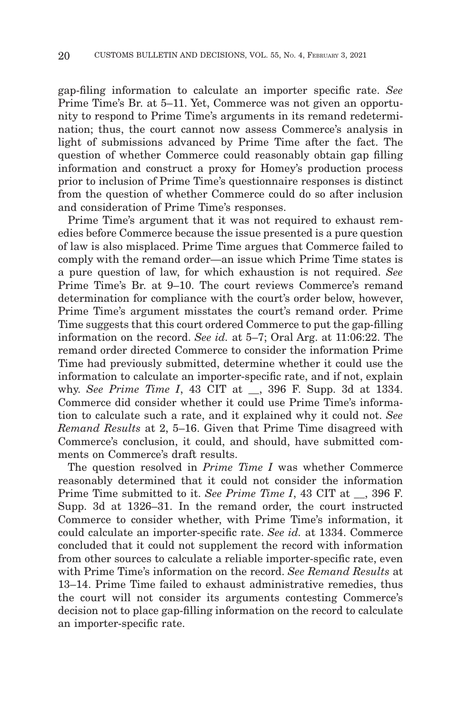gap-filing information to calculate an importer specific rate. *See* Prime Time's Br. at 5–11. Yet, Commerce was not given an opportunity to respond to Prime Time's arguments in its remand redetermination; thus, the court cannot now assess Commerce's analysis in light of submissions advanced by Prime Time after the fact. The question of whether Commerce could reasonably obtain gap filling information and construct a proxy for Homey's production process prior to inclusion of Prime Time's questionnaire responses is distinct from the question of whether Commerce could do so after inclusion and consideration of Prime Time's responses.

Prime Time's argument that it was not required to exhaust remedies before Commerce because the issue presented is a pure question of law is also misplaced. Prime Time argues that Commerce failed to comply with the remand order—an issue which Prime Time states is a pure question of law, for which exhaustion is not required. *See* Prime Time's Br. at 9–10. The court reviews Commerce's remand determination for compliance with the court's order below, however, Prime Time's argument misstates the court's remand order. Prime Time suggests that this court ordered Commerce to put the gap-filling information on the record. *See id.* at 5–7; Oral Arg. at 11:06:22. The remand order directed Commerce to consider the information Prime Time had previously submitted, determine whether it could use the information to calculate an importer-specific rate, and if not, explain why. *See Prime Time I*, 43 CIT at \_\_, 396 F. Supp. 3d at 1334. Commerce did consider whether it could use Prime Time's information to calculate such a rate, and it explained why it could not. *See Remand Results* at 2, 5–16. Given that Prime Time disagreed with Commerce's conclusion, it could, and should, have submitted comments on Commerce's draft results.

The question resolved in *Prime Time I* was whether Commerce reasonably determined that it could not consider the information Prime Time submitted to it. *See Prime Time I*, 43 CIT at , 396 F. Supp. 3d at 1326–31. In the remand order, the court instructed Commerce to consider whether, with Prime Time's information, it could calculate an importer-specific rate. *See id.* at 1334. Commerce concluded that it could not supplement the record with information from other sources to calculate a reliable importer-specific rate, even with Prime Time's information on the record. *See Remand Results* at 13–14. Prime Time failed to exhaust administrative remedies, thus the court will not consider its arguments contesting Commerce's decision not to place gap-filling information on the record to calculate an importer-specific rate.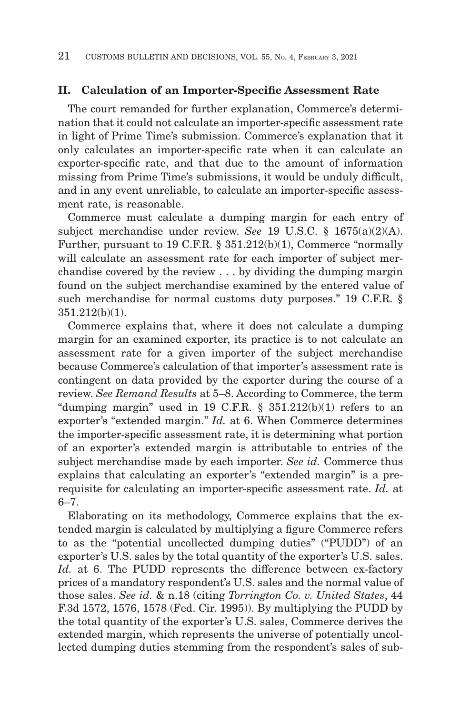#### **II. Calculation of an Importer-Specific Assessment Rate**

The court remanded for further explanation, Commerce's determination that it could not calculate an importer-specific assessment rate in light of Prime Time's submission. Commerce's explanation that it only calculates an importer-specific rate when it can calculate an exporter-specific rate, and that due to the amount of information missing from Prime Time's submissions, it would be unduly difficult, and in any event unreliable, to calculate an importer-specific assessment rate, is reasonable.

Commerce must calculate a dumping margin for each entry of subject merchandise under review. *See* 19 U.S.C. § 1675(a)(2)(A). Further, pursuant to 19 C.F.R. § 351.212(b)(1), Commerce "normally will calculate an assessment rate for each importer of subject merchandise covered by the review . . . by dividing the dumping margin found on the subject merchandise examined by the entered value of such merchandise for normal customs duty purposes." 19 C.F.R. § 351.212(b)(1).

Commerce explains that, where it does not calculate a dumping margin for an examined exporter, its practice is to not calculate an assessment rate for a given importer of the subject merchandise because Commerce's calculation of that importer's assessment rate is contingent on data provided by the exporter during the course of a review. *See Remand Results* at 5–8. According to Commerce, the term "dumping margin" used in 19 C.F.R.  $\S$  351.212(b)(1) refers to an exporter's "extended margin." *Id.* at 6. When Commerce determines the importer-specific assessment rate, it is determining what portion of an exporter's extended margin is attributable to entries of the subject merchandise made by each importer. *See id.* Commerce thus explains that calculating an exporter's "extended margin" is a prerequisite for calculating an importer-specific assessment rate. *Id.* at 6–7.

Elaborating on its methodology, Commerce explains that the extended margin is calculated by multiplying a figure Commerce refers to as the "potential uncollected dumping duties" ("PUDD") of an exporter's U.S. sales by the total quantity of the exporter's U.S. sales. Id. at 6. The PUDD represents the difference between ex-factory prices of a mandatory respondent's U.S. sales and the normal value of those sales. *See id.* & n.18 (citing *Torrington Co. v. United States*, 44 F.3d 1572, 1576, 1578 (Fed. Cir. 1995)). By multiplying the PUDD by the total quantity of the exporter's U.S. sales, Commerce derives the extended margin, which represents the universe of potentially uncollected dumping duties stemming from the respondent's sales of sub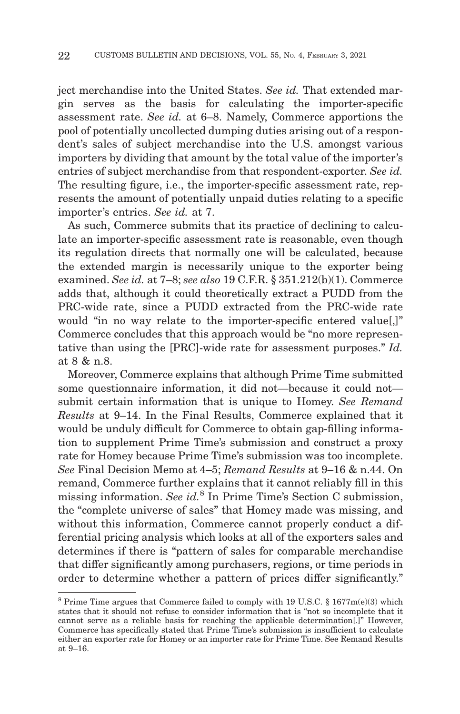ject merchandise into the United States. *See id.* That extended margin serves as the basis for calculating the importer-specific assessment rate. *See id.* at 6–8. Namely, Commerce apportions the pool of potentially uncollected dumping duties arising out of a respondent's sales of subject merchandise into the U.S. amongst various importers by dividing that amount by the total value of the importer's entries of subject merchandise from that respondent-exporter. *See id.* The resulting figure, i.e., the importer-specific assessment rate, represents the amount of potentially unpaid duties relating to a specific importer's entries. *See id.* at 7.

As such, Commerce submits that its practice of declining to calculate an importer-specific assessment rate is reasonable, even though its regulation directs that normally one will be calculated, because the extended margin is necessarily unique to the exporter being examined. *See id.* at 7–8; *see also* 19 C.F.R. § 351.212(b)(1). Commerce adds that, although it could theoretically extract a PUDD from the PRC-wide rate, since a PUDD extracted from the PRC-wide rate would "in no way relate to the importer-specific entered value.]" Commerce concludes that this approach would be "no more representative than using the [PRC]-wide rate for assessment purposes." *Id.* at 8 & n.8.

Moreover, Commerce explains that although Prime Time submitted some questionnaire information, it did not—because it could not submit certain information that is unique to Homey. *See Remand Results* at 9–14. In the Final Results, Commerce explained that it would be unduly difficult for Commerce to obtain gap-filling information to supplement Prime Time's submission and construct a proxy rate for Homey because Prime Time's submission was too incomplete. *See* Final Decision Memo at 4–5; *Remand Results* at 9–16 & n.44. On remand, Commerce further explains that it cannot reliably fill in this missing information. *See id.*8 In Prime Time's Section C submission, the "complete universe of sales" that Homey made was missing, and without this information, Commerce cannot properly conduct a differential pricing analysis which looks at all of the exporters sales and determines if there is "pattern of sales for comparable merchandise that differ significantly among purchasers, regions, or time periods in order to determine whether a pattern of prices differ significantly."

 $8$  Prime Time argues that Commerce failed to comply with 19 U.S.C. § 1677m(e)(3) which states that it should not refuse to consider information that is "not so incomplete that it cannot serve as a reliable basis for reaching the applicable determination[.]" However, Commerce has specifically stated that Prime Time's submission is insufficient to calculate either an exporter rate for Homey or an importer rate for Prime Time. See Remand Results at 9–16.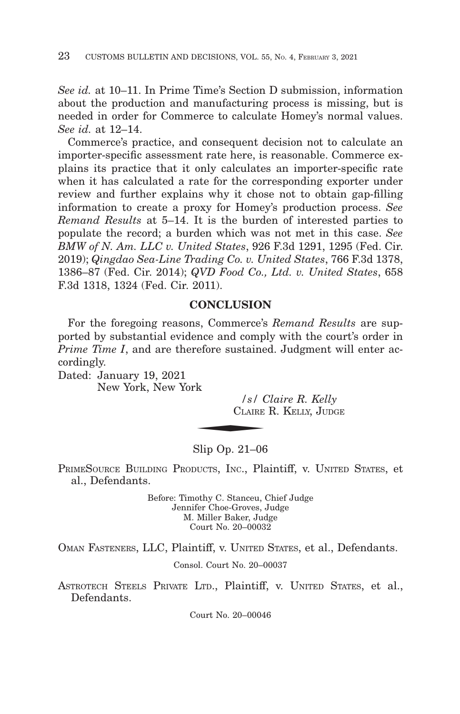*See id.* at 10–11. In Prime Time's Section D submission, information about the production and manufacturing process is missing, but is needed in order for Commerce to calculate Homey's normal values. *See id.* at 12–14.

Commerce's practice, and consequent decision not to calculate an importer-specific assessment rate here, is reasonable. Commerce explains its practice that it only calculates an importer-specific rate when it has calculated a rate for the corresponding exporter under review and further explains why it chose not to obtain gap-filling information to create a proxy for Homey's production process. *See Remand Results* at 5–14. It is the burden of interested parties to populate the record; a burden which was not met in this case. *See BMW of N. Am. LLC v. United States*, 926 F.3d 1291, 1295 (Fed. Cir. 2019); *Qingdao Sea-Line Trading Co. v. United States*, 766 F.3d 1378, 1386–87 (Fed. Cir. 2014); *QVD Food Co., Ltd. v. United States*, 658 F.3d 1318, 1324 (Fed. Cir. 2011).

#### **CONCLUSION**

For the foregoing reasons, Commerce's *Remand Results* are supported by substantial evidence and comply with the court's order in *Prime Time I*, and are therefore sustained. Judgment will enter accordingly.  $\begin{array}{c|c}\n\hline\n\text{rk} & & /s / C \\
\hline\n\text{CALARE} & & \\
\hline\n\end{array}$ 

Dated: January 19, 2021 New York, New York

*/s/ Claire R. Kelly* CLAIRE R. KELLY, JUDGE

#### Slip Op. 21–06

PRIMESOURCE BUILDING PRODUCTS, INC., Plaintiff, v. UNITED STATES, et al., Defendants.

> Before: Timothy C. Stanceu, Chief Judge Jennifer Choe-Groves, Judge M. Miller Baker, Judge Court No. 20–00032

OMAN FASTENERS, LLC, Plaintiff, v. UNITED STATES, et al., Defendants.

Consol. Court No. 20–00037

ASTROTECH STEELS PRIVATE LTD., Plaintiff, v. UNITED STATES, et al., Defendants.

Court No. 20–00046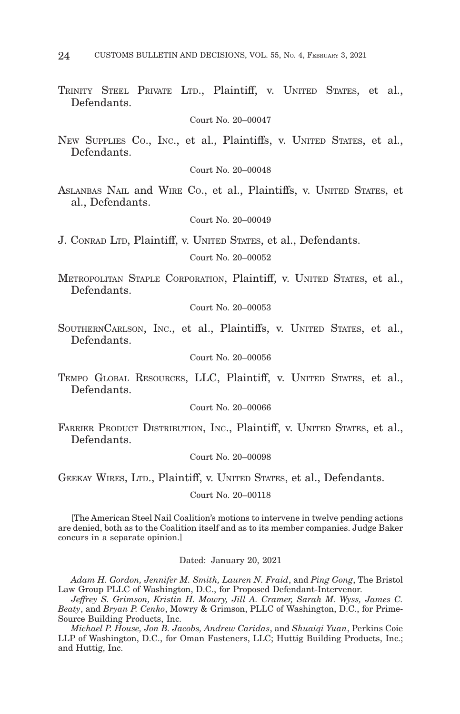TRINITY STEEL PRIVATE LTD., Plaintiff, v. UNITED STATES, et al., Defendants.

Court No. 20–00047

NEW SUPPLIES CO., INC., et al., Plaintiffs, v. UNITED STATES, et al., Defendants.

Court No. 20–00048

ASLANBAS NAIL and WIRE CO., et al., Plaintiffs, v. UNITED STATES, et al., Defendants.

Court No. 20–00049

J. CONRAD LTD, Plaintiff, v. UNITED STATES, et al., Defendants.

Court No. 20–00052

METROPOLITAN STAPLE CORPORATION, Plaintiff, v. UNITED STATES, et al., Defendants.

Court No. 20–00053

SOUTHERNCARLSON, INC., et al., Plaintiffs, v. UNITED STATES, et al., Defendants.

Court No. 20–00056

TEMPO GLOBAL RESOURCES, LLC, Plaintiff, v. UNITED STATES, et al., Defendants.

Court No. 20–00066

FARRIER PRODUCT DISTRIBUTION, INC., Plaintiff, v. UNITED STATES, et al., Defendants.

Court No. 20–00098

GEEKAY WIRES, LTD., Plaintiff, v. UNITED STATES, et al., Defendants.

Court No. 20–00118

[The American Steel Nail Coalition's motions to intervene in twelve pending actions are denied, both as to the Coalition itself and as to its member companies. Judge Baker concurs in a separate opinion.]

Dated: January 20, 2021

*Adam H. Gordon, Jennifer M. Smith, Lauren N. Fraid*, and *Ping Gong*, The Bristol Law Group PLLC of Washington, D.C., for Proposed Defendant-Intervenor.

*Jeffrey S. Grimson, Kristin H. Mowry, Jill A. Cramer, Sarah M. Wyss, James C. Beaty*, and *Bryan P. Cenko*, Mowry & Grimson, PLLC of Washington, D.C., for Prime-Source Building Products, Inc.

*Michael P. House, Jon B. Jacobs, Andrew Caridas*, and *Shuaiqi Yuan*, Perkins Coie LLP of Washington, D.C., for Oman Fasteners, LLC; Huttig Building Products, Inc.; and Huttig, Inc.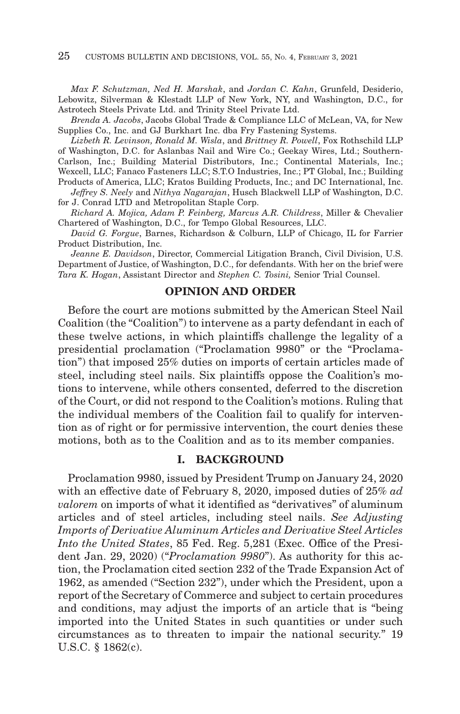*Max F. Schutzman, Ned H. Marshak*, and *Jordan C. Kahn*, Grunfeld, Desiderio, Lebowitz, Silverman & Klestadt LLP of New York, NY, and Washington, D.C., for Astrotech Steels Private Ltd. and Trinity Steel Private Ltd.

*Brenda A. Jacobs*, Jacobs Global Trade & Compliance LLC of McLean, VA, for New Supplies Co., Inc. and GJ Burkhart Inc. dba Fry Fastening Systems.

*Lizbeth R. Levinson, Ronald M. Wisla*, and *Brittney R. Powell*, Fox Rothschild LLP of Washington, D.C. for Aslanbas Nail and Wire Co.; Geekay Wires, Ltd.; Southern-Carlson, Inc.; Building Material Distributors, Inc.; Continental Materials, Inc.;

Wexcell, LLC; Fanaco Fasteners LLC; S.T.O Industries, Inc.; PT Global, Inc.; Building

- Products of America, LLC; Kratos Building Products, Inc.; and DC International, Inc. *Jeffrey S. Neely* and *Nithya Nagarajan*, Husch Blackwell LLP of Washington, D.C.
- for J. Conrad LTD and Metropolitan Staple Corp.

*Richard A. Mojica, Adam P. Feinberg, Marcus A.R. Childress*, Miller & Chevalier Chartered of Washington, D.C., for Tempo Global Resources, LLC.

*David G. Forgue*, Barnes, Richardson & Colburn, LLP of Chicago, IL for Farrier Product Distribution, Inc.

*Jeanne E. Davidson*, Director, Commercial Litigation Branch, Civil Division, U.S. Department of Justice, of Washington, D.C., for defendants. With her on the brief were *Tara K. Hogan*, Assistant Director and *Stephen C. Tosini,* Senior Trial Counsel.

#### **OPINION AND ORDER**

Before the court are motions submitted by the American Steel Nail Coalition (the "Coalition") to intervene as a party defendant in each of these twelve actions, in which plaintiffs challenge the legality of a presidential proclamation ("Proclamation 9980" or the "Proclamation") that imposed 25% duties on imports of certain articles made of steel, including steel nails. Six plaintiffs oppose the Coalition's motions to intervene, while others consented, deferred to the discretion of the Court, or did not respond to the Coalition's motions. Ruling that the individual members of the Coalition fail to qualify for intervention as of right or for permissive intervention, the court denies these motions, both as to the Coalition and as to its member companies.

#### **I. BACKGROUND**

Proclamation 9980, issued by President Trump on January 24, 2020 with an effective date of February 8, 2020, imposed duties of 25% *ad valorem* on imports of what it identified as "derivatives" of aluminum articles and of steel articles, including steel nails. *See Adjusting Imports of Derivative Aluminum Articles and Derivative Steel Articles Into the United States*, 85 Fed. Reg. 5,281 (Exec. Office of the President Jan. 29, 2020) ("*Proclamation 9980*"). As authority for this action, the Proclamation cited section 232 of the Trade Expansion Act of 1962, as amended ("Section 232"), under which the President, upon a report of the Secretary of Commerce and subject to certain procedures and conditions, may adjust the imports of an article that is "being imported into the United States in such quantities or under such circumstances as to threaten to impair the national security." 19 U.S.C. § 1862(c).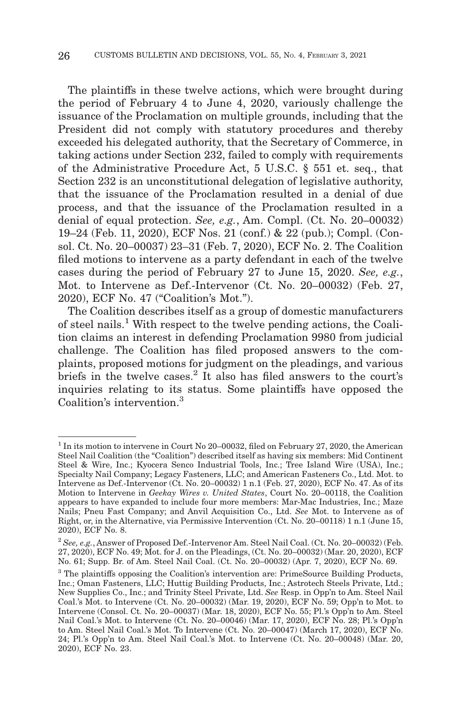The plaintiffs in these twelve actions, which were brought during the period of February 4 to June 4, 2020, variously challenge the issuance of the Proclamation on multiple grounds, including that the President did not comply with statutory procedures and thereby exceeded his delegated authority, that the Secretary of Commerce, in taking actions under Section 232, failed to comply with requirements of the Administrative Procedure Act, 5 U.S.C. § 551 et. seq., that Section 232 is an unconstitutional delegation of legislative authority, that the issuance of the Proclamation resulted in a denial of due process, and that the issuance of the Proclamation resulted in a denial of equal protection. *See, e.g.*, Am. Compl. (Ct. No. 20–00032) 19–24 (Feb. 11, 2020), ECF Nos. 21 (conf.) & 22 (pub.); Compl. (Consol. Ct. No. 20–00037) 23–31 (Feb. 7, 2020), ECF No. 2. The Coalition filed motions to intervene as a party defendant in each of the twelve cases during the period of February 27 to June 15, 2020. *See, e.g.*, Mot. to Intervene as Def.-Intervenor (Ct. No. 20–00032) (Feb. 27, 2020), ECF No. 47 ("Coalition's Mot.").

The Coalition describes itself as a group of domestic manufacturers of steel nails.1 With respect to the twelve pending actions, the Coalition claims an interest in defending Proclamation 9980 from judicial challenge. The Coalition has filed proposed answers to the complaints, proposed motions for judgment on the pleadings, and various briefs in the twelve cases.<sup>2</sup> It also has filed answers to the court's inquiries relating to its status. Some plaintiffs have opposed the Coalition's intervention.3

 $1$  In its motion to intervene in Court No 20–00032, filed on February 27, 2020, the American Steel Nail Coalition (the "Coalition") described itself as having six members: Mid Continent Steel & Wire, Inc.; Kyocera Senco Industrial Tools, Inc.; Tree Island Wire (USA), Inc.; Specialty Nail Company; Legacy Fasteners, LLC; and American Fasteners Co., Ltd. Mot. to Intervene as Def.-Intervenor (Ct. No. 20–00032) 1 n.1 (Feb. 27, 2020), ECF No. 47. As of its Motion to Intervene in *Geekay Wires v. United States*, Court No. 20–00118, the Coalition appears to have expanded to include four more members: Mar-Mac Industries, Inc.; Maze Nails; Pneu Fast Company; and Anvil Acquisition Co., Ltd. *See* Mot. to Intervene as of Right, or, in the Alternative, via Permissive Intervention (Ct. No. 20–00118) 1 n.1 (June 15, 2020), ECF No. 8.

<sup>2</sup>*See, e.g.*, Answer of Proposed Def.-Intervenor Am. Steel Nail Coal. (Ct. No. 20–00032) (Feb. 27, 2020), ECF No. 49; Mot. for J. on the Pleadings, (Ct. No. 20–00032) (Mar. 20, 2020), ECF No. 61; Supp. Br. of Am. Steel Nail Coal. (Ct. No. 20–00032) (Apr. 7, 2020), ECF No. 69.

<sup>&</sup>lt;sup>3</sup> The plaintiffs opposing the Coalition's intervention are: PrimeSource Building Products, Inc.; Oman Fasteners, LLC; Huttig Building Products, Inc.; Astrotech Steels Private, Ltd.; New Supplies Co., Inc.; and Trinity Steel Private, Ltd. *See* Resp. in Opp'n to Am. Steel Nail Coal.'s Mot. to Intervene (Ct. No. 20–00032) (Mar. 19, 2020), ECF No. 59; Opp'n to Mot. to Intervene (Consol. Ct. No. 20–00037) (Mar. 18, 2020), ECF No. 55; Pl.'s Opp'n to Am. Steel Nail Coal.'s Mot. to Intervene (Ct. No. 20–00046) (Mar. 17, 2020), ECF No. 28; Pl.'s Opp'n to Am. Steel Nail Coal.'s Mot. To Intervene (Ct. No. 20–00047) (March 17, 2020), ECF No. 24; Pl.'s Opp'n to Am. Steel Nail Coal.'s Mot. to Intervene (Ct. No. 20–00048) (Mar. 20, 2020), ECF No. 23.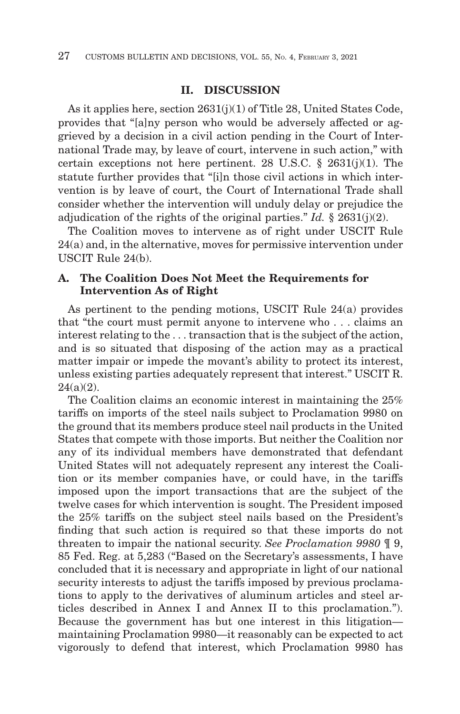#### **II. DISCUSSION**

As it applies here, section 2631(j)(1) of Title 28, United States Code, provides that "[a]ny person who would be adversely affected or aggrieved by a decision in a civil action pending in the Court of International Trade may, by leave of court, intervene in such action," with certain exceptions not here pertinent. 28 U.S.C.  $\S$  2631(j)(1). The statute further provides that "[i]n those civil actions in which intervention is by leave of court, the Court of International Trade shall consider whether the intervention will unduly delay or prejudice the adjudication of the rights of the original parties." *Id.* § 2631(j)(2).

The Coalition moves to intervene as of right under USCIT Rule 24(a) and, in the alternative, moves for permissive intervention under USCIT Rule 24(b).

# **A. The Coalition Does Not Meet the Requirements for Intervention As of Right**

As pertinent to the pending motions, USCIT Rule 24(a) provides that "the court must permit anyone to intervene who . . . claims an interest relating to the . . . transaction that is the subject of the action, and is so situated that disposing of the action may as a practical matter impair or impede the movant's ability to protect its interest, unless existing parties adequately represent that interest." USCIT R.  $24(a)(2)$ .

The Coalition claims an economic interest in maintaining the 25% tariffs on imports of the steel nails subject to Proclamation 9980 on the ground that its members produce steel nail products in the United States that compete with those imports. But neither the Coalition nor any of its individual members have demonstrated that defendant United States will not adequately represent any interest the Coalition or its member companies have, or could have, in the tariffs imposed upon the import transactions that are the subject of the twelve cases for which intervention is sought. The President imposed the 25% tariffs on the subject steel nails based on the President's finding that such action is required so that these imports do not threaten to impair the national security. *See Proclamation 9980* ¶ 9, 85 Fed. Reg. at 5,283 ("Based on the Secretary's assessments, I have concluded that it is necessary and appropriate in light of our national security interests to adjust the tariffs imposed by previous proclamations to apply to the derivatives of aluminum articles and steel articles described in Annex I and Annex II to this proclamation."). Because the government has but one interest in this litigation maintaining Proclamation 9980—it reasonably can be expected to act vigorously to defend that interest, which Proclamation 9980 has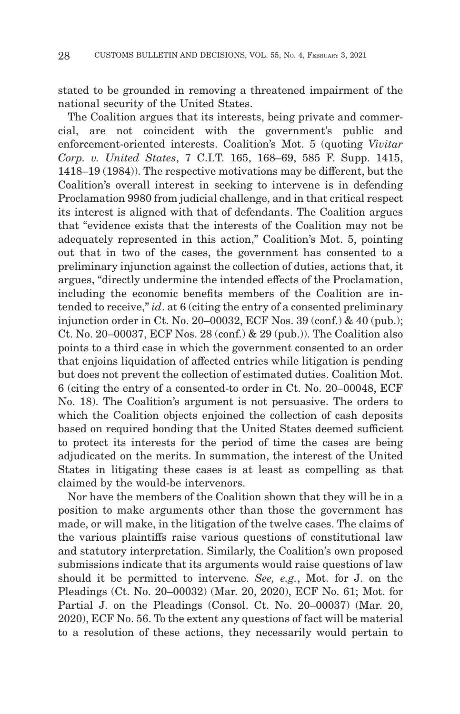stated to be grounded in removing a threatened impairment of the national security of the United States.

The Coalition argues that its interests, being private and commercial, are not coincident with the government's public and enforcement-oriented interests. Coalition's Mot. 5 (quoting *Vivitar Corp. v. United States*, 7 C.I.T. 165, 168–69, 585 F. Supp. 1415, 1418–19 (1984)). The respective motivations may be different, but the Coalition's overall interest in seeking to intervene is in defending Proclamation 9980 from judicial challenge, and in that critical respect its interest is aligned with that of defendants. The Coalition argues that "evidence exists that the interests of the Coalition may not be adequately represented in this action," Coalition's Mot. 5, pointing out that in two of the cases, the government has consented to a preliminary injunction against the collection of duties, actions that, it argues, "directly undermine the intended effects of the Proclamation, including the economic benefits members of the Coalition are intended to receive," *id*. at 6 (citing the entry of a consented preliminary injunction order in Ct. No. 20–00032, ECF Nos. 39 (conf.) & 40 (pub.); Ct. No. 20–00037, ECF Nos. 28 (conf.) & 29 (pub.)). The Coalition also points to a third case in which the government consented to an order that enjoins liquidation of affected entries while litigation is pending but does not prevent the collection of estimated duties. Coalition Mot. 6 (citing the entry of a consented-to order in Ct. No. 20–00048, ECF No. 18). The Coalition's argument is not persuasive. The orders to which the Coalition objects enjoined the collection of cash deposits based on required bonding that the United States deemed sufficient to protect its interests for the period of time the cases are being adjudicated on the merits. In summation, the interest of the United States in litigating these cases is at least as compelling as that claimed by the would-be intervenors.

Nor have the members of the Coalition shown that they will be in a position to make arguments other than those the government has made, or will make, in the litigation of the twelve cases. The claims of the various plaintiffs raise various questions of constitutional law and statutory interpretation. Similarly, the Coalition's own proposed submissions indicate that its arguments would raise questions of law should it be permitted to intervene. *See, e.g.*, Mot. for J. on the Pleadings (Ct. No. 20–00032) (Mar. 20, 2020), ECF No. 61; Mot. for Partial J. on the Pleadings (Consol. Ct. No. 20–00037) (Mar. 20, 2020), ECF No. 56. To the extent any questions of fact will be material to a resolution of these actions, they necessarily would pertain to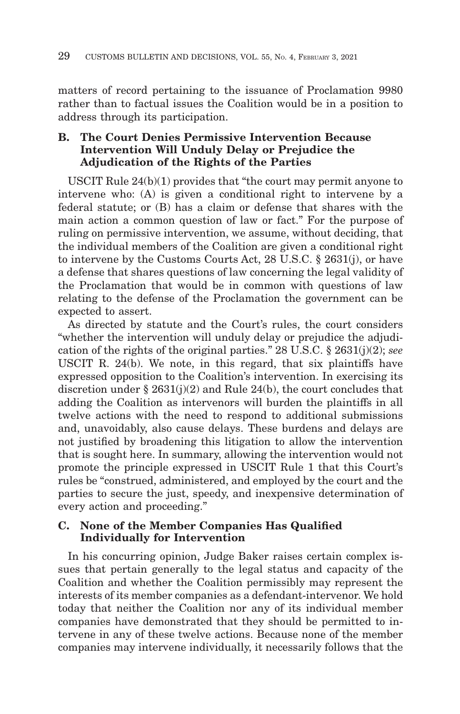matters of record pertaining to the issuance of Proclamation 9980 rather than to factual issues the Coalition would be in a position to address through its participation.

# **B. The Court Denies Permissive Intervention Because Intervention Will Unduly Delay or Prejudice the Adjudication of the Rights of the Parties**

USCIT Rule 24(b)(1) provides that "the court may permit anyone to intervene who: (A) is given a conditional right to intervene by a federal statute; or (B) has a claim or defense that shares with the main action a common question of law or fact." For the purpose of ruling on permissive intervention, we assume, without deciding, that the individual members of the Coalition are given a conditional right to intervene by the Customs Courts Act, 28 U.S.C. § 2631(j), or have a defense that shares questions of law concerning the legal validity of the Proclamation that would be in common with questions of law relating to the defense of the Proclamation the government can be expected to assert.

As directed by statute and the Court's rules, the court considers "whether the intervention will unduly delay or prejudice the adjudication of the rights of the original parties." 28 U.S.C. § 2631(j)(2); *see* USCIT R. 24(b). We note, in this regard, that six plaintiffs have expressed opposition to the Coalition's intervention. In exercising its discretion under § 2631(j)(2) and Rule 24(b), the court concludes that adding the Coalition as intervenors will burden the plaintiffs in all twelve actions with the need to respond to additional submissions and, unavoidably, also cause delays. These burdens and delays are not justified by broadening this litigation to allow the intervention that is sought here. In summary, allowing the intervention would not promote the principle expressed in USCIT Rule 1 that this Court's rules be "construed, administered, and employed by the court and the parties to secure the just, speedy, and inexpensive determination of every action and proceeding."

#### **C. None of the Member Companies Has Qualified Individually for Intervention**

In his concurring opinion, Judge Baker raises certain complex issues that pertain generally to the legal status and capacity of the Coalition and whether the Coalition permissibly may represent the interests of its member companies as a defendant-intervenor. We hold today that neither the Coalition nor any of its individual member companies have demonstrated that they should be permitted to intervene in any of these twelve actions. Because none of the member companies may intervene individually, it necessarily follows that the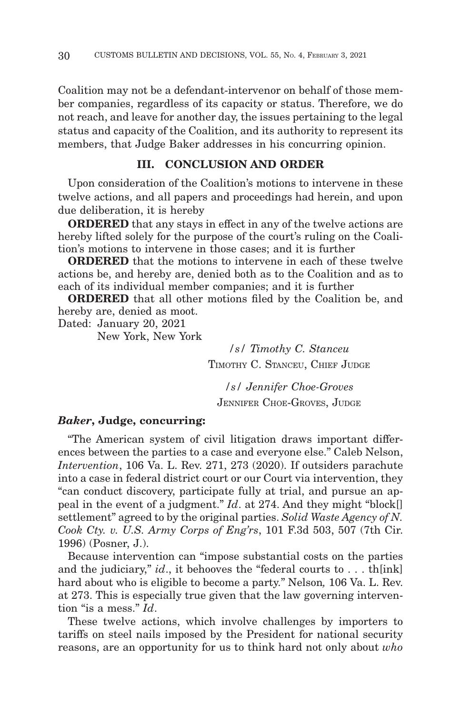Coalition may not be a defendant-intervenor on behalf of those member companies, regardless of its capacity or status. Therefore, we do not reach, and leave for another day, the issues pertaining to the legal status and capacity of the Coalition, and its authority to represent its members, that Judge Baker addresses in his concurring opinion.

# **III. CONCLUSION AND ORDER**

Upon consideration of the Coalition's motions to intervene in these twelve actions, and all papers and proceedings had herein, and upon due deliberation, it is hereby

**ORDERED** that any stays in effect in any of the twelve actions are hereby lifted solely for the purpose of the court's ruling on the Coalition's motions to intervene in those cases; and it is further

**ORDERED** that the motions to intervene in each of these twelve actions be, and hereby are, denied both as to the Coalition and as to each of its individual member companies; and it is further

**ORDERED** that all other motions filed by the Coalition be, and hereby are, denied as moot.

Dated: January 20, 2021

New York, New York

*/s/ Timothy C. Stanceu* TIMOTHY C. STANCEU, CHIEF JUDGE

*/s/ Jennifer Choe-Groves* JENNIFER CHOE-GROVES, JUDGE

#### *Baker***, Judge, concurring:**

"The American system of civil litigation draws important differences between the parties to a case and everyone else." Caleb Nelson, *Intervention*, 106 Va. L. Rev. 271, 273 (2020). If outsiders parachute into a case in federal district court or our Court via intervention, they "can conduct discovery, participate fully at trial, and pursue an appeal in the event of a judgment." *Id*. at 274. And they might "block[] settlement" agreed to by the original parties. *Solid Waste Agency of N. Cook Cty. v. U.S. Army Corps of Eng'rs*, 101 F.3d 503, 507 (7th Cir. 1996) (Posner, J.).

Because intervention can "impose substantial costs on the parties and the judiciary," *id*., it behooves the "federal courts to . . . th[ink] hard about who is eligible to become a party." Nelson*,* 106 Va. L. Rev. at 273. This is especially true given that the law governing intervention "is a mess." *Id*.

These twelve actions, which involve challenges by importers to tariffs on steel nails imposed by the President for national security reasons, are an opportunity for us to think hard not only about *who*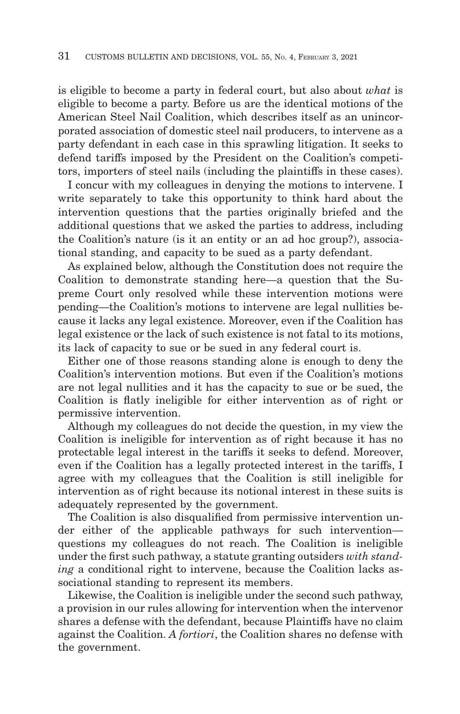is eligible to become a party in federal court, but also about *what* is eligible to become a party. Before us are the identical motions of the American Steel Nail Coalition, which describes itself as an unincorporated association of domestic steel nail producers, to intervene as a party defendant in each case in this sprawling litigation. It seeks to defend tariffs imposed by the President on the Coalition's competitors, importers of steel nails (including the plaintiffs in these cases).

I concur with my colleagues in denying the motions to intervene. I write separately to take this opportunity to think hard about the intervention questions that the parties originally briefed and the additional questions that we asked the parties to address, including the Coalition's nature (is it an entity or an ad hoc group?), associational standing, and capacity to be sued as a party defendant.

As explained below, although the Constitution does not require the Coalition to demonstrate standing here—a question that the Supreme Court only resolved while these intervention motions were pending—the Coalition's motions to intervene are legal nullities because it lacks any legal existence. Moreover, even if the Coalition has legal existence or the lack of such existence is not fatal to its motions, its lack of capacity to sue or be sued in any federal court is.

Either one of those reasons standing alone is enough to deny the Coalition's intervention motions. But even if the Coalition's motions are not legal nullities and it has the capacity to sue or be sued, the Coalition is flatly ineligible for either intervention as of right or permissive intervention.

Although my colleagues do not decide the question, in my view the Coalition is ineligible for intervention as of right because it has no protectable legal interest in the tariffs it seeks to defend. Moreover, even if the Coalition has a legally protected interest in the tariffs, I agree with my colleagues that the Coalition is still ineligible for intervention as of right because its notional interest in these suits is adequately represented by the government.

The Coalition is also disqualified from permissive intervention under either of the applicable pathways for such intervention questions my colleagues do not reach. The Coalition is ineligible under the first such pathway, a statute granting outsiders *with standing* a conditional right to intervene, because the Coalition lacks associational standing to represent its members.

Likewise, the Coalition is ineligible under the second such pathway, a provision in our rules allowing for intervention when the intervenor shares a defense with the defendant, because Plaintiffs have no claim against the Coalition. *A fortiori*, the Coalition shares no defense with the government.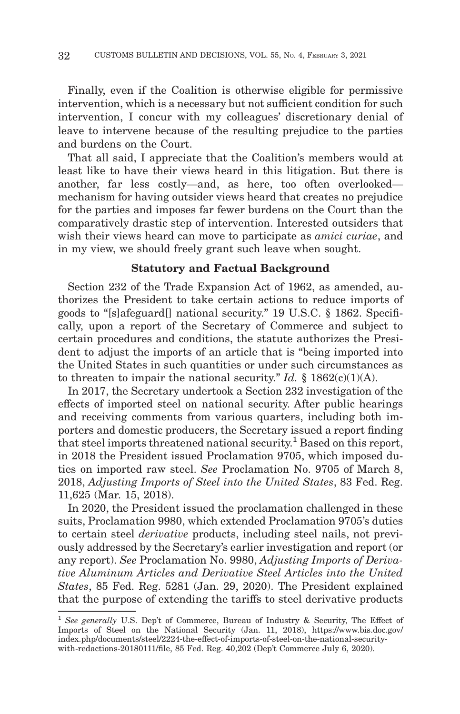Finally, even if the Coalition is otherwise eligible for permissive intervention, which is a necessary but not sufficient condition for such intervention, I concur with my colleagues' discretionary denial of leave to intervene because of the resulting prejudice to the parties and burdens on the Court.

That all said, I appreciate that the Coalition's members would at least like to have their views heard in this litigation. But there is another, far less costly—and, as here, too often overlooked mechanism for having outsider views heard that creates no prejudice for the parties and imposes far fewer burdens on the Court than the comparatively drastic step of intervention. Interested outsiders that wish their views heard can move to participate as *amici curiae*, and in my view, we should freely grant such leave when sought.

#### **Statutory and Factual Background**

Section 232 of the Trade Expansion Act of 1962, as amended, authorizes the President to take certain actions to reduce imports of goods to "[s]afeguard[] national security." 19 U.S.C. § 1862. Specifically, upon a report of the Secretary of Commerce and subject to certain procedures and conditions, the statute authorizes the President to adjust the imports of an article that is "being imported into the United States in such quantities or under such circumstances as to threaten to impair the national security." *Id.*  $\S$  1862(c)(1)(A).

In 2017, the Secretary undertook a Section 232 investigation of the effects of imported steel on national security. After public hearings and receiving comments from various quarters, including both importers and domestic producers, the Secretary issued a report finding that steel imports threatened national security.<sup>1</sup> Based on this report, in 2018 the President issued Proclamation 9705, which imposed duties on imported raw steel. *See* Proclamation No. 9705 of March 8, 2018, *Adjusting Imports of Steel into the United States*, 83 Fed. Reg. 11,625 (Mar. 15, 2018).

In 2020, the President issued the proclamation challenged in these suits, Proclamation 9980, which extended Proclamation 9705's duties to certain steel *derivative* products, including steel nails, not previously addressed by the Secretary's earlier investigation and report (or any report). *See* Proclamation No. 9980, *Adjusting Imports of Derivative Aluminum Articles and Derivative Steel Articles into the United States*, 85 Fed. Reg. 5281 (Jan. 29, 2020). The President explained that the purpose of extending the tariffs to steel derivative products

<sup>&</sup>lt;sup>1</sup> See generally U.S. Dep't of Commerce, Bureau of Industry & Security, The Effect of Imports of Steel on the National Security (Jan. 11, 2018), https://www.bis.doc.gov/ index.php/documents/steel/2224-the-effect-of-imports-of-steel-on-the-national-securitywith-redactions-20180111/file, 85 Fed. Reg. 40,202 (Dep't Commerce July 6, 2020).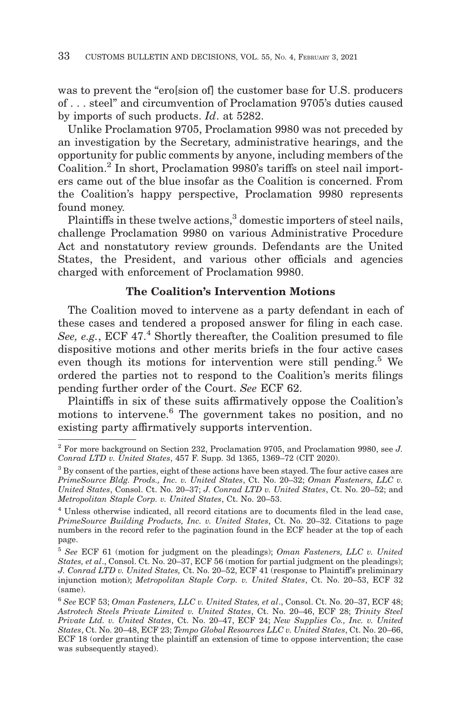was to prevent the "ero[sion of] the customer base for U.S. producers of . . . steel" and circumvention of Proclamation 9705's duties caused by imports of such products. *Id*. at 5282.

Unlike Proclamation 9705, Proclamation 9980 was not preceded by an investigation by the Secretary, administrative hearings, and the opportunity for public comments by anyone, including members of the Coalition.2 In short, Proclamation 9980's tariffs on steel nail importers came out of the blue insofar as the Coalition is concerned. From the Coalition's happy perspective, Proclamation 9980 represents found money.

Plaintiffs in these twelve actions,<sup>3</sup> domestic importers of steel nails, challenge Proclamation 9980 on various Administrative Procedure Act and nonstatutory review grounds. Defendants are the United States, the President, and various other officials and agencies charged with enforcement of Proclamation 9980.

# **The Coalition's Intervention Motions**

The Coalition moved to intervene as a party defendant in each of these cases and tendered a proposed answer for filing in each case. See, e.g., ECF 47.<sup>4</sup> Shortly thereafter, the Coalition presumed to file dispositive motions and other merits briefs in the four active cases even though its motions for intervention were still pending.<sup>5</sup> We ordered the parties not to respond to the Coalition's merits filings pending further order of the Court. *See* ECF 62.

Plaintiffs in six of these suits affirmatively oppose the Coalition's motions to intervene.6 The government takes no position, and no existing party affirmatively supports intervention.

<sup>2</sup> For more background on Section 232, Proclamation 9705, and Proclamation 9980, see *J. Conrad LTD v. United States*, 457 F. Supp. 3d 1365, 1369–72 (CIT 2020).

<sup>3</sup> By consent of the parties, eight of these actions have been stayed. The four active cases are *PrimeSource Bldg. Prods., Inc. v. United States*, Ct. No. 20–32; *Oman Fasteners, LLC v. United States*, Consol. Ct. No. 20–37; *J. Conrad LTD v. United States*, Ct. No. 20–52; and *Metropolitan Staple Corp. v. United States*, Ct. No. 20–53.

<sup>4</sup> Unless otherwise indicated, all record citations are to documents filed in the lead case, *PrimeSource Building Products, Inc. v. United States*, Ct. No. 20–32. Citations to page numbers in the record refer to the pagination found in the ECF header at the top of each page.

<sup>5</sup>*See* ECF 61 (motion for judgment on the pleadings); *Oman Fasteners, LLC v. United States, et al*., Consol. Ct. No. 20–37, ECF 56 (motion for partial judgment on the pleadings); *J. Conrad LTD v. United States,* Ct. No. 20–52, ECF 41 (response to Plaintiff's preliminary injunction motion); *Metropolitan Staple Corp. v. United States*, Ct. No. 20–53, ECF 32 (same).

<sup>6</sup>*See* ECF 53; *Oman Fasteners, LLC v. United States, et al*., Consol. Ct. No. 20–37, ECF 48; *Astrotech Steels Private Limited v. United States*, Ct. No. 20–46, ECF 28; *Trinity Steel Private Ltd. v. United States*, Ct. No. 20–47, ECF 24; *New Supplies Co., Inc. v. United States*, Ct. No. 20–48, ECF 23; *Tempo Global Resources LLC v. United States*, Ct. No. 20–66, ECF 18 (order granting the plaintiff an extension of time to oppose intervention; the case was subsequently stayed).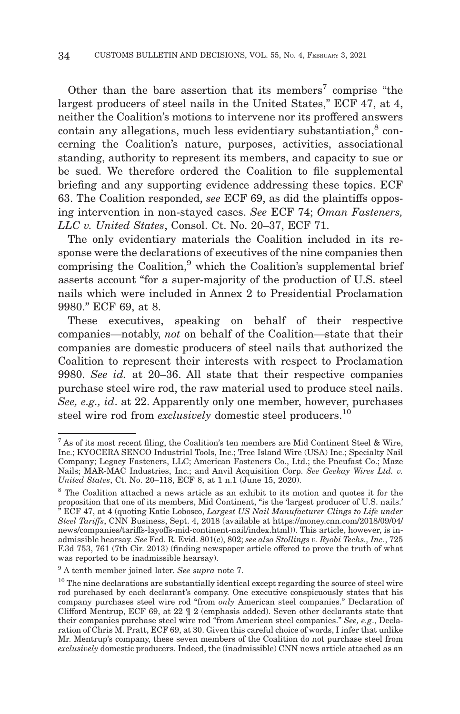Other than the bare assertion that its members<sup>7</sup> comprise "the largest producers of steel nails in the United States," ECF 47, at 4, neither the Coalition's motions to intervene nor its proffered answers  $\alpha$  contain any allegations, much less evidentiary substantiation, $\alpha$ <sup>8</sup> concerning the Coalition's nature, purposes, activities, associational standing, authority to represent its members, and capacity to sue or be sued. We therefore ordered the Coalition to file supplemental briefing and any supporting evidence addressing these topics. ECF 63. The Coalition responded, *see* ECF 69, as did the plaintiffs opposing intervention in non-stayed cases. *See* ECF 74; *Oman Fasteners, LLC v. United States*, Consol. Ct. No. 20–37, ECF 71.

The only evidentiary materials the Coalition included in its response were the declarations of executives of the nine companies then comprising the Coalition,<sup>9</sup> which the Coalition's supplemental brief asserts account "for a super-majority of the production of U.S. steel nails which were included in Annex 2 to Presidential Proclamation 9980." ECF 69, at 8.

These executives, speaking on behalf of their respective companies—notably, *not* on behalf of the Coalition—state that their companies are domestic producers of steel nails that authorized the Coalition to represent their interests with respect to Proclamation 9980. *See id.* at 20–36. All state that their respective companies purchase steel wire rod, the raw material used to produce steel nails. *See, e.g., id*. at 22. Apparently only one member, however, purchases steel wire rod from *exclusively* domestic steel producers.<sup>10</sup>

 $7$  As of its most recent filing, the Coalition's ten members are Mid Continent Steel & Wire, Inc.; KYOCERA SENCO Industrial Tools, Inc.; Tree Island Wire (USA) Inc.; Specialty Nail Company; Legacy Fasteners, LLC; American Fasteners Co., Ltd.; the Pneufast Co.; Maze Nails; MAR-MAC Industries, Inc.; and Anvil Acquisition Corp. *See Geekay Wires Ltd. v. United States*, Ct. No. 20–118, ECF 8, at 1 n.1 (June 15, 2020).

<sup>&</sup>lt;sup>8</sup> The Coalition attached a news article as an exhibit to its motion and quotes it for the proposition that one of its members, Mid Continent, "is the 'largest producer of U.S. nails.' " ECF 47, at 4 (quoting Katie Lobosco, *Largest US Nail Manufacturer Clings to Life under Steel Tariffs*, CNN Business, Sept. 4, 2018 (available at https://money.cnn.com/2018/09/04/ news/companies/tariffs-layoffs-mid-continent-nail/index.html)). This article, however, is inadmissible hearsay. *See* Fed. R. Evid. 801(c), 802; *see also Stollings v. Ryobi Techs., Inc.*, 725 F.3d 753, 761 (7th Cir. 2013) (finding newspaper article offered to prove the truth of what was reported to be inadmissible hearsay).

<sup>9</sup> A tenth member joined later. *See supra* note 7.

 $^{\rm 10}$  The nine declarations are substantially identical except regarding the source of steel wire rod purchased by each declarant's company. One executive conspicuously states that his company purchases steel wire rod "from *only* American steel companies." Declaration of Clifford Mentrup, ECF 69, at 22 ¶ 2 (emphasis added). Seven other declarants state that their companies purchase steel wire rod "from American steel companies." *See, e.g*., Declaration of Chris M. Pratt, ECF 69, at 30. Given this careful choice of words, I infer that unlike Mr. Mentrup's company, these seven members of the Coalition do not purchase steel from *exclusively* domestic producers. Indeed, the (inadmissible) CNN news article attached as an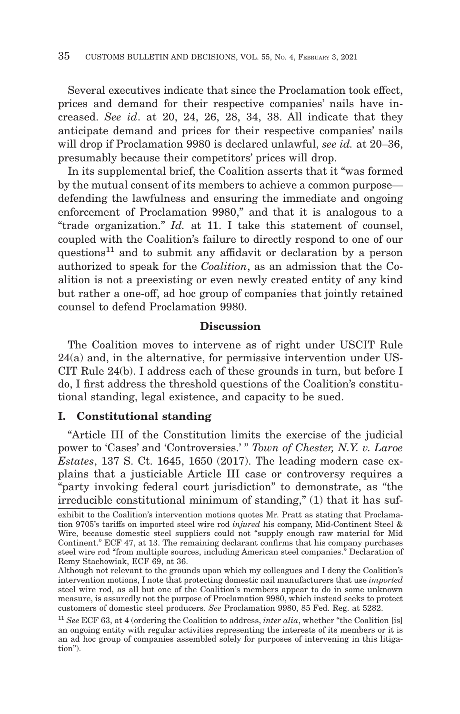Several executives indicate that since the Proclamation took effect, prices and demand for their respective companies' nails have increased. *See id*. at 20, 24, 26, 28, 34, 38. All indicate that they anticipate demand and prices for their respective companies' nails will drop if Proclamation 9980 is declared unlawful, *see id.* at 20–36, presumably because their competitors' prices will drop.

In its supplemental brief, the Coalition asserts that it "was formed by the mutual consent of its members to achieve a common purpose defending the lawfulness and ensuring the immediate and ongoing enforcement of Proclamation 9980," and that it is analogous to a "trade organization." *Id.* at 11. I take this statement of counsel, coupled with the Coalition's failure to directly respond to one of our questions<sup>11</sup> and to submit any affidavit or declaration by a person authorized to speak for the *Coalition*, as an admission that the Coalition is not a preexisting or even newly created entity of any kind but rather a one-off, ad hoc group of companies that jointly retained counsel to defend Proclamation 9980.

#### **Discussion**

The Coalition moves to intervene as of right under USCIT Rule 24(a) and, in the alternative, for permissive intervention under US-CIT Rule 24(b). I address each of these grounds in turn, but before I do, I first address the threshold questions of the Coalition's constitutional standing, legal existence, and capacity to be sued.

# **I. Constitutional standing**

"Article III of the Constitution limits the exercise of the judicial power to 'Cases' and 'Controversies.' " *Town of Chester, N.Y. v. Laroe Estates*, 137 S. Ct. 1645, 1650 (2017). The leading modern case explains that a justiciable Article III case or controversy requires a "party invoking federal court jurisdiction" to demonstrate, as "the irreducible constitutional minimum of standing," (1) that it has suf-

exhibit to the Coalition's intervention motions quotes Mr. Pratt as stating that Proclamation 9705's tariffs on imported steel wire rod *injured* his company, Mid-Continent Steel & Wire, because domestic steel suppliers could not "supply enough raw material for Mid Continent." ECF 47, at 13. The remaining declarant confirms that his company purchases steel wire rod "from multiple sources, including American steel companies." Declaration of Remy Stachowiak, ECF 69, at 36.

Although not relevant to the grounds upon which my colleagues and I deny the Coalition's intervention motions, I note that protecting domestic nail manufacturers that use *imported* steel wire rod, as all but one of the Coalition's members appear to do in some unknown measure, is assuredly not the purpose of Proclamation 9980, which instead seeks to protect customers of domestic steel producers. *See* Proclamation 9980, 85 Fed. Reg. at 5282.

<sup>11</sup>*See* ECF 63, at 4 (ordering the Coalition to address, *inter alia*, whether "the Coalition [is] an ongoing entity with regular activities representing the interests of its members or it is an ad hoc group of companies assembled solely for purposes of intervening in this litigation").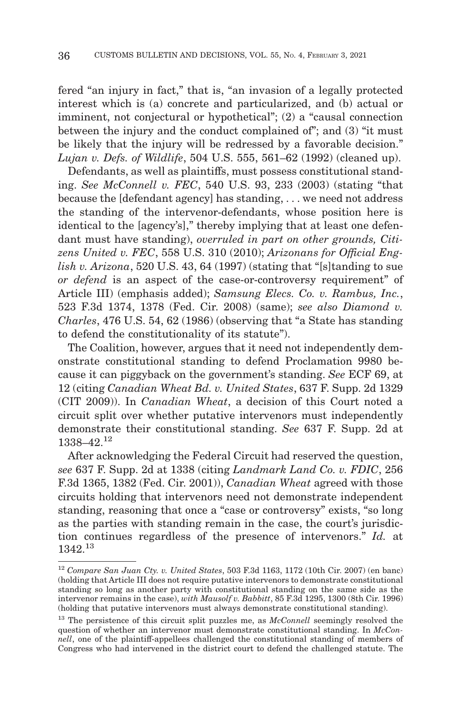fered "an injury in fact," that is, "an invasion of a legally protected interest which is (a) concrete and particularized, and (b) actual or imminent, not conjectural or hypothetical"; (2) a "causal connection between the injury and the conduct complained of"; and (3) "it must be likely that the injury will be redressed by a favorable decision." *Lujan v. Defs. of Wildlife*, 504 U.S. 555, 561–62 (1992) (cleaned up).

Defendants, as well as plaintiffs, must possess constitutional standing. *See McConnell v. FEC*, 540 U.S. 93, 233 (2003) (stating "that because the [defendant agency] has standing, . . . we need not address the standing of the intervenor-defendants, whose position here is identical to the [agency's]," thereby implying that at least one defendant must have standing), *overruled in part on other grounds, Citizens United v. FEC*, 558 U.S. 310 (2010); *Arizonans for Official English v. Arizona*, 520 U.S. 43, 64 (1997) (stating that "[s] tanding to sue *or defend* is an aspect of the case-or-controversy requirement" of Article III) (emphasis added); *Samsung Elecs. Co. v. Rambus, Inc.*, 523 F.3d 1374, 1378 (Fed. Cir. 2008) (same); *see also Diamond v. Charles*, 476 U.S. 54, 62 (1986) (observing that "a State has standing to defend the constitutionality of its statute").

The Coalition, however, argues that it need not independently demonstrate constitutional standing to defend Proclamation 9980 because it can piggyback on the government's standing. *See* ECF 69, at 12 (citing *Canadian Wheat Bd. v. United States*, 637 F. Supp. 2d 1329 (CIT 2009)). In *Canadian Wheat*, a decision of this Court noted a circuit split over whether putative intervenors must independently demonstrate their constitutional standing. *See* 637 F. Supp. 2d at 1338–42.12

After acknowledging the Federal Circuit had reserved the question, *see* 637 F. Supp. 2d at 1338 (citing *Landmark Land Co. v. FDIC*, 256 F.3d 1365, 1382 (Fed. Cir. 2001)), *Canadian Wheat* agreed with those circuits holding that intervenors need not demonstrate independent standing, reasoning that once a "case or controversy" exists, "so long as the parties with standing remain in the case, the court's jurisdiction continues regardless of the presence of intervenors." *Id.* at 1342.13

<sup>12</sup>*Compare San Juan Cty. v. United States*, 503 F.3d 1163, 1172 (10th Cir. 2007) (en banc) (holding that Article III does not require putative intervenors to demonstrate constitutional standing so long as another party with constitutional standing on the same side as the intervenor remains in the case), *with Mausolf v. Babbitt*, 85 F.3d 1295, 1300 (8th Cir. 1996) (holding that putative intervenors must always demonstrate constitutional standing).

<sup>&</sup>lt;sup>13</sup> The persistence of this circuit split puzzles me, as *McConnell* seemingly resolved the question of whether an intervenor must demonstrate constitutional standing. In *McConnell*, one of the plaintiff-appellees challenged the constitutional standing of members of Congress who had intervened in the district court to defend the challenged statute. The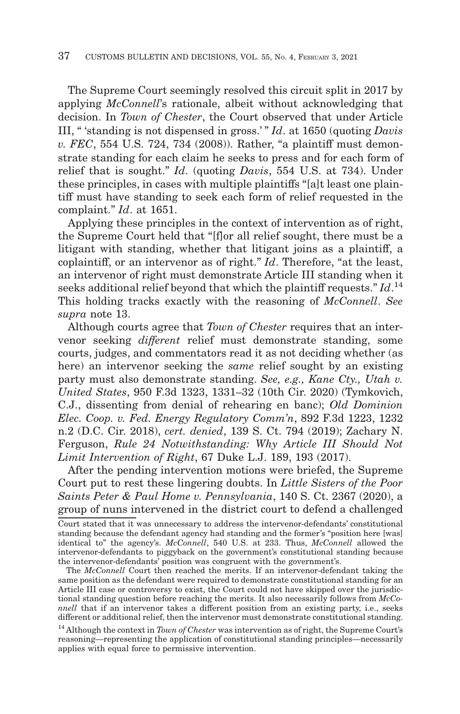The Supreme Court seemingly resolved this circuit split in 2017 by applying *McConnell*'s rationale, albeit without acknowledging that decision. In *Town of Chester*, the Court observed that under Article III, " 'standing is not dispensed in gross.' " *Id*. at 1650 (quoting *Davis v. FEC*, 554 U.S. 724, 734 (2008)). Rather, "a plaintiff must demonstrate standing for each claim he seeks to press and for each form of relief that is sought." *Id*. (quoting *Davis*, 554 U.S. at 734). Under these principles, in cases with multiple plaintiffs "[a]t least one plaintiff must have standing to seek each form of relief requested in the complaint." *Id*. at 1651.

Applying these principles in the context of intervention as of right, the Supreme Court held that "[f]or all relief sought, there must be a litigant with standing, whether that litigant joins as a plaintiff, a coplaintiff, or an intervenor as of right." *Id*. Therefore, "at the least, an intervenor of right must demonstrate Article III standing when it seeks additional relief beyond that which the plaintiff requests." *Id*. 14 This holding tracks exactly with the reasoning of *McConnell*. *See supra* note 13.

Although courts agree that *Town of Chester* requires that an intervenor seeking *different* relief must demonstrate standing, some courts, judges, and commentators read it as not deciding whether (as here) an intervenor seeking the *same* relief sought by an existing party must also demonstrate standing. *See, e.g., Kane Cty., Utah v. United States*, 950 F.3d 1323, 1331–32 (10th Cir. 2020) (Tymkovich, C.J., dissenting from denial of rehearing en banc); *Old Dominion Elec. Coop. v. Fed. Energy Regulatory Comm'n*, 892 F.3d 1223, 1232 n.2 (D.C. Cir. 2018), *cert. denied*, 139 S. Ct. 794 (2019); Zachary N. Ferguson, *Rule 24 Notwithstanding: Why Article III Should Not Limit Intervention of Right*, 67 Duke L.J. 189, 193 (2017).

After the pending intervention motions were briefed, the Supreme Court put to rest these lingering doubts. In *Little Sisters of the Poor Saints Peter & Paul Home v. Pennsylvania*, 140 S. Ct. 2367 (2020), a group of nuns intervened in the district court to defend a challenged

Court stated that it was unnecessary to address the intervenor-defendants' constitutional standing because the defendant agency had standing and the former's "position here [was] identical to" the agency's. *McConnell*, 540 U.S. at 233. Thus, *McConnell* allowed the intervenor-defendants to piggyback on the government's constitutional standing because the intervenor-defendants' position was congruent with the government's.

The *McConnell* Court then reached the merits. If an intervenor-defendant taking the same position as the defendant were required to demonstrate constitutional standing for an Article III case or controversy to exist, the Court could not have skipped over the jurisdictional standing question before reaching the merits. It also necessarily follows from *McConnell* that if an intervenor takes a different position from an existing party, i.e., seeks different or additional relief, then the intervenor must demonstrate constitutional standing.

<sup>14</sup> Although the context in *Town of Chester* was intervention as of right, the Supreme Court's reasoning—representing the application of constitutional standing principles—necessarily applies with equal force to permissive intervention.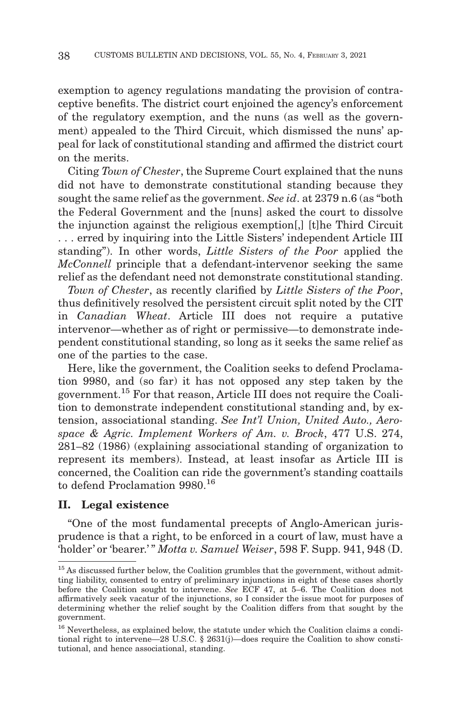exemption to agency regulations mandating the provision of contraceptive benefits. The district court enjoined the agency's enforcement of the regulatory exemption, and the nuns (as well as the government) appealed to the Third Circuit, which dismissed the nuns' appeal for lack of constitutional standing and affirmed the district court on the merits.

Citing *Town of Chester*, the Supreme Court explained that the nuns did not have to demonstrate constitutional standing because they sought the same relief as the government. *See id*. at 2379 n.6 (as "both the Federal Government and the [nuns] asked the court to dissolve the injunction against the religious exemption[,] [t]he Third Circuit . . . erred by inquiring into the Little Sisters' independent Article III standing"). In other words, *Little Sisters of the Poor* applied the *McConnell* principle that a defendant-intervenor seeking the same relief as the defendant need not demonstrate constitutional standing.

*Town of Chester*, as recently clarified by *Little Sisters of the Poor*, thus definitively resolved the persistent circuit split noted by the CIT in *Canadian Wheat*. Article III does not require a putative intervenor—whether as of right or permissive—to demonstrate independent constitutional standing, so long as it seeks the same relief as one of the parties to the case.

Here, like the government, the Coalition seeks to defend Proclamation 9980, and (so far) it has not opposed any step taken by the government.15 For that reason, Article III does not require the Coalition to demonstrate independent constitutional standing and, by extension, associational standing. *See Int'l Union, United Auto., Aerospace & Agric. Implement Workers of Am. v. Brock*, 477 U.S. 274, 281–82 (1986) (explaining associational standing of organization to represent its members). Instead, at least insofar as Article III is concerned, the Coalition can ride the government's standing coattails to defend Proclamation 9980.<sup>16</sup>

## **II. Legal existence**

"One of the most fundamental precepts of Anglo-American jurisprudence is that a right, to be enforced in a court of law, must have a 'holder' or 'bearer.' " *Motta v. Samuel Weiser*, 598 F. Supp. 941, 948 (D.

<sup>&</sup>lt;sup>15</sup> As discussed further below, the Coalition grumbles that the government, without admitting liability, consented to entry of preliminary injunctions in eight of these cases shortly before the Coalition sought to intervene. *See* ECF 47, at 5–6. The Coalition does not affirmatively seek vacatur of the injunctions, so I consider the issue moot for purposes of determining whether the relief sought by the Coalition differs from that sought by the government.

<sup>16</sup> Nevertheless, as explained below, the statute under which the Coalition claims a conditional right to intervene—28 U.S.C. § 2631(j)—does require the Coalition to show constitutional, and hence associational, standing.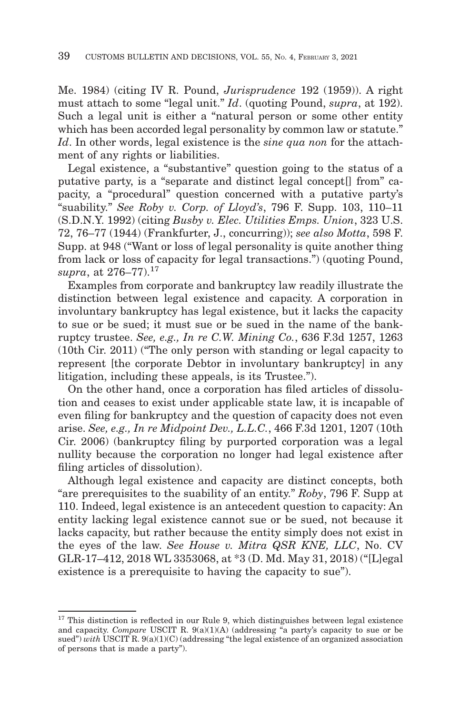Me. 1984) (citing IV R. Pound, *Jurisprudence* 192 (1959)). A right must attach to some "legal unit." *Id*. (quoting Pound, *supra*, at 192). Such a legal unit is either a "natural person or some other entity which has been accorded legal personality by common law or statute." *Id*. In other words, legal existence is the *sine qua non* for the attachment of any rights or liabilities.

Legal existence, a "substantive" question going to the status of a putative party, is a "separate and distinct legal concept[] from" capacity, a "procedural" question concerned with a putative party's "suability." *See Roby v. Corp. of Lloyd's*, 796 F. Supp. 103, 110–11 (S.D.N.Y. 1992) (citing *Busby v. Elec. Utilities Emps. Union*, 323 U.S. 72, 76–77 (1944) (Frankfurter, J., concurring)); *see also Motta*, 598 F. Supp. at 948 ("Want or loss of legal personality is quite another thing from lack or loss of capacity for legal transactions.") (quoting Pound, *supra*, at 276–77).17

Examples from corporate and bankruptcy law readily illustrate the distinction between legal existence and capacity. A corporation in involuntary bankruptcy has legal existence, but it lacks the capacity to sue or be sued; it must sue or be sued in the name of the bankruptcy trustee. *See, e.g., In re C.W. Mining Co.*, 636 F.3d 1257, 1263 (10th Cir. 2011) ("The only person with standing or legal capacity to represent [the corporate Debtor in involuntary bankruptcy] in any litigation, including these appeals, is its Trustee.").

On the other hand, once a corporation has filed articles of dissolution and ceases to exist under applicable state law, it is incapable of even filing for bankruptcy and the question of capacity does not even arise. *See, e.g., In re Midpoint Dev., L.L.C.*, 466 F.3d 1201, 1207 (10th Cir. 2006) (bankruptcy filing by purported corporation was a legal nullity because the corporation no longer had legal existence after filing articles of dissolution).

Although legal existence and capacity are distinct concepts, both "are prerequisites to the suability of an entity." *Roby*, 796 F. Supp at 110. Indeed, legal existence is an antecedent question to capacity: An entity lacking legal existence cannot sue or be sued, not because it lacks capacity, but rather because the entity simply does not exist in the eyes of the law. *See House v. Mitra QSR KNE, LLC*, No. CV GLR-17–412, 2018 WL 3353068, at \*3 (D. Md. May 31, 2018) ("[L]egal existence is a prerequisite to having the capacity to sue").

 $17$  This distinction is reflected in our Rule 9, which distinguishes between legal existence and capacity. *Compare* USCIT R. 9(a)(1)(A) (addressing "a party's capacity to sue or be sued") *with* USCIT R. 9(a)(1)(C) (addressing "the legal existence of an organized association of persons that is made a party").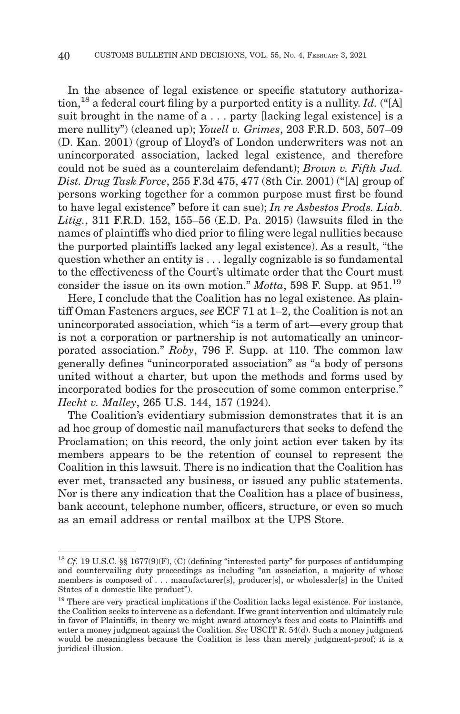In the absence of legal existence or specific statutory authorization,18 a federal court filing by a purported entity is a nullity. *Id.* ("[A] suit brought in the name of  $a \dots$  party [lacking legal existence] is a mere nullity") (cleaned up); *Youell v. Grimes*, 203 F.R.D. 503, 507–09 (D. Kan. 2001) (group of Lloyd's of London underwriters was not an unincorporated association, lacked legal existence, and therefore could not be sued as a counterclaim defendant); *Brown v. Fifth Jud. Dist. Drug Task Force*, 255 F.3d 475, 477 (8th Cir. 2001) ("[A] group of persons working together for a common purpose must first be found to have legal existence" before it can sue); *In re Asbestos Prods. Liab. Litig.*, 311 F.R.D. 152, 155–56 (E.D. Pa. 2015) (lawsuits filed in the names of plaintiffs who died prior to filing were legal nullities because the purported plaintiffs lacked any legal existence). As a result, "the question whether an entity is . . . legally cognizable is so fundamental to the effectiveness of the Court's ultimate order that the Court must consider the issue on its own motion." *Motta*, 598 F. Supp. at 951.19

Here, I conclude that the Coalition has no legal existence. As plaintiff Oman Fasteners argues, *see* ECF 71 at 1–2, the Coalition is not an unincorporated association, which "is a term of art—every group that is not a corporation or partnership is not automatically an unincorporated association." *Roby*, 796 F. Supp. at 110. The common law generally defines "unincorporated association" as "a body of persons united without a charter, but upon the methods and forms used by incorporated bodies for the prosecution of some common enterprise." *Hecht v. Malley*, 265 U.S. 144, 157 (1924).

The Coalition's evidentiary submission demonstrates that it is an ad hoc group of domestic nail manufacturers that seeks to defend the Proclamation; on this record, the only joint action ever taken by its members appears to be the retention of counsel to represent the Coalition in this lawsuit. There is no indication that the Coalition has ever met, transacted any business, or issued any public statements. Nor is there any indication that the Coalition has a place of business, bank account, telephone number, officers, structure, or even so much as an email address or rental mailbox at the UPS Store.

<sup>&</sup>lt;sup>18</sup> Cf. 19 U.S.C. §§ 1677(9)(F), (C) (defining "interested party" for purposes of antidumping and countervailing duty proceedings as including "an association, a majority of whose members is composed of . . . manufacturer[s], producer[s], or wholesaler[s] in the United States of a domestic like product").

<sup>&</sup>lt;sup>19</sup> There are very practical implications if the Coalition lacks legal existence. For instance, the Coalition seeks to intervene as a defendant. If we grant intervention and ultimately rule in favor of Plaintiffs, in theory we might award attorney's fees and costs to Plaintiffs and enter a money judgment against the Coalition. *See* USCIT R. 54(d). Such a money judgment would be meaningless because the Coalition is less than merely judgment-proof; it is a juridical illusion.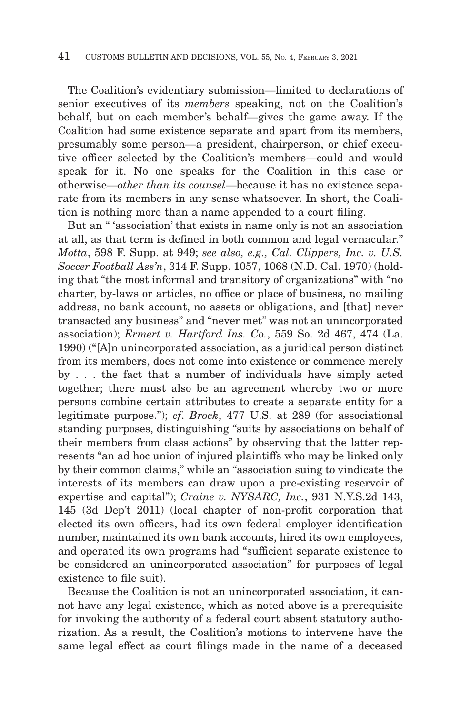The Coalition's evidentiary submission—limited to declarations of senior executives of its *members* speaking, not on the Coalition's behalf, but on each member's behalf—gives the game away. If the Coalition had some existence separate and apart from its members, presumably some person—a president, chairperson, or chief executive officer selected by the Coalition's members—could and would speak for it. No one speaks for the Coalition in this case or otherwise—*other than its counsel*—because it has no existence separate from its members in any sense whatsoever. In short, the Coalition is nothing more than a name appended to a court filing.

But an " 'association' that exists in name only is not an association at all, as that term is defined in both common and legal vernacular." *Motta*, 598 F. Supp. at 949; *see also, e.g., Cal. Clippers, Inc. v. U.S. Soccer Football Ass'n*, 314 F. Supp. 1057, 1068 (N.D. Cal. 1970) (holding that "the most informal and transitory of organizations" with "no charter, by-laws or articles, no office or place of business, no mailing address, no bank account, no assets or obligations, and [that] never transacted any business" and "never met" was not an unincorporated association); *Ermert v. Hartford Ins. Co.*, 559 So. 2d 467, 474 (La. 1990) ("[A]n unincorporated association, as a juridical person distinct from its members, does not come into existence or commence merely by . . . the fact that a number of individuals have simply acted together; there must also be an agreement whereby two or more persons combine certain attributes to create a separate entity for a legitimate purpose."); *cf*. *Brock*, 477 U.S. at 289 (for associational standing purposes, distinguishing "suits by associations on behalf of their members from class actions" by observing that the latter represents "an ad hoc union of injured plaintiffs who may be linked only by their common claims," while an "association suing to vindicate the interests of its members can draw upon a pre-existing reservoir of expertise and capital"); *Craine v. NYSARC, Inc.*, 931 N.Y.S.2d 143, 145 (3d Dep't 2011) (local chapter of non-profit corporation that elected its own officers, had its own federal employer identification number, maintained its own bank accounts, hired its own employees, and operated its own programs had "sufficient separate existence to be considered an unincorporated association" for purposes of legal existence to file suit).

Because the Coalition is not an unincorporated association, it cannot have any legal existence, which as noted above is a prerequisite for invoking the authority of a federal court absent statutory authorization. As a result, the Coalition's motions to intervene have the same legal effect as court filings made in the name of a deceased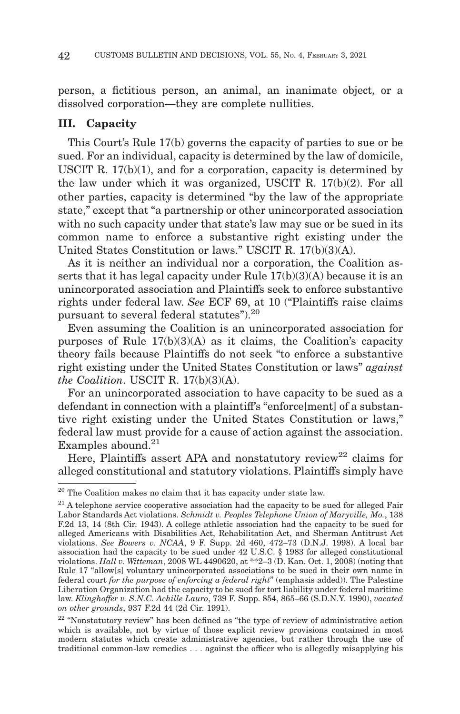person, a fictitious person, an animal, an inanimate object, or a dissolved corporation—they are complete nullities.

#### **III. Capacity**

This Court's Rule 17(b) governs the capacity of parties to sue or be sued. For an individual, capacity is determined by the law of domicile, USCIT R.  $17(b)(1)$ , and for a corporation, capacity is determined by the law under which it was organized, USCIT R. 17(b)(2). For all other parties, capacity is determined "by the law of the appropriate state," except that "a partnership or other unincorporated association with no such capacity under that state's law may sue or be sued in its common name to enforce a substantive right existing under the United States Constitution or laws." USCIT R. 17(b)(3)(A).

As it is neither an individual nor a corporation, the Coalition asserts that it has legal capacity under Rule 17(b)(3)(A) because it is an unincorporated association and Plaintiffs seek to enforce substantive rights under federal law. *See* ECF 69, at 10 ("Plaintiffs raise claims pursuant to several federal statutes").<sup>20</sup>

Even assuming the Coalition is an unincorporated association for purposes of Rule  $17(b)(3)(A)$  as it claims, the Coalition's capacity theory fails because Plaintiffs do not seek "to enforce a substantive right existing under the United States Constitution or laws" *against the Coalition*. USCIT R. 17(b)(3)(A).

For an unincorporated association to have capacity to be sued as a defendant in connection with a plaintiff's "enforce[ment] of a substantive right existing under the United States Constitution or laws," federal law must provide for a cause of action against the association. Examples abound. $21$ 

Here, Plaintiffs assert APA and nonstatutory review<sup>22</sup> claims for alleged constitutional and statutory violations. Plaintiffs simply have

 $20$  The Coalition makes no claim that it has capacity under state law.

 $21$  A telephone service cooperative association had the capacity to be sued for alleged Fair Labor Standards Act violations. *Schmidt v. Peoples Telephone Union of Maryville, Mo.*, 138 F.2d 13, 14 (8th Cir. 1943). A college athletic association had the capacity to be sued for alleged Americans with Disabilities Act, Rehabilitation Act, and Sherman Antitrust Act violations. *See Bowers v. NCAA*, 9 F. Supp. 2d 460, 472–73 (D.N.J. 1998). A local bar association had the capacity to be sued under 42 U.S.C. § 1983 for alleged constitutional violations. *Hall v. Witteman*, 2008 WL 4490620, at \*\*2–3 (D. Kan. Oct. 1, 2008) (noting that Rule 17 "allow[s] voluntary unincorporated associations to be sued in their own name in federal court *for the purpose of enforcing a federal right*" (emphasis added)). The Palestine Liberation Organization had the capacity to be sued for tort liability under federal maritime law. *Klinghoffer v. S.N.C. Achille Lauro*, 739 F. Supp. 854, 865–66 (S.D.N.Y. 1990), *vacated on other grounds*, 937 F.2d 44 (2d Cir. 1991).

<sup>&</sup>lt;sup>22</sup> "Nonstatutory review" has been defined as "the type of review of administrative action which is available, not by virtue of those explicit review provisions contained in most modern statutes which create administrative agencies, but rather through the use of traditional common-law remedies . . . against the officer who is allegedly misapplying his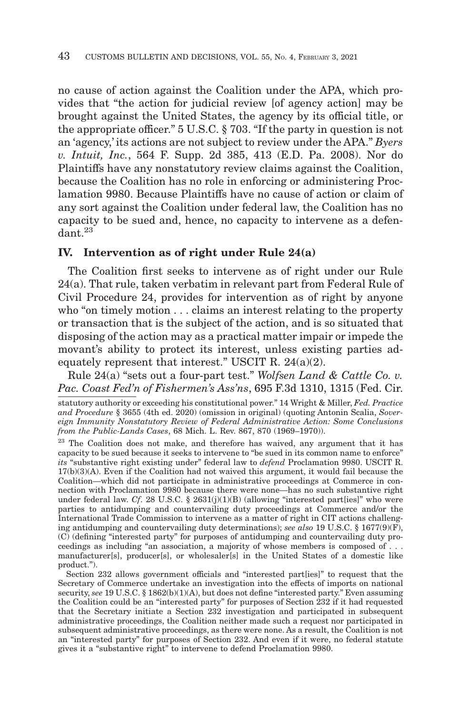no cause of action against the Coalition under the APA, which provides that "the action for judicial review [of agency action] may be brought against the United States, the agency by its official title, or the appropriate officer." 5 U.S.C. § 703. "If the party in question is not an 'agency,' its actions are not subject to review under the APA." *Byers v. Intuit, Inc.*, 564 F. Supp. 2d 385, 413 (E.D. Pa. 2008). Nor do Plaintiffs have any nonstatutory review claims against the Coalition, because the Coalition has no role in enforcing or administering Proclamation 9980. Because Plaintiffs have no cause of action or claim of any sort against the Coalition under federal law, the Coalition has no capacity to be sued and, hence, no capacity to intervene as a defen $d$ ant.<sup>23</sup>

#### **IV. Intervention as of right under Rule 24(a)**

The Coalition first seeks to intervene as of right under our Rule 24(a). That rule, taken verbatim in relevant part from Federal Rule of Civil Procedure 24, provides for intervention as of right by anyone who "on timely motion . . . claims an interest relating to the property or transaction that is the subject of the action, and is so situated that disposing of the action may as a practical matter impair or impede the movant's ability to protect its interest, unless existing parties adequately represent that interest." USCIT R. 24(a)(2).

Rule 24(a) "sets out a four-part test." *Wolfsen Land & Cattle Co. v. Pac. Coast Fed'n of Fishermen's Ass'ns*, 695 F.3d 1310, 1315 (Fed. Cir.

 Section 232 allows government officials and "interested part[ies]" to request that the Secretary of Commerce undertake an investigation into the effects of imports on national security, *see* 19 U.S.C. § 1862(b)(1)(A), but does not define "interested party." Even assuming the Coalition could be an "interested party" for purposes of Section 232 if it had requested that the Secretary initiate a Section 232 investigation and participated in subsequent administrative proceedings, the Coalition neither made such a request nor participated in subsequent administrative proceedings, as there were none. As a result, the Coalition is not an "interested party" for purposes of Section 232. And even if it were, no federal statute gives it a "substantive right" to intervene to defend Proclamation 9980.

statutory authority or exceeding his constitutional power." 14 Wright & Miller, *Fed. Practice and Procedure* § 3655 (4th ed. 2020) (omission in original) (quoting Antonin Scalia, *Sovereign Immunity Nonstatutory Review of Federal Administrative Action: Some Conclusions from the Public-Lands Cases*, 68 Mich. L. Rev. 867, 870 (1969–1970)).

<sup>&</sup>lt;sup>23</sup> The Coalition does not make, and therefore has waived, any argument that it has capacity to be sued because it seeks to intervene to "be sued in its common name to enforce" *its* "substantive right existing under" federal law to *defend* Proclamation 9980. USCIT R. 17(b)(3)(A). Even if the Coalition had not waived this argument, it would fail because the Coalition—which did not participate in administrative proceedings at Commerce in connection with Proclamation 9980 because there were none—has no such substantive right under federal law. *Cf*. 28 U.S.C. § 2631(j)(1)(B) (allowing "interested part[ies]" who were parties to antidumping and countervailing duty proceedings at Commerce and/or the International Trade Commission to intervene as a matter of right in CIT actions challenging antidumping and countervailing duty determinations); *see also* 19 U.S.C. § 1677(9)(F), (C) (defining "interested party" for purposes of antidumping and countervailing duty proceedings as including "an association, a majority of whose members is composed of . . . manufacturer[s], producer[s], or wholesaler[s] in the United States of a domestic like product.").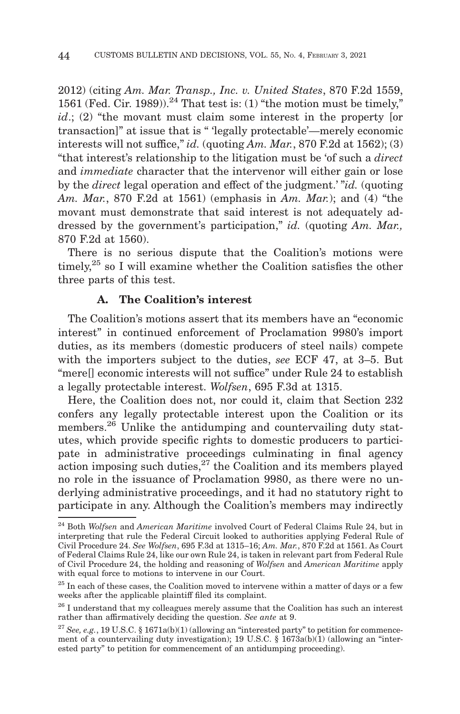2012) (citing *Am. Mar. Transp., Inc. v. United States*, 870 F.2d 1559, 1561 (Fed. Cir. 1989)).<sup>24</sup> That test is: (1) "the motion must be timely." *id*.; (2) "the movant must claim some interest in the property for transaction]" at issue that is " 'legally protectable'—merely economic interests will not suffice," *id.* (quoting  $Am.$   $Mar.$ , 870 F.2d at 1562); (3) "that interest's relationship to the litigation must be 'of such a *direct* and *immediate* character that the intervenor will either gain or lose by the *direct* legal operation and effect of the judgment.' "*id.* (quoting *Am. Mar.*, 870 F.2d at 1561) (emphasis in *Am. Mar.*); and (4) "the movant must demonstrate that said interest is not adequately addressed by the government's participation," *id.* (quoting *Am. Mar.,* 870 F.2d at 1560).

There is no serious dispute that the Coalition's motions were timely,<sup>25</sup> so I will examine whether the Coalition satisfies the other three parts of this test.

#### **A. The Coalition's interest**

The Coalition's motions assert that its members have an "economic interest" in continued enforcement of Proclamation 9980's import duties, as its members (domestic producers of steel nails) compete with the importers subject to the duties, *see* ECF 47, at 3–5. But "mere[] economic interests will not suffice" under Rule 24 to establish a legally protectable interest. *Wolfsen*, 695 F.3d at 1315.

Here, the Coalition does not, nor could it, claim that Section 232 confers any legally protectable interest upon the Coalition or its members.<sup>26</sup> Unlike the antidumping and countervailing duty statutes, which provide specific rights to domestic producers to participate in administrative proceedings culminating in final agency action imposing such duties, $27$  the Coalition and its members played no role in the issuance of Proclamation 9980, as there were no underlying administrative proceedings, and it had no statutory right to participate in any. Although the Coalition's members may indirectly

<sup>24</sup> Both *Wolfsen* and *American Maritime* involved Court of Federal Claims Rule 24, but in interpreting that rule the Federal Circuit looked to authorities applying Federal Rule of Civil Procedure 24. *See Wolfsen*, 695 F.3d at 1315–16; *Am. Mar.*, 870 F.2d at 1561. As Court of Federal Claims Rule 24, like our own Rule 24, is taken in relevant part from Federal Rule of Civil Procedure 24, the holding and reasoning of *Wolfsen* and *American Maritime* apply with equal force to motions to intervene in our Court.

 $25$  In each of these cases, the Coalition moved to intervene within a matter of days or a few weeks after the applicable plaintiff filed its complaint.

 $26$  I understand that my colleagues merely assume that the Coalition has such an interest rather than affirmatively deciding the question. *See ante* at 9.

<sup>&</sup>lt;sup>27</sup> See, e.g., 19 U.S.C. § 1671a(b)(1) (allowing an "interested party" to petition for commencement of a countervailing duty investigation); 19 U.S.C. § 1673a(b)(1) (allowing an "interested party" to petition for commencement of an antidumping proceeding).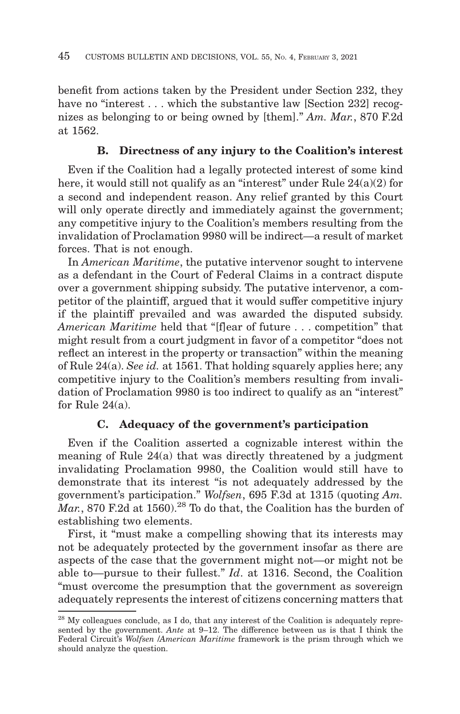benefit from actions taken by the President under Section 232, they have no "interest . . . which the substantive law [Section 232] recognizes as belonging to or being owned by [them]." *Am. Mar.*, 870 F.2d at 1562.

# **B. Directness of any injury to the Coalition's interest**

Even if the Coalition had a legally protected interest of some kind here, it would still not qualify as an "interest" under Rule 24(a)(2) for a second and independent reason. Any relief granted by this Court will only operate directly and immediately against the government; any competitive injury to the Coalition's members resulting from the invalidation of Proclamation 9980 will be indirect—a result of market forces. That is not enough.

In *American Maritime*, the putative intervenor sought to intervene as a defendant in the Court of Federal Claims in a contract dispute over a government shipping subsidy. The putative intervenor, a competitor of the plaintiff, argued that it would suffer competitive injury if the plaintiff prevailed and was awarded the disputed subsidy. *American Maritime* held that "[f]ear of future . . . competition" that might result from a court judgment in favor of a competitor "does not reflect an interest in the property or transaction" within the meaning of Rule 24(a). *See id.* at 1561. That holding squarely applies here; any competitive injury to the Coalition's members resulting from invalidation of Proclamation 9980 is too indirect to qualify as an "interest" for Rule 24(a).

# **C. Adequacy of the government's participation**

Even if the Coalition asserted a cognizable interest within the meaning of Rule 24(a) that was directly threatened by a judgment invalidating Proclamation 9980, the Coalition would still have to demonstrate that its interest "is not adequately addressed by the government's participation." *Wolfsen*, 695 F.3d at 1315 (quoting *Am.*  $\overline{M}ar$ , 870 F.2d at 1560).<sup>28</sup> To do that, the Coalition has the burden of establishing two elements.

First, it "must make a compelling showing that its interests may not be adequately protected by the government insofar as there are aspects of the case that the government might not—or might not be able to—pursue to their fullest." *Id*. at 1316. Second, the Coalition "must overcome the presumption that the government as sovereign adequately represents the interest of citizens concerning matters that

<sup>28</sup> My colleagues conclude, as I do, that any interest of the Coalition is adequately represented by the government. *Ante* at 9–12. The difference between us is that I think the Federal Circuit's *Wolfsen* /*American Maritime* framework is the prism through which we should analyze the question.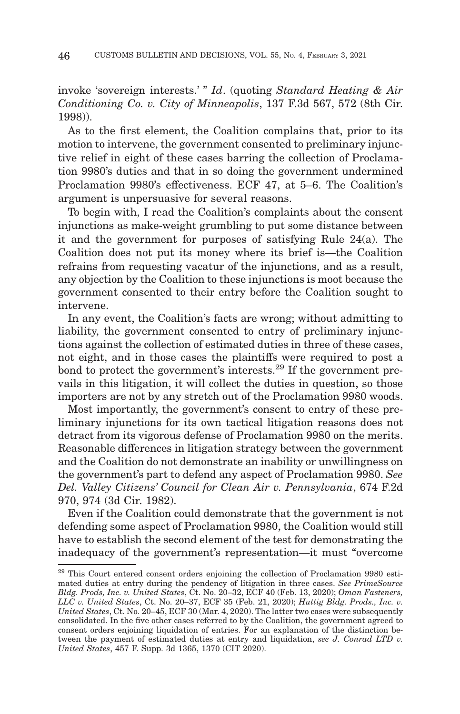invoke 'sovereign interests.' " *Id*. (quoting *Standard Heating & Air Conditioning Co. v. City of Minneapolis*, 137 F.3d 567, 572 (8th Cir. 1998)).

As to the first element, the Coalition complains that, prior to its motion to intervene, the government consented to preliminary injunctive relief in eight of these cases barring the collection of Proclamation 9980's duties and that in so doing the government undermined Proclamation 9980's effectiveness. ECF 47, at 5–6. The Coalition's argument is unpersuasive for several reasons.

To begin with, I read the Coalition's complaints about the consent injunctions as make-weight grumbling to put some distance between it and the government for purposes of satisfying Rule 24(a). The Coalition does not put its money where its brief is—the Coalition refrains from requesting vacatur of the injunctions, and as a result, any objection by the Coalition to these injunctions is moot because the government consented to their entry before the Coalition sought to intervene.

In any event, the Coalition's facts are wrong; without admitting to liability, the government consented to entry of preliminary injunctions against the collection of estimated duties in three of these cases, not eight, and in those cases the plaintiffs were required to post a bond to protect the government's interests.29 If the government prevails in this litigation, it will collect the duties in question, so those importers are not by any stretch out of the Proclamation 9980 woods.

Most importantly, the government's consent to entry of these preliminary injunctions for its own tactical litigation reasons does not detract from its vigorous defense of Proclamation 9980 on the merits. Reasonable differences in litigation strategy between the government and the Coalition do not demonstrate an inability or unwillingness on the government's part to defend any aspect of Proclamation 9980. *See Del. Valley Citizens' Council for Clean Air v. Pennsylvania*, 674 F.2d 970, 974 (3d Cir. 1982).

Even if the Coalition could demonstrate that the government is not defending some aspect of Proclamation 9980, the Coalition would still have to establish the second element of the test for demonstrating the inadequacy of the government's representation—it must "overcome

<sup>&</sup>lt;sup>29</sup> This Court entered consent orders enjoining the collection of Proclamation 9980 estimated duties at entry during the pendency of litigation in three cases. *See PrimeSource Bldg. Prods, Inc. v. United States*, Ct. No. 20–32, ECF 40 (Feb. 13, 2020); *Oman Fasteners, LLC v. United States*, Ct. No. 20–37, ECF 35 (Feb. 21, 2020); *Huttig Bldg. Prods., Inc. v. United States*, Ct. No. 20–45, ECF 30 (Mar. 4, 2020). The latter two cases were subsequently consolidated. In the five other cases referred to by the Coalition, the government agreed to consent orders enjoining liquidation of entries. For an explanation of the distinction between the payment of estimated duties at entry and liquidation, *see J. Conrad LTD v. United States*, 457 F. Supp. 3d 1365, 1370 (CIT 2020).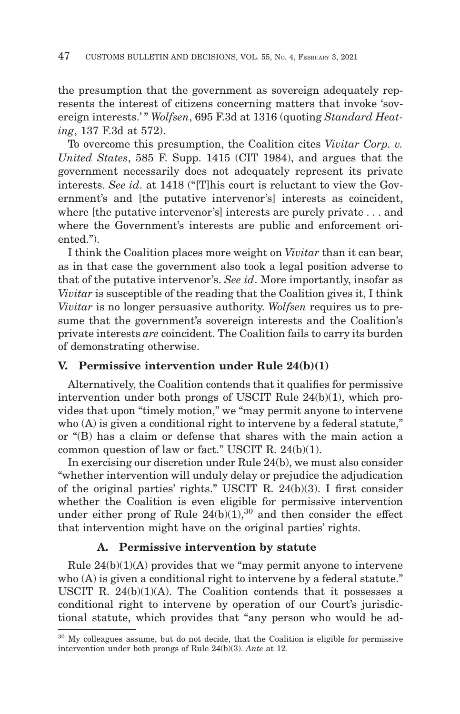the presumption that the government as sovereign adequately represents the interest of citizens concerning matters that invoke 'sovereign interests.'" Wolfsen, 695 F.3d at 1316 (quoting *Standard Heating*, 137 F.3d at 572).

To overcome this presumption, the Coalition cites *Vivitar Corp. v. United States*, 585 F. Supp. 1415 (CIT 1984), and argues that the government necessarily does not adequately represent its private interests. *See id*. at 1418 ("[T]his court is reluctant to view the Government's and [the putative intervenor's] interests as coincident, where [the putative intervenor's] interests are purely private . . . and where the Government's interests are public and enforcement oriented.").

I think the Coalition places more weight on *Vivitar* than it can bear, as in that case the government also took a legal position adverse to that of the putative intervenor's. *See id*. More importantly, insofar as *Vivitar* is susceptible of the reading that the Coalition gives it, I think *Vivitar* is no longer persuasive authority. *Wolfsen* requires us to presume that the government's sovereign interests and the Coalition's private interests *are* coincident. The Coalition fails to carry its burden of demonstrating otherwise.

#### **V. Permissive intervention under Rule 24(b)(1)**

Alternatively, the Coalition contends that it qualifies for permissive intervention under both prongs of USCIT Rule 24(b)(1), which provides that upon "timely motion," we "may permit anyone to intervene who (A) is given a conditional right to intervene by a federal statute," or "(B) has a claim or defense that shares with the main action a common question of law or fact." USCIT R. 24(b)(1).

In exercising our discretion under Rule 24(b), we must also consider "whether intervention will unduly delay or prejudice the adjudication of the original parties' rights." USCIT R. 24(b)(3). I first consider whether the Coalition is even eligible for permissive intervention under either prong of Rule  $24(b)(1)$ ,<sup>30</sup> and then consider the effect that intervention might have on the original parties' rights.

#### **A. Permissive intervention by statute**

Rule  $24(b)(1)(A)$  provides that we "may permit anyone to intervene who (A) is given a conditional right to intervene by a federal statute." USCIT R. 24(b)(1)(A). The Coalition contends that it possesses a conditional right to intervene by operation of our Court's jurisdictional statute, which provides that "any person who would be ad-

<sup>30</sup> My colleagues assume, but do not decide, that the Coalition is eligible for permissive intervention under both prongs of Rule 24(b)(3). *Ante* at 12.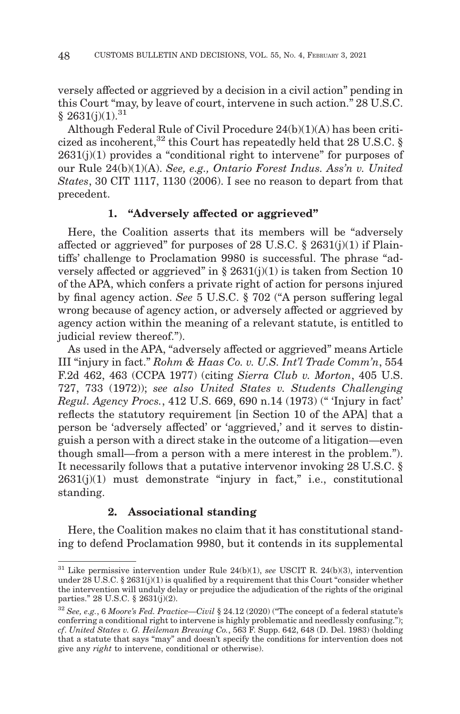versely affected or aggrieved by a decision in a civil action" pending in this Court "may, by leave of court, intervene in such action." 28 U.S.C.  $§ 2631(j)(1).<sup>31</sup>$ 

Although Federal Rule of Civil Procedure 24(b)(1)(A) has been criticized as incoherent,<sup>32</sup> this Court has repeatedly held that 28 U.S.C. §  $2631(j)(1)$  provides a "conditional right to intervene" for purposes of our Rule 24(b)(1)(A). *See, e.g., Ontario Forest Indus. Ass'n v. United States*, 30 CIT 1117, 1130 (2006). I see no reason to depart from that precedent.

## **1. "Adversely affected or aggrieved"**

Here, the Coalition asserts that its members will be "adversely affected or aggrieved" for purposes of 28 U.S.C.  $\S$  2631(j)(1) if Plaintiffs' challenge to Proclamation 9980 is successful. The phrase "adversely affected or aggrieved" in § 2631(j)(1) is taken from Section 10 of the APA, which confers a private right of action for persons injured by final agency action. *See* 5 U.S.C. § 702 ("A person suffering legal wrong because of agency action, or adversely affected or aggrieved by agency action within the meaning of a relevant statute, is entitled to judicial review thereof.").

As used in the APA, "adversely affected or aggrieved" means Article III "injury in fact." *Rohm & Haas Co. v. U.S. Int'l Trade Comm'n*, 554 F.2d 462, 463 (CCPA 1977) (citing *Sierra Club v. Morton*, 405 U.S. 727, 733 (1972)); *see also United States v. Students Challenging Regul. Agency Procs.*, 412 U.S. 669, 690 n.14 (1973) (" 'Injury in fact' reflects the statutory requirement [in Section 10 of the APA] that a person be 'adversely affected' or 'aggrieved,' and it serves to distinguish a person with a direct stake in the outcome of a litigation—even though small—from a person with a mere interest in the problem."). It necessarily follows that a putative intervenor invoking 28 U.S.C. § 2631(j)(1) must demonstrate "injury in fact," i.e., constitutional standing.

# **2. Associational standing**

Here, the Coalition makes no claim that it has constitutional standing to defend Proclamation 9980, but it contends in its supplemental

<sup>31</sup> Like permissive intervention under Rule 24(b)(1), *see* USCIT R. 24(b)(3), intervention under 28 U.S.C. § 2631(j)(1) is qualified by a requirement that this Court "consider whether the intervention will unduly delay or prejudice the adjudication of the rights of the original parties." 28 U.S.C. § 2631(j)(2).

<sup>32</sup>*See, e.g.*, 6 *Moore's Fed. Practice—Civil* § 24.12 (2020) ("The concept of a federal statute's conferring a conditional right to intervene is highly problematic and needlessly confusing."); *cf*. *United States v. G. Heileman Brewing Co.*, 563 F. Supp. 642, 648 (D. Del. 1983) (holding that a statute that says "may" and doesn't specify the conditions for intervention does not give any *right* to intervene, conditional or otherwise).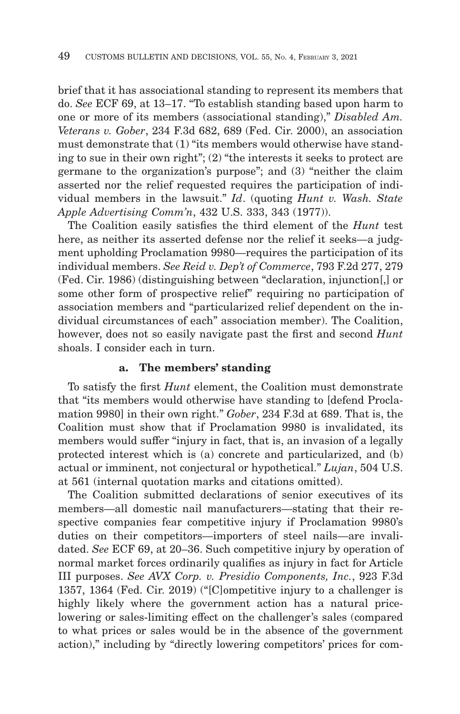brief that it has associational standing to represent its members that do. *See* ECF 69, at 13–17. "To establish standing based upon harm to one or more of its members (associational standing)," *Disabled Am. Veterans v. Gober*, 234 F.3d 682, 689 (Fed. Cir. 2000), an association must demonstrate that (1) "its members would otherwise have standing to sue in their own right"; (2) "the interests it seeks to protect are germane to the organization's purpose"; and (3) "neither the claim asserted nor the relief requested requires the participation of individual members in the lawsuit." *Id*. (quoting *Hunt v. Wash. State Apple Advertising Comm'n*, 432 U.S. 333, 343 (1977)).

The Coalition easily satisfies the third element of the *Hunt* test here, as neither its asserted defense nor the relief it seeks—a judgment upholding Proclamation 9980—requires the participation of its individual members. *See Reid v. Dep't of Commerce*, 793 F.2d 277, 279 (Fed. Cir. 1986) (distinguishing between "declaration, injunction[,] or some other form of prospective relief" requiring no participation of association members and "particularized relief dependent on the individual circumstances of each" association member). The Coalition, however, does not so easily navigate past the first and second *Hunt* shoals. I consider each in turn.

#### **a. The members' standing**

To satisfy the first *Hunt* element, the Coalition must demonstrate that "its members would otherwise have standing to [defend Proclamation 9980] in their own right." *Gober*, 234 F.3d at 689. That is, the Coalition must show that if Proclamation 9980 is invalidated, its members would suffer "injury in fact, that is, an invasion of a legally protected interest which is (a) concrete and particularized, and (b) actual or imminent, not conjectural or hypothetical." *Lujan*, 504 U.S. at 561 (internal quotation marks and citations omitted).

The Coalition submitted declarations of senior executives of its members—all domestic nail manufacturers—stating that their respective companies fear competitive injury if Proclamation 9980's duties on their competitors—importers of steel nails—are invalidated. *See* ECF 69, at 20–36. Such competitive injury by operation of normal market forces ordinarily qualifies as injury in fact for Article III purposes. *See AVX Corp. v. Presidio Components, Inc.*, 923 F.3d 1357, 1364 (Fed. Cir. 2019) ("[C]ompetitive injury to a challenger is highly likely where the government action has a natural pricelowering or sales-limiting effect on the challenger's sales (compared to what prices or sales would be in the absence of the government action)," including by "directly lowering competitors' prices for com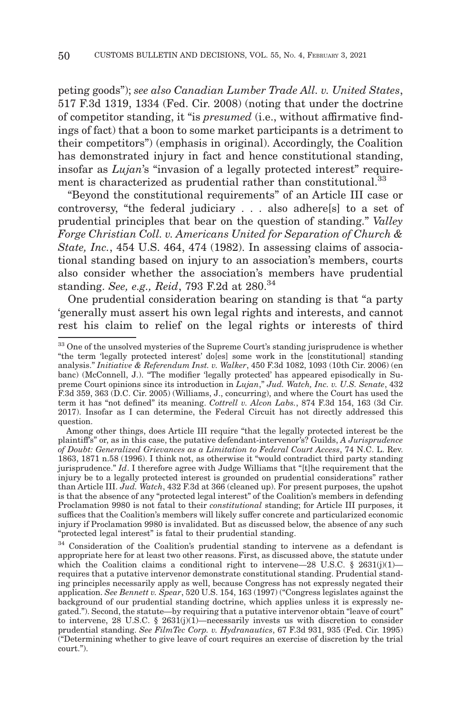peting goods"); *see also Canadian Lumber Trade All. v. United States*, 517 F.3d 1319, 1334 (Fed. Cir. 2008) (noting that under the doctrine of competitor standing, it "is *presumed* (i.e., without affirmative findings of fact) that a boon to some market participants is a detriment to their competitors") (emphasis in original). Accordingly, the Coalition has demonstrated injury in fact and hence constitutional standing, insofar as *Lujan*'s "invasion of a legally protected interest" requirement is characterized as prudential rather than constitutional.<sup>33</sup>

"Beyond the constitutional requirements" of an Article III case or controversy, "the federal judiciary . . . also adhere[s] to a set of prudential principles that bear on the question of standing." *Valley Forge Christian Coll. v. Americans United for Separation of Church & State, Inc.*, 454 U.S. 464, 474 (1982). In assessing claims of associational standing based on injury to an association's members, courts also consider whether the association's members have prudential standing. *See, e.g., Reid*, 793 F.2d at 280.34

One prudential consideration bearing on standing is that "a party 'generally must assert his own legal rights and interests, and cannot rest his claim to relief on the legal rights or interests of third

<sup>&</sup>lt;sup>33</sup> One of the unsolved mysteries of the Supreme Court's standing jurisprudence is whether "the term 'legally protected interest' do[es] some work in the [constitutional] standing analysis." *Initiative & Referendum Inst. v. Walker*, 450 F.3d 1082, 1093 (10th Cir. 2006) (en banc) (McConnell, J.). "The modifier 'legally protected' has appeared episodically in Supreme Court opinions since its introduction in *Lujan*," *Jud. Watch, Inc. v. U.S. Senate*, 432 F.3d 359, 363 (D.C. Cir. 2005) (Williams, J., concurring), and where the Court has used the term it has "not defined" its meaning. *Cottrell v. Alcon Labs.*, 874 F.3d 154, 163 (3d Cir. 2017). Insofar as I can determine, the Federal Circuit has not directly addressed this question.

Among other things, does Article III require "that the legally protected interest be the plaintiff's" or, as in this case, the putative defendant-intervenor's? Guilds, *A Jurisprudence of Doubt: Generalized Grievances as a Limitation to Federal Court Access*, 74 N.C. L. Rev. 1863, 1871 n.58 (1996). I think not, as otherwise it "would contradict third party standing jurisprudence." *Id*. I therefore agree with Judge Williams that "[t]he requirement that the injury be to a legally protected interest is grounded on prudential considerations" rather than Article III. *Jud. Watch*, 432 F.3d at 366 (cleaned up). For present purposes, the upshot is that the absence of any "protected legal interest" of the Coalition's members in defending Proclamation 9980 is not fatal to their *constitutional* standing; for Article III purposes, it suffices that the Coalition's members will likely suffer concrete and particularized economic injury if Proclamation 9980 is invalidated. But as discussed below, the absence of any such "protected legal interest" is fatal to their prudential standing.

<sup>&</sup>lt;sup>34</sup> Consideration of the Coalition's prudential standing to intervene as a defendant is appropriate here for at least two other reasons. First, as discussed above, the statute under which the Coalition claims a conditional right to intervene—28 U.S.C. § 2631(j)(1) requires that a putative intervenor demonstrate constitutional standing. Prudential standing principles necessarily apply as well, because Congress has not expressly negated their application. *See Bennett v. Spear*, 520 U.S. 154, 163 (1997) ("Congress legislates against the background of our prudential standing doctrine, which applies unless it is expressly negated."). Second, the statute—by requiring that a putative intervenor obtain "leave of court" to intervene, 28 U.S.C. § 2631(j)(1)—necessarily invests us with discretion to consider prudential standing. *See FilmTec Corp. v. Hydranautics*, 67 F.3d 931, 935 (Fed. Cir. 1995) ("Determining whether to give leave of court requires an exercise of discretion by the trial court.").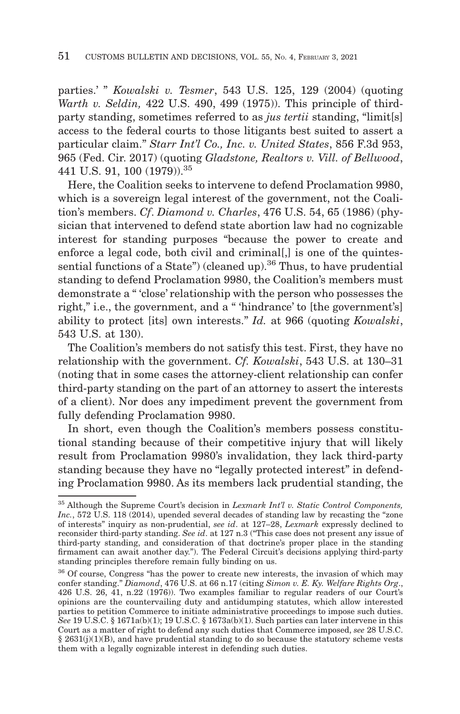parties.' " *Kowalski v. Tesmer*, 543 U.S. 125, 129 (2004) (quoting *Warth v. Seldin,* 422 U.S. 490, 499 (1975)). This principle of thirdparty standing, sometimes referred to as *jus tertii* standing, "limit[s] access to the federal courts to those litigants best suited to assert a particular claim." *Starr Int'l Co., Inc. v. United States*, 856 F.3d 953, 965 (Fed. Cir. 2017) (quoting *Gladstone, Realtors v. Vill. of Bellwood*, 441 U.S. 91, 100 (1979)).35

Here, the Coalition seeks to intervene to defend Proclamation 9980, which is a sovereign legal interest of the government, not the Coalition's members. *Cf*. *Diamond v. Charles*, 476 U.S. 54, 65 (1986) (physician that intervened to defend state abortion law had no cognizable interest for standing purposes "because the power to create and enforce a legal code, both civil and criminal. is one of the quintessential functions of a State") (cleaned up).<sup>36</sup> Thus, to have prudential standing to defend Proclamation 9980, the Coalition's members must demonstrate a " 'close' relationship with the person who possesses the right," i.e., the government, and a " 'hindrance' to [the government's] ability to protect [its] own interests." *Id.* at 966 (quoting *Kowalski*, 543 U.S. at 130).

The Coalition's members do not satisfy this test. First, they have no relationship with the government. *Cf. Kowalski*, 543 U.S. at 130–31 (noting that in some cases the attorney-client relationship can confer third-party standing on the part of an attorney to assert the interests of a client). Nor does any impediment prevent the government from fully defending Proclamation 9980.

In short, even though the Coalition's members possess constitutional standing because of their competitive injury that will likely result from Proclamation 9980's invalidation, they lack third-party standing because they have no "legally protected interest" in defending Proclamation 9980. As its members lack prudential standing, the

<sup>35</sup> Although the Supreme Court's decision in *Lexmark Int'l v. Static Control Components,* Inc., 572 U.S. 118 (2014), upended several decades of standing law by recasting the "zone" of interests" inquiry as non-prudential, *see id*. at 127–28, *Lexmark* expressly declined to reconsider third-party standing. *See id*. at 127 n.3 ("This case does not present any issue of third-party standing, and consideration of that doctrine's proper place in the standing firmament can await another day."). The Federal Circuit's decisions applying third-party standing principles therefore remain fully binding on us.

<sup>&</sup>lt;sup>36</sup> Of course, Congress "has the power to create new interests, the invasion of which may confer standing." *Diamond*, 476 U.S. at 66 n.17 (citing *Simon v. E. Ky. Welfare Rights Org*., 426 U.S. 26, 41, n.22 (1976)). Two examples familiar to regular readers of our Court's opinions are the countervailing duty and antidumping statutes, which allow interested parties to petition Commerce to initiate administrative proceedings to impose such duties. *See* 19 U.S.C. § 1671a(b)(1); 19 U.S.C. § 1673a(b)(1). Such parties can later intervene in this Court as a matter of right to defend any such duties that Commerce imposed, *see* 28 U.S.C.  $§$  2631(j)(1)(B), and have prudential standing to do so because the statutory scheme vests them with a legally cognizable interest in defending such duties.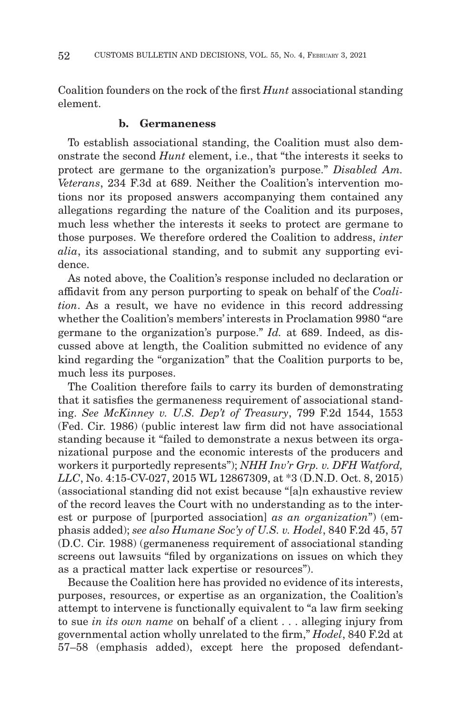Coalition founders on the rock of the first *Hunt* associational standing element.

#### **b. Germaneness**

To establish associational standing, the Coalition must also demonstrate the second *Hunt* element, i.e., that "the interests it seeks to protect are germane to the organization's purpose." *Disabled Am. Veterans*, 234 F.3d at 689. Neither the Coalition's intervention motions nor its proposed answers accompanying them contained any allegations regarding the nature of the Coalition and its purposes, much less whether the interests it seeks to protect are germane to those purposes. We therefore ordered the Coalition to address, *inter alia*, its associational standing, and to submit any supporting evidence.

As noted above, the Coalition's response included no declaration or affidavit from any person purporting to speak on behalf of the *Coalition*. As a result, we have no evidence in this record addressing whether the Coalition's members' interests in Proclamation 9980 "are germane to the organization's purpose." *Id.* at 689. Indeed, as discussed above at length, the Coalition submitted no evidence of any kind regarding the "organization" that the Coalition purports to be, much less its purposes.

The Coalition therefore fails to carry its burden of demonstrating that it satisfies the germaneness requirement of associational standing. *See McKinney v. U.S. Dep't of Treasury*, 799 F.2d 1544, 1553 (Fed. Cir. 1986) (public interest law firm did not have associational standing because it "failed to demonstrate a nexus between its organizational purpose and the economic interests of the producers and workers it purportedly represents"); *NHH Inv'r Grp. v. DFH Watford, LLC*, No. 4:15-CV-027, 2015 WL 12867309, at \*3 (D.N.D. Oct. 8, 2015) (associational standing did not exist because "[a]n exhaustive review of the record leaves the Court with no understanding as to the interest or purpose of [purported association] *as an organization*") (emphasis added); *see also Humane Soc'y of U.S. v. Hodel*, 840 F.2d 45, 57 (D.C. Cir. 1988) (germaneness requirement of associational standing screens out lawsuits "filed by organizations on issues on which they as a practical matter lack expertise or resources").

Because the Coalition here has provided no evidence of its interests, purposes, resources, or expertise as an organization, the Coalition's attempt to intervene is functionally equivalent to "a law firm seeking to sue *in its own name* on behalf of a client . . . alleging injury from governmental action wholly unrelated to the firm," *Hodel*, 840 F.2d at 57–58 (emphasis added), except here the proposed defendant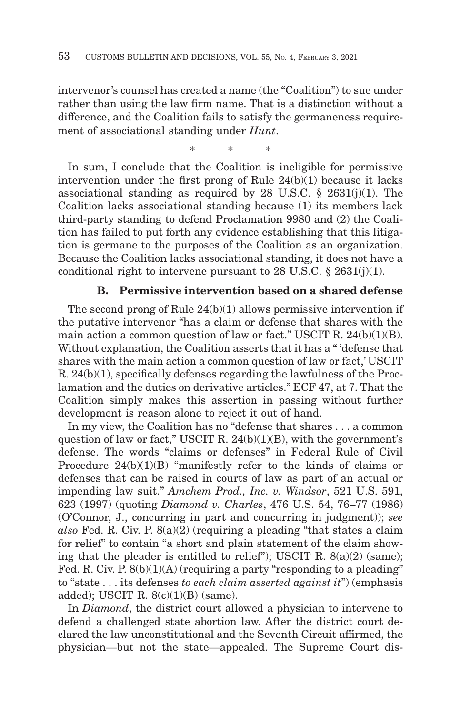intervenor's counsel has created a name (the "Coalition") to sue under rather than using the law firm name. That is a distinction without a difference, and the Coalition fails to satisfy the germaneness requirement of associational standing under *Hunt*.

\*\* \*

In sum, I conclude that the Coalition is ineligible for permissive intervention under the first prong of Rule 24(b)(1) because it lacks associational standing as required by 28 U.S.C.  $\S$  2631(j)(1). The Coalition lacks associational standing because (1) its members lack third-party standing to defend Proclamation 9980 and (2) the Coalition has failed to put forth any evidence establishing that this litigation is germane to the purposes of the Coalition as an organization. Because the Coalition lacks associational standing, it does not have a conditional right to intervene pursuant to 28 U.S.C.  $\S$  2631(j)(1).

#### **B. Permissive intervention based on a shared defense**

The second prong of Rule  $24(b)(1)$  allows permissive intervention if the putative intervenor "has a claim or defense that shares with the main action a common question of law or fact." USCIT R. 24(b)(1)(B). Without explanation, the Coalition asserts that it has a " 'defense that shares with the main action a common question of law or fact,' USCIT R. 24(b)(1), specifically defenses regarding the lawfulness of the Proclamation and the duties on derivative articles." ECF 47, at 7. That the Coalition simply makes this assertion in passing without further development is reason alone to reject it out of hand.

In my view, the Coalition has no "defense that shares . . . a common question of law or fact," USCIT R.  $24(b)(1)(B)$ , with the government's defense. The words "claims or defenses" in Federal Rule of Civil Procedure 24(b)(1)(B) "manifestly refer to the kinds of claims or defenses that can be raised in courts of law as part of an actual or impending law suit." *Amchem Prod., Inc. v. Windsor*, 521 U.S. 591, 623 (1997) (quoting *Diamond v. Charles*, 476 U.S. 54, 76–77 (1986) (O'Connor, J., concurring in part and concurring in judgment)); *see also* Fed. R. Civ. P. 8(a)(2) (requiring a pleading "that states a claim for relief" to contain "a short and plain statement of the claim showing that the pleader is entitled to relief"); USCIT R. 8(a)(2) (same); Fed. R. Civ. P. 8(b)(1)(A) (requiring a party "responding to a pleading" to "state . . . its defenses *to each claim asserted against it*") (emphasis added); USCIT R.  $8(c)(1)(B)$  (same).

In *Diamond*, the district court allowed a physician to intervene to defend a challenged state abortion law. After the district court declared the law unconstitutional and the Seventh Circuit affirmed, the physician—but not the state—appealed. The Supreme Court dis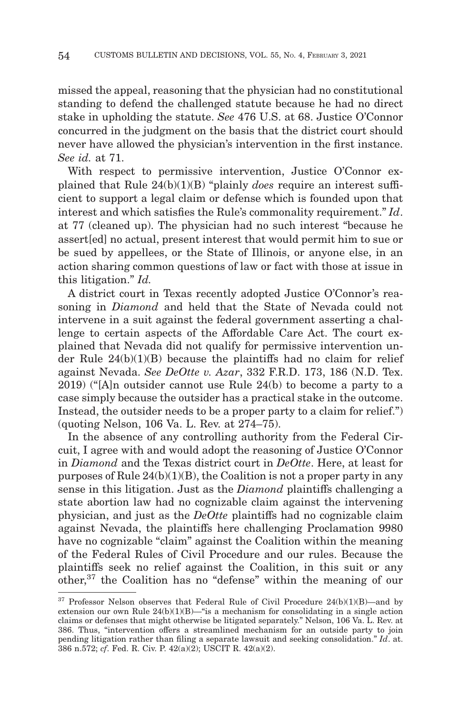missed the appeal, reasoning that the physician had no constitutional standing to defend the challenged statute because he had no direct stake in upholding the statute. *See* 476 U.S. at 68. Justice O'Connor concurred in the judgment on the basis that the district court should never have allowed the physician's intervention in the first instance. *See id.* at 71.

With respect to permissive intervention, Justice O'Connor explained that Rule 24(b)(1)(B) "plainly *does* require an interest sufficient to support a legal claim or defense which is founded upon that interest and which satisfies the Rule's commonality requirement." *Id*. at 77 (cleaned up). The physician had no such interest "because he assert[ed] no actual, present interest that would permit him to sue or be sued by appellees, or the State of Illinois, or anyone else, in an action sharing common questions of law or fact with those at issue in this litigation." *Id.*

A district court in Texas recently adopted Justice O'Connor's reasoning in *Diamond* and held that the State of Nevada could not intervene in a suit against the federal government asserting a challenge to certain aspects of the Affordable Care Act. The court explained that Nevada did not qualify for permissive intervention under Rule 24(b)(1)(B) because the plaintiffs had no claim for relief against Nevada. *See DeOtte v. Azar*, 332 F.R.D. 173, 186 (N.D. Tex. 2019) ("[A]n outsider cannot use Rule 24(b) to become a party to a case simply because the outsider has a practical stake in the outcome. Instead, the outsider needs to be a proper party to a claim for relief." (quoting Nelson, 106 Va. L. Rev. at 274–75).

In the absence of any controlling authority from the Federal Circuit, I agree with and would adopt the reasoning of Justice O'Connor in *Diamond* and the Texas district court in *DeOtte*. Here, at least for purposes of Rule  $24(b)(1)(B)$ , the Coalition is not a proper party in any sense in this litigation. Just as the *Diamond* plaintiffs challenging a state abortion law had no cognizable claim against the intervening physician, and just as the *DeOtte* plaintiffs had no cognizable claim against Nevada, the plaintiffs here challenging Proclamation 9980 have no cognizable "claim" against the Coalition within the meaning of the Federal Rules of Civil Procedure and our rules. Because the plaintiffs seek no relief against the Coalition, in this suit or any other,37 the Coalition has no "defense" within the meaning of our

<sup>37</sup> Professor Nelson observes that Federal Rule of Civil Procedure 24(b)(1)(B)—and by extension our own Rule  $24(b)(1)(B)$ —"is a mechanism for consolidating in a single action claims or defenses that might otherwise be litigated separately." Nelson, 106 Va. L. Rev. at 386. Thus, "intervention offers a streamlined mechanism for an outside party to join pending litigation rather than filing a separate lawsuit and seeking consolidation." *Id*. at. 386 n.572; *cf*. Fed. R. Civ. P. 42(a)(2); USCIT R. 42(a)(2).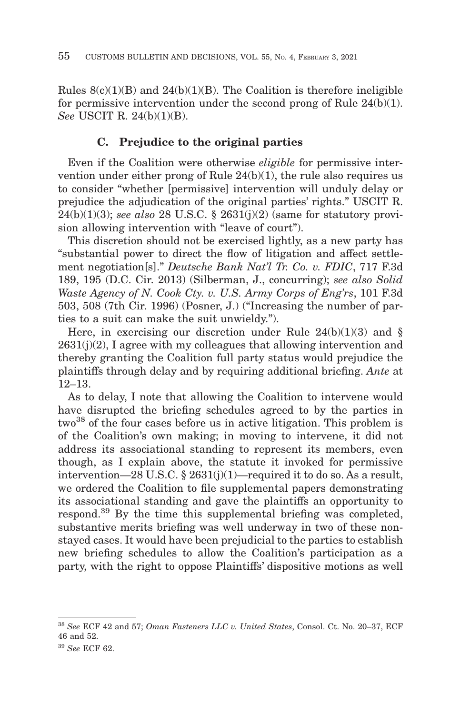Rules  $8(c)(1)(B)$  and  $24(b)(1)(B)$ . The Coalition is therefore ineligible for permissive intervention under the second prong of Rule 24(b)(1). *See* USCIT R. 24(b)(1)(B).

# **C. Prejudice to the original parties**

Even if the Coalition were otherwise *eligible* for permissive intervention under either prong of Rule  $24(b)(1)$ , the rule also requires us to consider "whether [permissive] intervention will unduly delay or prejudice the adjudication of the original parties' rights." USCIT R. 24(b)(1)(3); *see also* 28 U.S.C. § 2631(j)(2) (same for statutory provision allowing intervention with "leave of court").

This discretion should not be exercised lightly, as a new party has "substantial power to direct the flow of litigation and affect settlement negotiation[s]." *Deutsche Bank Nat'l Tr. Co. v. FDIC*, 717 F.3d 189, 195 (D.C. Cir. 2013) (Silberman, J., concurring); *see also Solid Waste Agency of N. Cook Cty. v. U.S. Army Corps of Eng'rs*, 101 F.3d 503, 508 (7th Cir. 1996) (Posner, J.) ("Increasing the number of parties to a suit can make the suit unwieldy.").

Here, in exercising our discretion under Rule  $24(b)(1)(3)$  and §  $2631(i)(2)$ , I agree with my colleagues that allowing intervention and thereby granting the Coalition full party status would prejudice the plaintiffs through delay and by requiring additional briefing. *Ante* at 12–13.

As to delay, I note that allowing the Coalition to intervene would have disrupted the briefing schedules agreed to by the parties in two<sup>38</sup> of the four cases before us in active litigation. This problem is of the Coalition's own making; in moving to intervene, it did not address its associational standing to represent its members, even though, as I explain above, the statute it invoked for permissive intervention—28 U.S.C. § 2631(j)(1)—required it to do so. As a result, we ordered the Coalition to file supplemental papers demonstrating its associational standing and gave the plaintiffs an opportunity to respond.39 By the time this supplemental briefing was completed, substantive merits briefing was well underway in two of these nonstayed cases. It would have been prejudicial to the parties to establish new briefing schedules to allow the Coalition's participation as a party, with the right to oppose Plaintiffs' dispositive motions as well

<sup>38</sup>*See* ECF 42 and 57; *Oman Fasteners LLC v. United States*, Consol. Ct. No. 20–37, ECF 46 and 52.

<sup>39</sup>*See* ECF 62.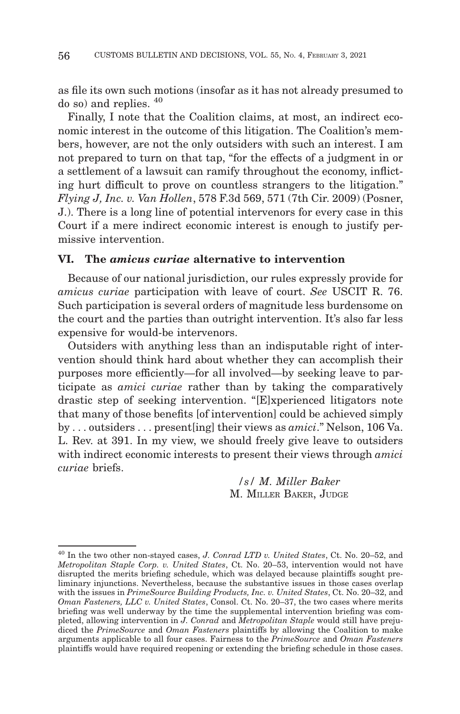as file its own such motions (insofar as it has not already presumed to do so) and replies. <sup>40</sup>

Finally, I note that the Coalition claims, at most, an indirect economic interest in the outcome of this litigation. The Coalition's members, however, are not the only outsiders with such an interest. I am not prepared to turn on that tap, "for the effects of a judgment in or a settlement of a lawsuit can ramify throughout the economy, inflicting hurt difficult to prove on countless strangers to the litigation." *Flying J, Inc. v. Van Hollen*, 578 F.3d 569, 571 (7th Cir. 2009) (Posner, J.). There is a long line of potential intervenors for every case in this Court if a mere indirect economic interest is enough to justify permissive intervention.

#### **VI. The** *amicus curiae* **alternative to intervention**

Because of our national jurisdiction, our rules expressly provide for *amicus curiae* participation with leave of court. *See* USCIT R. 76. Such participation is several orders of magnitude less burdensome on the court and the parties than outright intervention. It's also far less expensive for would-be intervenors.

Outsiders with anything less than an indisputable right of intervention should think hard about whether they can accomplish their purposes more efficiently—for all involved—by seeking leave to participate as *amici curiae* rather than by taking the comparatively drastic step of seeking intervention. "[E]xperienced litigators note that many of those benefits [of intervention] could be achieved simply by . . . outsiders . . . present[ing] their views as *amici*." Nelson, 106 Va. L. Rev. at 391. In my view, we should freely give leave to outsiders with indirect economic interests to present their views through *amici curiae* briefs.

> */s/ M. Miller Baker* M. MILLER BAKER, JUDGE

<sup>40</sup> In the two other non-stayed cases, *J. Conrad LTD v. United States*, Ct. No. 20–52, and *Metropolitan Staple Corp. v. United States*, Ct. No. 20–53, intervention would not have disrupted the merits briefing schedule, which was delayed because plaintiffs sought preliminary injunctions. Nevertheless, because the substantive issues in those cases overlap with the issues in *PrimeSource Building Products, Inc. v. United States*, Ct. No. 20–32, and *Oman Fasteners, LLC v. United States*, Consol. Ct. No. 20–37, the two cases where merits briefing was well underway by the time the supplemental intervention briefing was completed, allowing intervention in *J. Conrad* and *Metropolitan Staple* would still have prejudiced the *PrimeSource* and *Oman Fasteners* plaintiffs by allowing the Coalition to make arguments applicable to all four cases. Fairness to the *PrimeSource* and *Oman Fasteners* plaintiffs would have required reopening or extending the briefing schedule in those cases.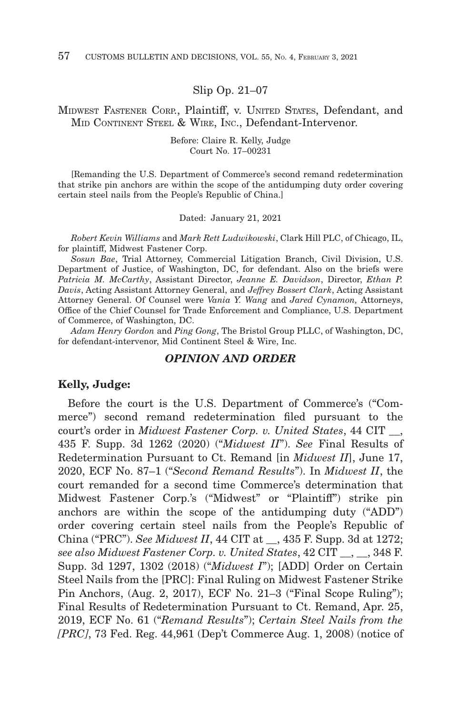Slip Op. 21–07

MIDWEST FASTENER CORP., Plaintiff, v. UNITED STATES, Defendant, and MID CONTINENT STEEL & WIRE, INC., Defendant-Intervenor.

> Before: Claire R. Kelly, Judge Court No. 17–00231

[Remanding the U.S. Department of Commerce's second remand redetermination that strike pin anchors are within the scope of the antidumping duty order covering certain steel nails from the People's Republic of China.]

Dated: January 21, 2021

*Robert Kevin Williams* and *Mark Rett Ludwikowski*, Clark Hill PLC, of Chicago, IL, for plaintiff, Midwest Fastener Corp.

*Sosun Bae*, Trial Attorney, Commercial Litigation Branch, Civil Division, U.S. Department of Justice, of Washington, DC, for defendant. Also on the briefs were *Patricia M. McCarthy*, Assistant Director, *Jeanne E. Davidson*, Director, *Ethan P. Davis*, Acting Assistant Attorney General, and *Jeffrey Bossert Clark*, Acting Assistant Attorney General. Of Counsel were *Vania Y. Wang* and *Jared Cynamon,* Attorneys, Office of the Chief Counsel for Trade Enforcement and Compliance, U.S. Department of Commerce, of Washington, DC.

*Adam Henry Gordon* and *Ping Gong*, The Bristol Group PLLC, of Washington, DC, for defendant-intervenor, Mid Continent Steel & Wire, Inc.

#### *OPINION AND ORDER*

#### **Kelly, Judge:**

Before the court is the U.S. Department of Commerce's ("Commerce") second remand redetermination filed pursuant to the court's order in *Midwest Fastener Corp. v. United States*, 44 CIT \_\_, 435 F. Supp. 3d 1262 (2020) ("*Midwest II*"). *See* Final Results of Redetermination Pursuant to Ct. Remand [in *Midwest II*], June 17, 2020, ECF No. 87–1 ("*Second Remand Results*"). In *Midwest II*, the court remanded for a second time Commerce's determination that Midwest Fastener Corp.'s ("Midwest" or "Plaintiff") strike pin anchors are within the scope of the antidumping duty ("ADD") order covering certain steel nails from the People's Republic of China ("PRC"). *See Midwest II*, 44 CIT at \_\_, 435 F. Supp. 3d at 1272; *see also Midwest Fastener Corp. v. United States*, 42 CIT \_\_, \_\_, 348 F. Supp. 3d 1297, 1302 (2018) ("*Midwest I*"); [ADD] Order on Certain Steel Nails from the [PRC]: Final Ruling on Midwest Fastener Strike Pin Anchors, (Aug. 2, 2017), ECF No. 21–3 ("Final Scope Ruling"); Final Results of Redetermination Pursuant to Ct. Remand, Apr. 25, 2019, ECF No. 61 ("*Remand Results*"); *Certain Steel Nails from the [PRC]*, 73 Fed. Reg. 44,961 (Dep't Commerce Aug. 1, 2008) (notice of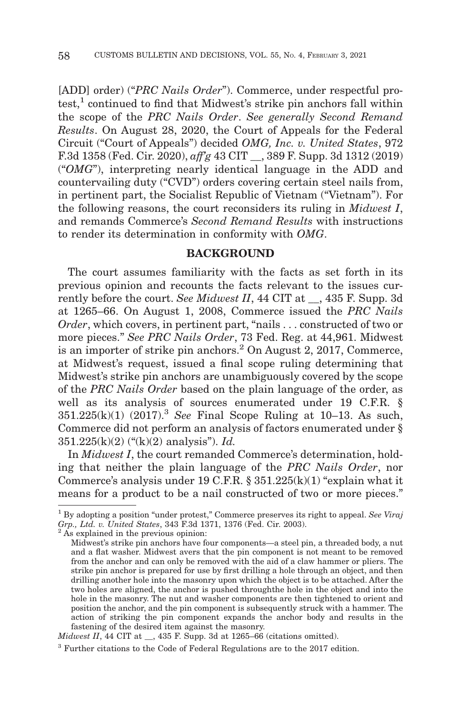[ADD] order) ("*PRC Nails Order*"). Commerce, under respectful pro $test<sup>1</sup>$  continued to find that Midwest's strike pin anchors fall within the scope of the *PRC Nails Order*. *See generally Second Remand Results*. On August 28, 2020, the Court of Appeals for the Federal Circuit ("Court of Appeals") decided *OMG, Inc. v. United States*, 972 F.3d 1358 (Fed. Cir. 2020), *aff'g* 43 CIT \_\_, 389 F. Supp. 3d 1312 (2019) ("*OMG*"), interpreting nearly identical language in the ADD and countervailing duty ("CVD") orders covering certain steel nails from, in pertinent part, the Socialist Republic of Vietnam ("Vietnam"). For the following reasons, the court reconsiders its ruling in *Midwest I*, and remands Commerce's *Second Remand Results* with instructions to render its determination in conformity with *OMG*.

# **BACKGROUND**

The court assumes familiarity with the facts as set forth in its previous opinion and recounts the facts relevant to the issues currently before the court. *See Midwest II*, 44 CIT at \_\_, 435 F. Supp. 3d at 1265–66. On August 1, 2008, Commerce issued the *PRC Nails Order*, which covers, in pertinent part, "nails . . . constructed of two or more pieces." *See PRC Nails Order*, 73 Fed. Reg. at 44,961. Midwest is an importer of strike pin anchors.<sup>2</sup> On August 2, 2017, Commerce, at Midwest's request, issued a final scope ruling determining that Midwest's strike pin anchors are unambiguously covered by the scope of the *PRC Nails Order* based on the plain language of the order, as well as its analysis of sources enumerated under 19 C.F.R. § 351.225(k)(1) (2017).3 *See* Final Scope Ruling at 10–13. As such, Commerce did not perform an analysis of factors enumerated under § 351.225(k)(2) ("(k)(2) analysis"). *Id.*

In *Midwest I*, the court remanded Commerce's determination, holding that neither the plain language of the *PRC Nails Order*, nor Commerce's analysis under 19 C.F.R.  $\S 351.225(k)(1)$  "explain what it means for a product to be a nail constructed of two or more pieces."

<sup>1</sup> By adopting a position "under protest," Commerce preserves its right to appeal. *See Viraj Grp., Ltd. v. United States*, 343 F.3d 1371, 1376 (Fed. Cir. 2003). 2 As explained in the previous opinion:

Midwest's strike pin anchors have four components—a steel pin, a threaded body, a nut and a flat washer. Midwest avers that the pin component is not meant to be removed from the anchor and can only be removed with the aid of a claw hammer or pliers. The strike pin anchor is prepared for use by first drilling a hole through an object, and then drilling another hole into the masonry upon which the object is to be attached. After the two holes are aligned, the anchor is pushed throughthe hole in the object and into the hole in the masonry. The nut and washer components are then tightened to orient and position the anchor, and the pin component is subsequently struck with a hammer. The action of striking the pin component expands the anchor body and results in the fastening of the desired item against the masonry.

*Midwest II*, 44 CIT at \_\_, 435 F. Supp. 3d at 1265–66 (citations omitted).

<sup>3</sup> Further citations to the Code of Federal Regulations are to the 2017 edition.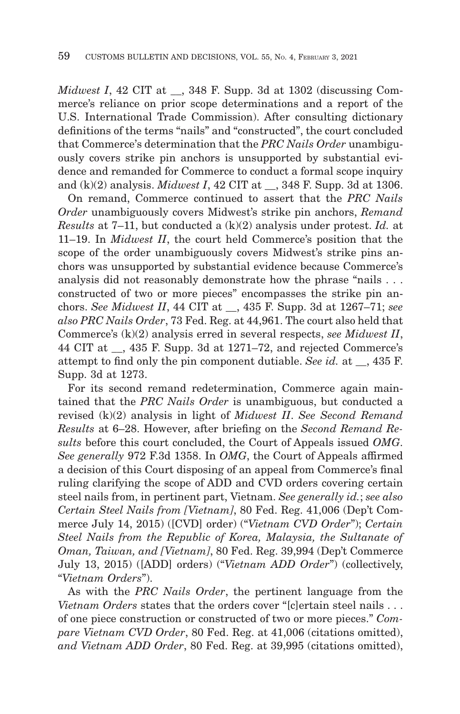*Midwest I*, 42 CIT at \_\_, 348 F. Supp. 3d at 1302 (discussing Commerce's reliance on prior scope determinations and a report of the U.S. International Trade Commission). After consulting dictionary definitions of the terms "nails" and "constructed", the court concluded that Commerce's determination that the *PRC Nails Order* unambiguously covers strike pin anchors is unsupported by substantial evidence and remanded for Commerce to conduct a formal scope inquiry and (k)(2) analysis. *Midwest I*, 42 CIT at \_\_, 348 F. Supp. 3d at 1306.

On remand, Commerce continued to assert that the *PRC Nails Order* unambiguously covers Midwest's strike pin anchors, *Remand Results* at 7–11, but conducted a (k)(2) analysis under protest. *Id.* at 11–19. In *Midwest II*, the court held Commerce's position that the scope of the order unambiguously covers Midwest's strike pins anchors was unsupported by substantial evidence because Commerce's analysis did not reasonably demonstrate how the phrase "nails . . . constructed of two or more pieces" encompasses the strike pin anchors. *See Midwest II*, 44 CIT at \_\_, 435 F. Supp. 3d at 1267–71; *see also PRC Nails Order*, 73 Fed. Reg. at 44,961. The court also held that Commerce's (k)(2) analysis erred in several respects, *see Midwest II*, 44 CIT at \_\_, 435 F. Supp. 3d at 1271–72, and rejected Commerce's attempt to find only the pin component dutiable. *See id.* at \_\_, 435 F. Supp. 3d at 1273.

For its second remand redetermination, Commerce again maintained that the *PRC Nails Order* is unambiguous, but conducted a revised (k)(2) analysis in light of *Midwest II*. *See Second Remand Results* at 6–28. However, after briefing on the *Second Remand Results* before this court concluded, the Court of Appeals issued *OMG*. *See generally* 972 F.3d 1358. In *OMG*, the Court of Appeals affirmed a decision of this Court disposing of an appeal from Commerce's final ruling clarifying the scope of ADD and CVD orders covering certain steel nails from, in pertinent part, Vietnam. *See generally id.*; *see also Certain Steel Nails from [Vietnam]*, 80 Fed. Reg. 41,006 (Dep't Commerce July 14, 2015) ([CVD] order) ("*Vietnam CVD Order*"); *Certain Steel Nails from the Republic of Korea, Malaysia, the Sultanate of Oman, Taiwan, and [Vietnam]*, 80 Fed. Reg. 39,994 (Dep't Commerce July 13, 2015) ([ADD] orders) ("*Vietnam ADD Order*") (collectively, "*Vietnam Orders*").

As with the *PRC Nails Order*, the pertinent language from the *Vietnam Orders* states that the orders cover "[c]ertain steel nails . . . of one piece construction or constructed of two or more pieces." *Compare Vietnam CVD Order*, 80 Fed. Reg. at 41,006 (citations omitted), *and Vietnam ADD Order*, 80 Fed. Reg. at 39,995 (citations omitted),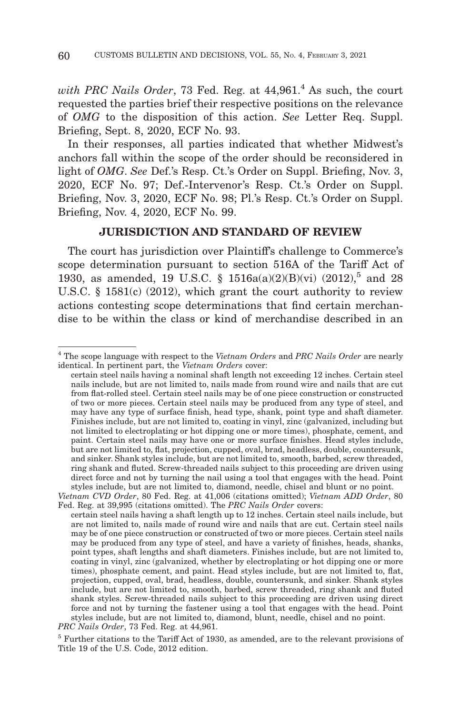*with PRC Nails Order*, 73 Fed. Reg. at 44,961.<sup>4</sup> As such, the court requested the parties brief their respective positions on the relevance of *OMG* to the disposition of this action. *See* Letter Req. Suppl. Briefing, Sept. 8, 2020, ECF No. 93.

In their responses, all parties indicated that whether Midwest's anchors fall within the scope of the order should be reconsidered in light of *OMG*. *See* Def.'s Resp. Ct.'s Order on Suppl. Briefing, Nov. 3, 2020, ECF No. 97; Def.-Intervenor's Resp. Ct.'s Order on Suppl. Briefing, Nov. 3, 2020, ECF No. 98; Pl.'s Resp. Ct.'s Order on Suppl. Briefing, Nov. 4, 2020, ECF No. 99.

### **JURISDICTION AND STANDARD OF REVIEW**

The court has jurisdiction over Plaintiff's challenge to Commerce's scope determination pursuant to section 516A of the Tariff Act of 1930, as amended, 19 U.S.C. § 1516a(a)(2)(B)(vi) (2012),<sup>5</sup> and 28 U.S.C. § 1581(c) (2012), which grant the court authority to review actions contesting scope determinations that find certain merchandise to be within the class or kind of merchandise described in an

<sup>4</sup> The scope language with respect to the *Vietnam Orders* and *PRC Nails Order* are nearly identical. In pertinent part, the *Vietnam Orders* cover:

certain steel nails having a nominal shaft length not exceeding 12 inches. Certain steel nails include, but are not limited to, nails made from round wire and nails that are cut from flat-rolled steel. Certain steel nails may be of one piece construction or constructed of two or more pieces. Certain steel nails may be produced from any type of steel, and may have any type of surface finish, head type, shank, point type and shaft diameter. Finishes include, but are not limited to, coating in vinyl, zinc (galvanized, including but not limited to electroplating or hot dipping one or more times), phosphate, cement, and paint. Certain steel nails may have one or more surface finishes. Head styles include, but are not limited to, flat, projection, cupped, oval, brad, headless, double, countersunk, and sinker. Shank styles include, but are not limited to, smooth, barbed, screw threaded, ring shank and fluted. Screw-threaded nails subject to this proceeding are driven using direct force and not by turning the nail using a tool that engages with the head. Point styles include, but are not limited to, diamond, needle, chisel and blunt or no point.

*Vietnam CVD Order*, 80 Fed. Reg. at 41,006 (citations omitted); *Vietnam ADD Order*, 80 Fed. Reg. at 39,995 (citations omitted). The *PRC Nails Order* covers:

certain steel nails having a shaft length up to 12 inches. Certain steel nails include, but are not limited to, nails made of round wire and nails that are cut. Certain steel nails may be of one piece construction or constructed of two or more pieces. Certain steel nails may be produced from any type of steel, and have a variety of finishes, heads, shanks, point types, shaft lengths and shaft diameters. Finishes include, but are not limited to, coating in vinyl, zinc (galvanized, whether by electroplating or hot dipping one or more times), phosphate cement, and paint. Head styles include, but are not limited to, flat, projection, cupped, oval, brad, headless, double, countersunk, and sinker. Shank styles include, but are not limited to, smooth, barbed, screw threaded, ring shank and fluted shank styles. Screw-threaded nails subject to this proceeding are driven using direct force and not by turning the fastener using a tool that engages with the head. Point styles include, but are not limited to, diamond, blunt, needle, chisel and no point.

*PRC Nails Order*, 73 Fed. Reg. at 44,961.

<sup>5</sup> Further citations to the Tariff Act of 1930, as amended, are to the relevant provisions of Title 19 of the U.S. Code, 2012 edition.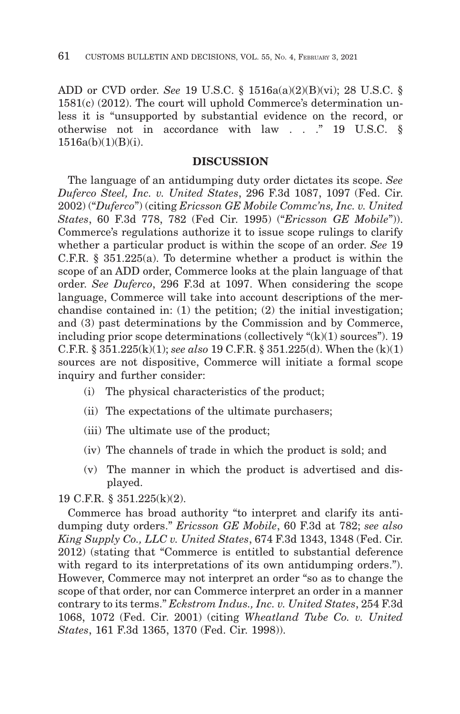ADD or CVD order. *See* 19 U.S.C. § 1516a(a)(2)(B)(vi); 28 U.S.C. § 1581(c) (2012). The court will uphold Commerce's determination unless it is "unsupported by substantial evidence on the record, or otherwise not in accordance with law . . ." 19 U.S.C. §  $1516a(b)(1)(B)(i)$ .

#### **DISCUSSION**

The language of an antidumping duty order dictates its scope. *See Duferco Steel, Inc. v. United States*, 296 F.3d 1087, 1097 (Fed. Cir. 2002) ("*Duferco*") (citing *Ericsson GE Mobile Commc'ns, Inc. v. United States*, 60 F.3d 778, 782 (Fed Cir. 1995) ("*Ericsson GE Mobile*")). Commerce's regulations authorize it to issue scope rulings to clarify whether a particular product is within the scope of an order. *See* 19 C.F.R. § 351.225(a). To determine whether a product is within the scope of an ADD order, Commerce looks at the plain language of that order. *See Duferco*, 296 F.3d at 1097. When considering the scope language, Commerce will take into account descriptions of the merchandise contained in: (1) the petition; (2) the initial investigation; and (3) past determinations by the Commission and by Commerce, including prior scope determinations (collectively  $\mathcal{C}(k)(1)$  sources"). 19 C.F.R. § 351.225(k)(1); *see also* 19 C.F.R. § 351.225(d). When the (k)(1) sources are not dispositive, Commerce will initiate a formal scope inquiry and further consider:

- (i) The physical characteristics of the product;
- (ii) The expectations of the ultimate purchasers;
- (iii) The ultimate use of the product;
- (iv) The channels of trade in which the product is sold; and
- (v) The manner in which the product is advertised and displayed.

19 C.F.R. § 351.225(k)(2).

Commerce has broad authority "to interpret and clarify its antidumping duty orders." *Ericsson GE Mobile*, 60 F.3d at 782; *see also King Supply Co., LLC v. United States*, 674 F.3d 1343, 1348 (Fed. Cir. 2012) (stating that "Commerce is entitled to substantial deference with regard to its interpretations of its own antidumping orders."). However, Commerce may not interpret an order "so as to change the scope of that order, nor can Commerce interpret an order in a manner contrary to its terms." *Eckstrom Indus., Inc. v. United States*, 254 F.3d 1068, 1072 (Fed. Cir. 2001) (citing *Wheatland Tube Co. v. United States*, 161 F.3d 1365, 1370 (Fed. Cir. 1998)).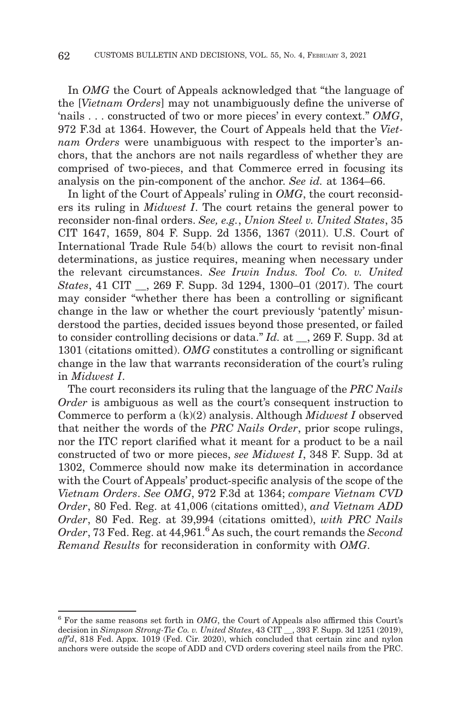In *OMG* the Court of Appeals acknowledged that "the language of the [*Vietnam Orders*] may not unambiguously define the universe of 'nails . . . constructed of two or more pieces' in every context." *OMG*, 972 F.3d at 1364. However, the Court of Appeals held that the *Vietnam Orders* were unambiguous with respect to the importer's anchors, that the anchors are not nails regardless of whether they are comprised of two-pieces, and that Commerce erred in focusing its analysis on the pin-component of the anchor. *See id.* at 1364–66.

In light of the Court of Appeals' ruling in *OMG*, the court reconsiders its ruling in *Midwest I*. The court retains the general power to reconsider non-final orders. *See, e.g.*, *Union Steel v. United States*, 35 CIT 1647, 1659, 804 F. Supp. 2d 1356, 1367 (2011). U.S. Court of International Trade Rule 54(b) allows the court to revisit non-final determinations, as justice requires, meaning when necessary under the relevant circumstances. *See Irwin Indus. Tool Co. v. United States*, 41 CIT \_\_, 269 F. Supp. 3d 1294, 1300–01 (2017). The court may consider "whether there has been a controlling or significant change in the law or whether the court previously 'patently' misunderstood the parties, decided issues beyond those presented, or failed to consider controlling decisions or data." *Id.* at \_\_, 269 F. Supp. 3d at 1301 (citations omitted). *OMG* constitutes a controlling or significant change in the law that warrants reconsideration of the court's ruling in *Midwest I*.

The court reconsiders its ruling that the language of the *PRC Nails Order* is ambiguous as well as the court's consequent instruction to Commerce to perform a (k)(2) analysis. Although *Midwest I* observed that neither the words of the *PRC Nails Order*, prior scope rulings, nor the ITC report clarified what it meant for a product to be a nail constructed of two or more pieces, *see Midwest I*, 348 F. Supp. 3d at 1302, Commerce should now make its determination in accordance with the Court of Appeals' product-specific analysis of the scope of the *Vietnam Orders*. *See OMG*, 972 F.3d at 1364; *compare Vietnam CVD Order*, 80 Fed. Reg. at 41,006 (citations omitted), *and Vietnam ADD Order*, 80 Fed. Reg. at 39,994 (citations omitted), *with PRC Nails Order*, 73 Fed. Reg. at 44,961.6 As such, the court remands the *Second Remand Results* for reconsideration in conformity with *OMG*.

<sup>6</sup> For the same reasons set forth in *OMG*, the Court of Appeals also affirmed this Court's decision in *Simpson Strong-Tie Co. v. United States*, 43 CIT \_\_, 393 F. Supp. 3d 1251 (2019), *aff'd*, 818 Fed. Appx. 1019 (Fed. Cir. 2020), which concluded that certain zinc and nylon anchors were outside the scope of ADD and CVD orders covering steel nails from the PRC.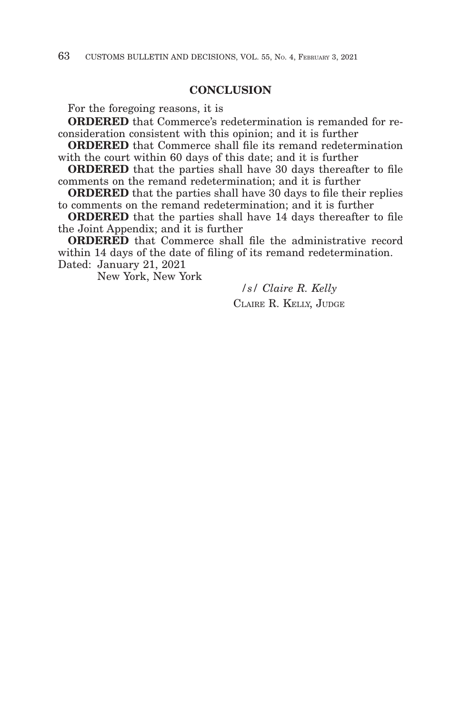## **CONCLUSION**

For the foregoing reasons, it is

**ORDERED** that Commerce's redetermination is remanded for reconsideration consistent with this opinion; and it is further

**ORDERED** that Commerce shall file its remand redetermination with the court within 60 days of this date; and it is further

**ORDERED** that the parties shall have 30 days thereafter to file comments on the remand redetermination; and it is further

**ORDERED** that the parties shall have 30 days to file their replies to comments on the remand redetermination; and it is further

**ORDERED** that the parties shall have 14 days thereafter to file the Joint Appendix; and it is further

**ORDERED** that Commerce shall file the administrative record within 14 days of the date of filing of its remand redetermination. Dated: January 21, 2021

New York, New York

*/s/ Claire R. Kelly* CLAIRE R. KELLY, JUDGE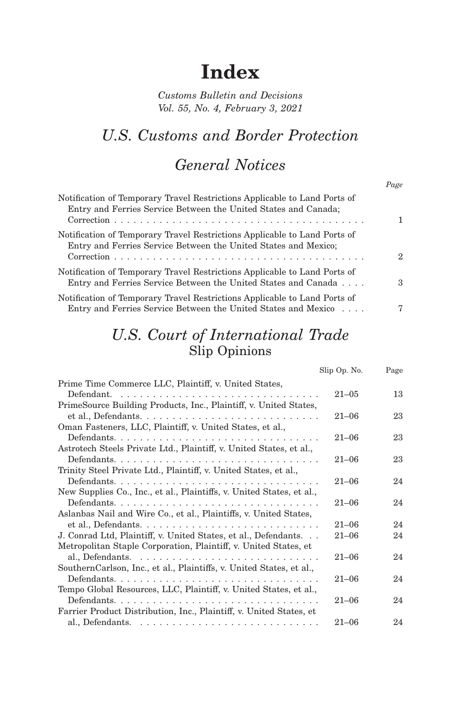# **Index**

*Customs Bulletin and Decisions Vol. 55, No. 4, February 3, 2021*

# *U.S. Customs and Border Protection*

# *General Notices*

*Page*

| Notification of Temporary Travel Restrictions Applicable to Land Ports of<br>Entry and Ferries Service Between the United States and Canada; |   |
|----------------------------------------------------------------------------------------------------------------------------------------------|---|
| Notification of Temporary Travel Restrictions Applicable to Land Ports of<br>Entry and Ferries Service Between the United States and Mexico; | 2 |
| Notification of Temporary Travel Restrictions Applicable to Land Ports of<br>Entry and Ferries Service Between the United States and Canada  | 3 |
| Notification of Temporary Travel Restrictions Applicable to Land Ports of<br>Entry and Ferries Service Between the United States and Mexico  | 7 |

# *U.S. Court of International Trade* Slip Opinions

|                                                                       | Slip Op. No. | Page |
|-----------------------------------------------------------------------|--------------|------|
| Prime Time Commerce LLC, Plaintiff, v. United States,                 |              |      |
|                                                                       | $21 - 0.5$   | 13   |
| PrimeSource Building Products, Inc., Plaintiff, v. United States,     |              |      |
|                                                                       | $21 - 06$    | 23   |
| Oman Fasteners, LLC, Plaintiff, v. United States, et al.,             |              |      |
|                                                                       | $21 - 06$    | 23   |
| Astrotech Steels Private Ltd., Plaintiff, v. United States, et al.,   |              |      |
| Defendants                                                            | $21 - 06$    | 23   |
| Trinity Steel Private Ltd., Plaintiff, v. United States, et al.,      |              |      |
| Defendants                                                            | $21 - 06$    | 24   |
| New Supplies Co., Inc., et al., Plaintiffs, v. United States, et al., |              |      |
|                                                                       | $21 - 06$    | 24   |
| Aslanbas Nail and Wire Co., et al., Plaintiffs, v. United States,     |              |      |
|                                                                       | $21 - 06$    | 24   |
| J. Conrad Ltd, Plaintiff, v. United States, et al., Defendants        | $21 - 06$    | 24   |
| Metropolitan Staple Corporation, Plaintiff, v. United States, et      |              |      |
|                                                                       | $21 - 06$    | 24   |
| Southern Carlson, Inc., et al., Plaintiffs, v. United States, et al., |              |      |
|                                                                       | $21 - 06$    | 24   |
| Tempo Global Resources, LLC, Plaintiff, v. United States, et al.,     |              |      |
|                                                                       | $21 - 06$    | 24   |
| Farrier Product Distribution, Inc., Plaintiff, v. United States, et   |              |      |
|                                                                       | $21 - 06$    | 24   |